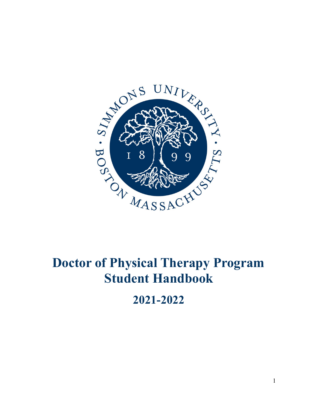

# **Doctor of Physical Therapy Program Student Handbook**

**2021-2022**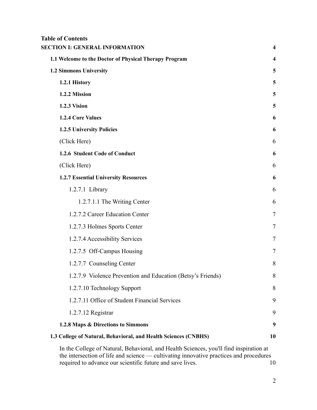## **Table of Contents**

| <b>SECTION I: GENERAL INFORMATION</b>                                                  | $\overline{\mathbf{4}}$ |
|----------------------------------------------------------------------------------------|-------------------------|
| 1.1 Welcome to the Doctor of Physical Therapy Program                                  | 4                       |
| 1.2 Simmons University                                                                 | 5                       |
| 1.2.1 History                                                                          | 5                       |
| 1.2.2 Mission                                                                          | 5                       |
| 1.2.3 Vision                                                                           | 5                       |
| 1.2.4 Core Values                                                                      | 6                       |
| <b>1.2.5 University Policies</b>                                                       | 6                       |
| (Click Here)                                                                           | 6                       |
| 1.2.6 Student Code of Conduct                                                          | 6                       |
| (Click Here)                                                                           | 6                       |
| <b>1.2.7 Essential University Resources</b>                                            | 6                       |
| 1.2.7.1 Library                                                                        | 6                       |
| 1.2.7.1.1 The Writing Center                                                           | 6                       |
| 1.2.7.2 Career Education Center                                                        | 7                       |
| 1.2.7.3 Holmes Sports Center                                                           | 7                       |
| 1.2.7.4 Accessibility Services                                                         | 7                       |
| 1.2.7.5 Off-Campus Housing                                                             | $\overline{7}$          |
| 1.2.7.7 Counseling Center                                                              | 8                       |
| 1.2.7.9 Violence Prevention and Education (Betsy's Friends)                            | 8                       |
| 1.2.7.10 Technology Support                                                            | 8                       |
| 1.2.7.11 Office of Student Financial Services                                          | 9                       |
| 1.2.7.12 Registrar                                                                     | 9                       |
| 1.2.8 Maps & Directions to Simmons                                                     | 9                       |
| 1.3 College of Natural, Behavioral, and Health Sciences (CNBHS)                        | 10                      |
| In the College of Natural, Behavioral, and Health Sciences, you'll find inspiration at |                         |

[the intersection of life and science — cultivating](#page-12-1) innovative practices and procedures [required to advance our scientific future and save](#page-12-1) lives. [10](#page-12-1)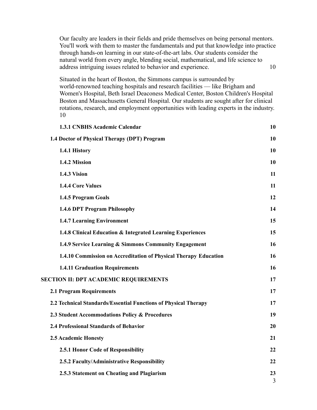[Our faculty are leaders in their fields and pride themselves on being personal mentors.](#page-12-2) [You'll work with them to master the fundamentals and](#page-12-2) put that knowledge into practice [through hands-on learning in our state-of-the-art](#page-12-2) labs. Our students consider the [natural world from every angle, blending social, mathematical,](#page-12-2) and life science to [address intriguing issues related to behavior and](#page-12-2) experience. [10](#page-12-2)

[Situated in the heart of Boston, the Simmons campus](#page-12-3) is surrounded by [world-renowned teaching hospitals and research facilities](#page-12-3) — like Brigham and [Women's Hospital, Beth Israel Deaconess Medical Center,](#page-12-3) Boston Children's Hospital [Boston and Massachusetts General Hospital. Our students](#page-12-3) are sought after for clinical [rotations, research, and employment opportunities](#page-12-3) with leading experts in the industry. [10](#page-12-3)

| <b>1.3.1 CNBHS Academic Calendar</b>                             | 10      |
|------------------------------------------------------------------|---------|
| 1.4 Doctor of Physical Therapy (DPT) Program                     | 10      |
| 1.4.1 History                                                    | 10      |
| 1.4.2 Mission                                                    | 10      |
| 1.4.3 Vision                                                     | 11      |
| <b>1.4.4 Core Values</b>                                         | 11      |
| 1.4.5 Program Goals                                              | 12      |
| 1.4.6 DPT Program Philosophy                                     | 14      |
| <b>1.4.7 Learning Environment</b>                                | 15      |
| 1.4.8 Clinical Education & Integrated Learning Experiences       | 15      |
| 1.4.9 Service Learning & Simmons Community Engagement            | 16      |
| 1.4.10 Commission on Accreditation of Physical Therapy Education | 16      |
| <b>1.4.11 Graduation Requirements</b>                            | 16      |
| <b>SECTION II: DPT ACADEMIC REQUIREMENTS</b>                     | 17      |
| <b>2.1 Program Requirements</b>                                  | 17      |
| 2.2 Technical Standards/Essential Functions of Physical Therapy  | 17      |
| 2.3 Student Accommodations Policy & Procedures                   | 19      |
| 2.4 Professional Standards of Behavior                           | 20      |
| 2.5 Academic Honesty                                             | 21      |
| 2.5.1 Honor Code of Responsibility                               | 22      |
| 2.5.2 Faculty/Administrative Responsibility                      | 22      |
| 2.5.3 Statement on Cheating and Plagiarism                       | 23<br>3 |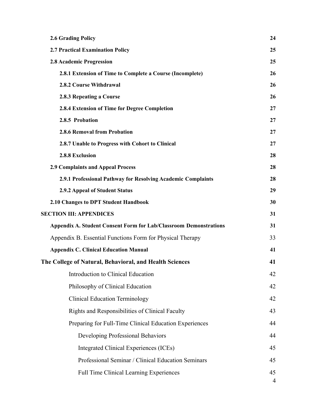| <b>2.6 Grading Policy</b>                                                | 24      |
|--------------------------------------------------------------------------|---------|
| 2.7 Practical Examination Policy                                         | 25      |
| 2.8 Academic Progression                                                 | 25      |
| 2.8.1 Extension of Time to Complete a Course (Incomplete)                | 26      |
| 2.8.2 Course Withdrawal                                                  | 26      |
| 2.8.3 Repeating a Course                                                 | 26      |
| 2.8.4 Extension of Time for Degree Completion                            | 27      |
| 2.8.5 Probation                                                          | 27      |
| <b>2.8.6 Removal from Probation</b>                                      | 27      |
| 2.8.7 Unable to Progress with Cohort to Clinical                         | 27      |
| 2.8.8 Exclusion                                                          | 28      |
| <b>2.9 Complaints and Appeal Process</b>                                 | 28      |
| 2.9.1 Professional Pathway for Resolving Academic Complaints             | 28      |
| 2.9.2 Appeal of Student Status                                           | 29      |
| 2.10 Changes to DPT Student Handbook                                     | 30      |
| <b>SECTION III: APPENDICES</b>                                           | 31      |
| <b>Appendix A. Student Consent Form for Lab/Classroom Demonstrations</b> | 31      |
| Appendix B. Essential Functions Form for Physical Therapy                | 33      |
| <b>Appendix C. Clinical Education Manual</b>                             | 41      |
| The College of Natural, Behavioral, and Health Sciences                  | 41      |
| Introduction to Clinical Education                                       | 42      |
| Philosophy of Clinical Education                                         | 42      |
| <b>Clinical Education Terminology</b>                                    | 42      |
| Rights and Responsibilities of Clinical Faculty                          | 43      |
| Preparing for Full-Time Clinical Education Experiences                   | 44      |
| Developing Professional Behaviors                                        | 44      |
| Integrated Clinical Experiences (ICEs)                                   | 45      |
| Professional Seminar / Clinical Education Seminars                       | 45      |
| <b>Full Time Clinical Learning Experiences</b>                           | 45<br>4 |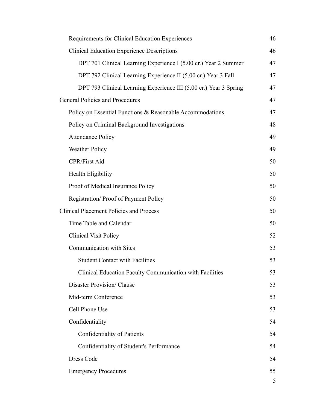| Requirements for Clinical Education Experiences                   | 46 |
|-------------------------------------------------------------------|----|
| <b>Clinical Education Experience Descriptions</b>                 | 46 |
| DPT 701 Clinical Learning Experience I (5.00 cr.) Year 2 Summer   | 47 |
| DPT 792 Clinical Learning Experience II (5.00 cr.) Year 3 Fall    | 47 |
| DPT 793 Clinical Learning Experience III (5.00 cr.) Year 3 Spring | 47 |
| General Policies and Procedures                                   | 47 |
| Policy on Essential Functions & Reasonable Accommodations         | 47 |
| Policy on Criminal Background Investigations                      | 48 |
| <b>Attendance Policy</b>                                          | 49 |
| <b>Weather Policy</b>                                             | 49 |
| <b>CPR/First Aid</b>                                              | 50 |
| Health Eligibility                                                | 50 |
| Proof of Medical Insurance Policy                                 | 50 |
| Registration/Proof of Payment Policy                              | 50 |
| <b>Clinical Placement Policies and Process</b>                    | 50 |
| Time Table and Calendar                                           | 50 |
| <b>Clinical Visit Policy</b>                                      | 52 |
| <b>Communication with Sites</b>                                   | 53 |
| <b>Student Contact with Facilities</b>                            | 53 |
| Clinical Education Faculty Communication with Facilities          | 53 |
| <b>Disaster Provision/Clause</b>                                  | 53 |
| Mid-term Conference                                               | 53 |
| Cell Phone Use                                                    | 53 |
| Confidentiality                                                   | 54 |
| Confidentiality of Patients                                       | 54 |
| Confidentiality of Student's Performance                          | 54 |
| Dress Code                                                        | 54 |
| <b>Emergency Procedures</b>                                       | 55 |
|                                                                   | 5  |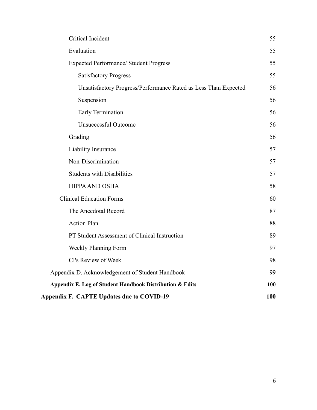| Critical Incident                                               | 55  |
|-----------------------------------------------------------------|-----|
| Evaluation                                                      | 55  |
| <b>Expected Performance/ Student Progress</b>                   | 55  |
| <b>Satisfactory Progress</b>                                    | 55  |
| Unsatisfactory Progress/Performance Rated as Less Than Expected | 56  |
| Suspension                                                      | 56  |
| Early Termination                                               | 56  |
| <b>Unsuccessful Outcome</b>                                     | 56  |
| Grading                                                         | 56  |
| Liability Insurance                                             | 57  |
| Non-Discrimination                                              | 57  |
| <b>Students with Disabilities</b>                               | 57  |
| <b>HIPPA AND OSHA</b>                                           | 58  |
| <b>Clinical Education Forms</b>                                 | 60  |
| The Anecdotal Record                                            | 87  |
| <b>Action Plan</b>                                              | 88  |
| PT Student Assessment of Clinical Instruction                   | 89  |
| Weekly Planning Form                                            | 97  |
| CI's Review of Week                                             | 98  |
| Appendix D. Acknowledgement of Student Handbook                 | 99  |
| Appendix E. Log of Student Handbook Distribution & Edits        | 100 |
| Appendix F. CAPTE Updates due to COVID-19                       | 100 |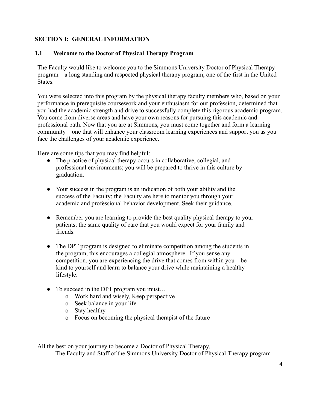## <span id="page-6-0"></span>**SECTION I: GENERAL INFORMATION**

## <span id="page-6-1"></span>**1.1 Welcome to the Doctor of Physical Therapy Program**

The Faculty would like to welcome you to the Simmons University Doctor of Physical Therapy program – a long standing and respected physical therapy program, one of the first in the United States.

You were selected into this program by the physical therapy faculty members who, based on your performance in prerequisite coursework and your enthusiasm for our profession, determined that you had the academic strength and drive to successfully complete this rigorous academic program. You come from diverse areas and have your own reasons for pursuing this academic and professional path. Now that you are at Simmons, you must come together and form a learning community – one that will enhance your classroom learning experiences and support you as you face the challenges of your academic experience.

Here are some tips that you may find helpful:

- The practice of physical therapy occurs in collaborative, collegial, and professional environments; you will be prepared to thrive in this culture by graduation.
- Your success in the program is an indication of both your ability and the success of the Faculty; the Faculty are here to mentor you through your academic and professional behavior development. Seek their guidance.
- Remember you are learning to provide the best quality physical therapy to your patients; the same quality of care that you would expect for your family and friends.
- The DPT program is designed to eliminate competition among the students in the program, this encourages a collegial atmosphere. If you sense any competition, you are experiencing the drive that comes from within you – be kind to yourself and learn to balance your drive while maintaining a healthy lifestyle.
- To succeed in the DPT program you must...
	- o Work hard and wisely, Keep perspective
	- o Seek balance in your life
	- o Stay healthy
	- o Focus on becoming the physical therapist of the future

All the best on your journey to become a Doctor of Physical Therapy,

-The Faculty and Staff of the Simmons University Doctor of Physical Therapy program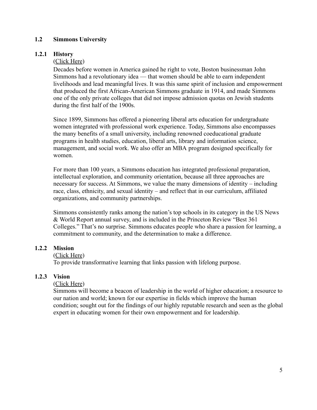## <span id="page-7-0"></span>**1.2 Simmons University**

#### <span id="page-7-1"></span>**1.2.1 History**

([Click Here](http://www.simmons.edu/about-simmons/why-simmons/history-of-simmons))

Decades before women in America gained he right to vote, Boston businessman John Simmons had a revolutionary idea — that women should be able to earn independent livelihoods and lead meaningful lives. It was this same spirit of inclusion and empowerment that produced the first African-American Simmons graduate in 1914, and made Simmons one of the only private colleges that did not impose admission quotas on Jewish students during the first half of the 1900s.

Since 1899, Simmons has offered a pioneering liberal arts education for undergraduate women integrated with professional work experience. Today, Simmons also encompasses the many benefits of a small university, including renowned coeducational graduate programs in health studies, education, liberal arts, library and information science, management, and social work. We also offer an MBA program designed specifically for women.

For more than 100 years, a Simmons education has integrated professional preparation, intellectual exploration, and community orientation, because all three approaches are necessary for success. At Simmons, we value the many dimensions of identity – including race, class, ethnicity, and sexual identity – and reflect that in our curriculum, affiliated organizations, and community partnerships.

Simmons consistently ranks among the nation's top schools in its category in the US News & World Report annual survey, and is included in the Princeton Review "Best 361 Colleges." That's no surprise. Simmons educates people who share a passion for learning, a commitment to community, and the determination to make a difference.

## <span id="page-7-2"></span>**1.2.2 Mission**

([Click Here](http://www.simmons.edu/about-simmons/why-simmons/our-mission))

To provide transformative learning that links passion with lifelong purpose.

#### <span id="page-7-3"></span>**1.2.3 Vision**

#### ([Click Here](http://www.simmons.edu/about-simmons/why-simmons/our-mission))

Simmons will become a beacon of leadership in the world of higher education; a resource to our nation and world; known for our expertise in fields which improve the human condition; sought out for the findings of our highly reputable research and seen as the global expert in educating women for their own empowerment and for leadership.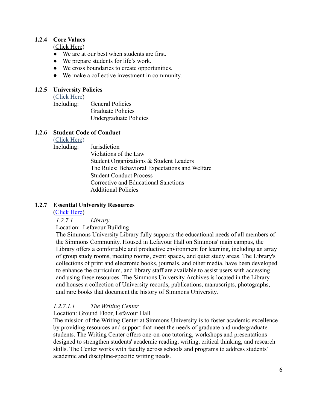## <span id="page-8-0"></span>**1.2.4 Core Values**

([Click Here](http://www.simmons.edu/about-simmons/why-simmons/our-mission))

- We are at our best when students are first.
- We prepare students for life's work.
- We cross boundaries to create opportunities.
- We make a collective investment in community.

## <span id="page-8-2"></span><span id="page-8-1"></span>**1.2.5 University Policies**

([Click Here](https://internal.simmons.edu/students/general/handbook/academic-policies))

Including: General Policies Graduate Policies Undergraduate Policies

#### <span id="page-8-4"></span><span id="page-8-3"></span>**1.2.6 Student Code of Conduct**

([Click Here](http://www2.simmons.edu/documents/students/Simmons-University-Code-of-Conduct.pdf))

Including: Jurisdiction Violations of the Law Student Organizations & Student Leaders The Rules: Behavioral Expectations and Welfare Student Conduct Process Corrective and Educational Sanctions Additional Policies

## <span id="page-8-6"></span><span id="page-8-5"></span>**1.2.7 Essential University Resources**

([Click Here](https://internal.simmons.edu/students/services))

*1.2.7.1 Library*

Location: Lefavour Building

The Simmons University Library fully supports the educational needs of all members of the Simmons Community. Housed in Lefavour Hall on Simmons' main campus, the Library offers a comfortable and productive environment for learning, including an array of group study rooms, meeting rooms, event spaces, and quiet study areas. The Library's collections of print and electronic books, journals, and other media, have been developed to enhance the curriculum, and library staff are available to assist users with accessing and using these resources. The Simmons University Archives is located in the Library and houses a collection of University records, publications, manuscripts, photographs, and rare books that document the history of Simmons University.

## <span id="page-8-7"></span>*1.2.7.1.1 The Writing Center*

Location: Ground Floor, Lefavour Hall

The mission of the Writing Center at Simmons University is to foster academic excellence by providing resources and support that meet the needs of graduate and undergraduate students. The Writing Center offers one-on-one tutoring, workshops and presentations designed to strengthen students' academic reading, writing, critical thinking, and research skills. The Center works with faculty across schools and programs to address students' academic and discipline-specific writing needs.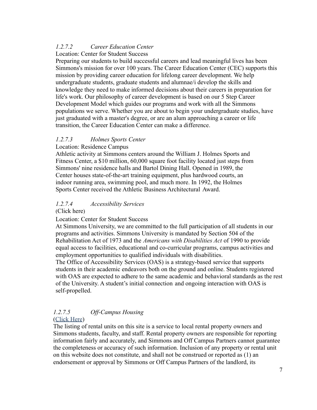## <span id="page-9-0"></span>*1.2.7.2 Career Education Center*

## Location: Center for Student Success

Preparing our students to build successful careers and lead meaningful lives has been Simmons's mission for over 100 years. The Career Education Center (CEC) supports this mission by providing career education for lifelong career development. We help undergraduate students, graduate students and alumnae/i develop the skills and knowledge they need to make informed decisions about their careers in preparation for life's work. Our philosophy of career development is based on our [5 Step Career](http://www.simmons.edu/cec/about/model/index.php) [Development Model](http://www.simmons.edu/cec/about/model/index.php) which guides our programs and work with all the Simmons populations we serve. Whether you are about to begin your undergraduate studies, have just graduated with a master's degree, or are an alum approaching a career or life transition, the Career Education Center can make a difference.

## <span id="page-9-1"></span>*1.2.7.3 Holmes Sports Center*

## Location: Residence Campus

Athletic activity at Simmons centers around the William J. Holmes Sports and Fitness Center, a \$10 million, 60,000 square foot facility located just steps from Simmons' nine residence halls and Bartol Dining Hall. Opened in 1989, the Center houses state-of-the-art training equipment, plus hardwood courts, an indoor running area, swimming pool, and much more. In 1992, the Holmes Sports Center received the Athletic Business Architectural Award.

## <span id="page-9-2"></span>*1.2.7.4 Accessibility Services*

#### [\(Click here\)](http://www.simmons.edu/academics/student-success/accessibility-services)

Location: Center for Student Success

At Simmons University, we are committed to the full participation of all students in our programs and activities. Simmons University is mandated by Section 504 of the Rehabilitation Act of 1973 and the *Americans with Disabilities Act* of 1990 to provide equal access to facilities, educational and co-curricular programs, campus activities and employment opportunities to qualified individuals with disabilities.

The Office of Accessibility Services (OAS) is a strategy-based service that supports students in their academic endeavors both on the ground and online. Students registered with OAS are expected to adhere to the same academic and behavioral standards as the rest of the University. A student's initial connection and ongoing interaction with OAS is self-propelled.

#### <span id="page-9-3"></span>*1.2.7.5 Off-Campus Housing* ([Click Here](https://www.simmonsoffcampus.com/))

The listing of rental units on this site is a service to local rental property owners and Simmons students, faculty, and staff. Rental property owners are responsible for reporting information fairly and accurately, and Simmons and Off Campus Partners cannot guarantee the completeness or accuracy of such information. Inclusion of any property or rental unit on this website does not constitute, and shall not be construed or reported as (1) an endorsement or approval by Simmons or Off Campus Partners of the landlord, its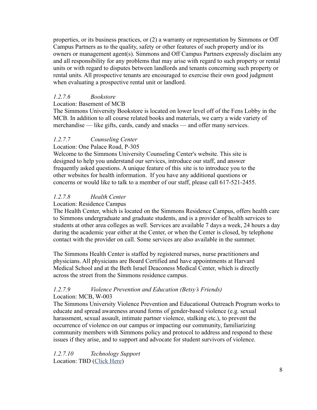properties, or its business practices, or (2) a warranty or representation by Simmons or Off Campus Partners as to the quality, safety or other features of such property and/or its owners or management agent(s). Simmons and Off Campus Partners expressly disclaim any and all responsibility for any problems that may arise with regard to such property or rental units or with regard to disputes between landlords and tenants concerning such property or rental units. All prospective tenants are encouraged to exercise their own good judgment when evaluating a prospective rental unit or landlord.

## *1.2.7.6 Bookstore*

Location: Basement of MCB

The Simmons University Bookstore is located on lower level off of the Fens Lobby in the MCB. In addition to all course related books and materials, we carry a wide variety of merchandise — like gifts, cards, candy and snacks — and offer many services.

## <span id="page-10-0"></span>*1.2.7.7 Counseling Center*

Location: One Palace Road, P-305

Welcome to the Simmons University Counseling Center's website. This site is designed to help you understand our services, introduce our staff, and answer frequently asked questions. A unique feature of this site is to introduce you to the other websites for health information. If you have any additional questions or concerns or would like to talk to a member of our staff, please call 617-521-2455.

## *1.2.7.8 Health Center*

#### Location: Residence Campus

The Health Center, which is located on the Simmons Residence Campus, offers health care to Simmons undergraduate and graduate students, and is a provider of health services to students at other area colleges as well. Services are available 7 days a week, 24 hours a day during the academic year either at the Center, or when the Center is closed, by telephone contact with the provider on call. Some services are also available in the summer.

The Simmons Health Center is staffed by registered nurses, nurse practitioners and physicians. All physicians are Board Certified and have appointments at Harvard Medical School and at the Beth Israel Deaconess Medical Center, which is directly across the street from the Simmons residence campus.

## <span id="page-10-1"></span>*1.2.7.9 Violence Prevention and Education (Betsy's Friends)* Location: MCB, W-003

The Simmons University Violence Prevention and Educational Outreach Program works to educate and spread awareness around forms of gender-based violence (e.g. sexual harassment, sexual assault, intimate partner violence, stalking etc.), to prevent the occurrence of violence on our campus or impacting our community, familiarizing community members with Simmons policy and protocol to address and respond to these issues if they arise, and to support and advocate for student survivors of violence.

<span id="page-10-2"></span>*[1.2.7.10](https://1.2.7.10) Technology Support* Location: TBD ([Click Here](http://internal.simmons.edu/students/general/technology/overview))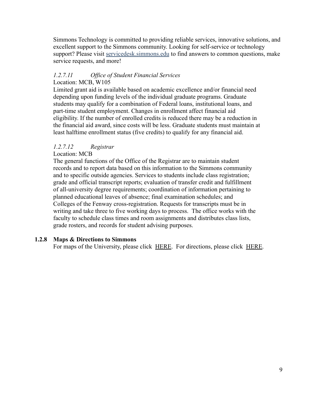Simmons Technology is committed to providing reliable services, innovative solutions, and excellent support to the Simmons community. Looking for self-service or technology support? Please visit [servicedesk.simmons.edu](http://servicedesk.simmons.edu/) to find answers to common questions, make service requests, and more!

## <span id="page-11-0"></span>*[1.2.7.11](https://1.2.7.11) Office of Student Financial Services* Location: MCB, W105

Limited grant aid is available based on academic excellence and/or financial need depending upon funding levels of the individual graduate programs. Graduate students may qualify for a combination of Federal loans, institutional loans, and part-time student employment. Changes in enrollment affect financial aid eligibility. If the number of enrolled credits is reduced there may be a reduction in the financial aid award, since costs will be less. Graduate students must maintain at least halftime enrollment status (five credits) to qualify for any financial aid.

## <span id="page-11-1"></span>*[1.2.7.12](https://1.2.7.12) Registrar*

Location: MCB

The general functions of the Office of the Registrar are to maintain student records and to report data based on this information to the Simmons community and to specific outside agencies. Services to students include class registration; grade and official transcript reports; evaluation of transfer credit and fulfillment of all-university degree requirements; coordination of information pertaining to planned educational leaves of absence; final examination schedules; and Colleges of the Fenway cross-registration. Requests for transcripts must be in writing and take three to five working days to process. The office works with the faculty to schedule class times and room assignments and distributes class lists, grade rosters, and records for student advising purposes.

## <span id="page-11-2"></span>**1.2.8 Maps & Directions to Simmons**

For maps of the University, please click [HERE.](http://www.simmons.edu/about-simmons/contact-us/campus-maps) For directions, please click [HERE.](http://www.simmons.edu/about-simmons/contact-us/directions)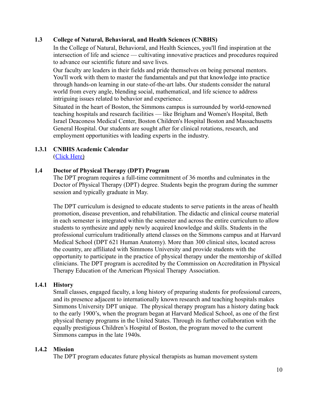## <span id="page-12-0"></span>**1.3 College of Natural, Behavioral, and Health Sciences (CNBHS)**

In the College of Natural, Behavioral, and Health Sciences, you'll find inspiration at the intersection of life and science — cultivating innovative practices and procedures required to advance our scientific future and save lives.

<span id="page-12-1"></span>Our faculty are leaders in their fields and pride themselves on being personal mentors. You'll work with them to master the fundamentals and put that knowledge into practice through hands-on learning in our state-of-the-art labs. Our students consider the natural world from every angle, blending social, mathematical, and life science to address intriguing issues related to behavior and experience.

<span id="page-12-2"></span>Situated in the heart of Boston, the Simmons campus is surrounded by world-renowned teaching hospitals and research facilities — like Brigham and Women's Hospital, Beth Israel Deaconess Medical Center, Boston Children's Hospital Boston and Massachusetts General Hospital. Our students are sought after for clinical rotations, research, and employment opportunities with leading experts in the industry.

#### <span id="page-12-4"></span><span id="page-12-3"></span>**1.3.1 CNBHS Academic Calendar** ([Click Here](http://www.simmons.edu/academics/academic-calendar))

## <span id="page-12-5"></span>**1.4 Doctor of Physical Therapy (DPT) Program**

The DPT program requires a full-time commitment of 36 months and culminates in the Doctor of Physical Therapy (DPT) degree. Students begin the program during the summer session and typically graduate in May.

The DPT curriculum is designed to educate students to serve patients in the areas of health promotion, disease prevention, and rehabilitation. The didactic and clinical course material in each semester is integrated within the semester and across the entire curriculum to allow students to synthesize and apply newly acquired knowledge and skills. Students in the professional curriculum traditionally attend classes on the Simmons campus and at Harvard Medical School (DPT 621 Human Anatomy). More than 300 clinical sites, located across the country, are affiliated with Simmons University and provide students with the opportunity to participate in the practice of physical therapy under the mentorship of skilled clinicians. The DPT program is accredited by the Commission on Accreditation in Physical Therapy Education of the American Physical Therapy Association.

#### <span id="page-12-6"></span>**1.4.1 History**

Small classes, engaged faculty, a long history of preparing students for professional careers, and its presence adjacent to internationally known research and teaching hospitals makes Simmons University DPT unique. The physical therapy program has a history dating back to the early 1900's, when the program began at Harvard Medical School, as one of the first physical therapy programs in the United States. Through its further collaboration with the equally prestigious Children's Hospital of Boston, the program moved to the current Simmons campus in the late 1940s.

#### <span id="page-12-7"></span>**1.4.2 Mission**

The DPT program educates future physical therapists as human movement system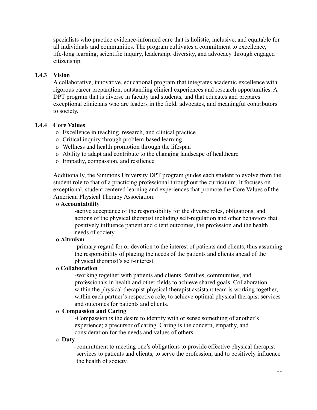specialists who practice evidence-informed care that is holistic, inclusive, and equitable for all individuals and communities. The program cultivates a commitment to excellence, life-long learning, scientific inquiry, leadership, diversity, and advocacy through engaged citizenship.

## <span id="page-13-0"></span>**1.4.3 Vision**

A collaborative, innovative, educational program that integrates academic excellence with rigorous career preparation, outstanding clinical experiences and research opportunities. A DPT program that is diverse in faculty and students, and that educates and prepares exceptional clinicians who are leaders in the field, advocates, and meaningful contributors to society.

#### <span id="page-13-1"></span>**1.4.4 Core Values**

o Excellence in teaching, research, and clinical practice

- o Critical inquiry through problem-based learning
- o Wellness and health promotion through the lifespan
- o Ability to adapt and contribute to the changing landscape of healthcare
- o Empathy, compassion, and resilience

Additionally, the Simmons University DPT program guides each student to evolve from the student role to that of a practicing professional throughout the curriculum. It focuses on exceptional, student centered learning and experiences that promote the Core Values of the American Physical Therapy Association:

#### o **Accountability**

-active acceptance of the responsibility for the diverse roles, obligations, and actions of the physical therapist including self-regulation and other behaviors that positively influence patient and client outcomes, the profession and the health needs of society.

#### o **Altruism**

-primary regard for or devotion to the interest of patients and clients, thus assuming the responsibility of placing the needs of the patients and clients ahead of the physical therapist's self-interest.

## o **Collaboration**

-working together with patients and clients, families, communities, and professionals in health and other fields to achieve shared goals. Collaboration within the physical therapist-physical therapist assistant team is working together, within each partner's respective role, to achieve optimal physical therapist services and outcomes for patients and clients.

## o **Compassion and Caring**

-Compassion is the desire to identify with or sense something of another's experience; a precursor of caring. Caring is the concern, empathy, and consideration for the needs and values of others.

#### o **Duty**

-commitment to meeting one's obligations to provide effective physical therapist services to patients and clients, to serve the profession, and to positively influence the health of society.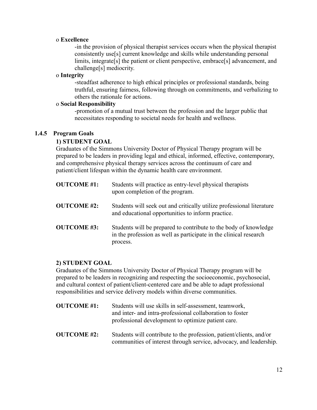#### o **Excellence**

-in the provision of physical therapist services occurs when the physical therapist consistently use[s] current knowledge and skills while understanding personal limits, integrate[s] the patient or client perspective, embrace[s] advancement, and challenge[s] mediocrity.

#### o **Integrity**

-steadfast adherence to high ethical principles or professional standards, being truthful, ensuring fairness, following through on commitments, and verbalizing to others the rationale for actions.

## o **Social Responsibility**

-promotion of a mutual trust between the profession and the larger public that necessitates responding to societal needs for health and wellness.

## <span id="page-14-0"></span>**1.4.5 Program Goals**

## **1) STUDENT GOAL**

Graduates of the Simmons University Doctor of Physical Therapy program will be prepared to be leaders in providing legal and ethical, informed, effective, contemporary, and comprehensive physical therapy services across the continuum of care and patient/client lifespan within the dynamic health care environment.

| <b>OUTCOME</b> #1: | Students will practice as entry-level physical therapists<br>upon completion of the program.                                                      |
|--------------------|---------------------------------------------------------------------------------------------------------------------------------------------------|
| <b>OUTCOME #2:</b> | Students will seek out and critically utilize professional literature<br>and educational opportunities to inform practice.                        |
| <b>OUTCOME #3:</b> | Students will be prepared to contribute to the body of knowledge<br>in the profession as well as participate in the clinical research<br>process. |

## **2) STUDENT GOAL**

Graduates of the Simmons University Doctor of Physical Therapy program will be prepared to be leaders in recognizing and respecting the socioeconomic, psychosocial, and cultural context of patient/client-centered care and be able to adapt professional responsibilities and service delivery models within diverse communities.

| <b>OUTCOME</b> #1: | Students will use skills in self-assessment, teamwork,<br>and inter- and intra-professional collaboration to foster<br>professional development to optimize patient care. |  |  |
|--------------------|---------------------------------------------------------------------------------------------------------------------------------------------------------------------------|--|--|
| <b>OUTCOME</b> #2: | Students will contribute to the profession, patient/clients, and/or<br>communities of interest through service, advocacy, and leadership.                                 |  |  |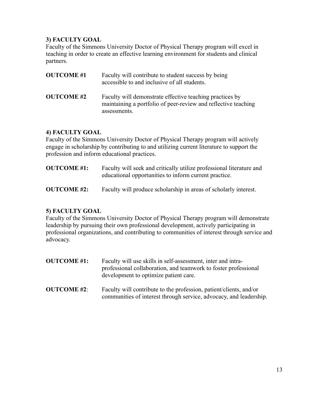## **3) FACULTY GOAL**

Faculty of the Simmons University Doctor of Physical Therapy program will excel in teaching in order to create an effective learning environment for students and clinical partners.

| <b>OUTCOME#1</b>  | Faculty will contribute to student success by being<br>accessible to and inclusive of all students.                                        |
|-------------------|--------------------------------------------------------------------------------------------------------------------------------------------|
| <b>OUTCOME</b> #2 | Faculty will demonstrate effective teaching practices by<br>maintaining a portfolio of peer-review and reflective teaching<br>assessments. |

## **4) FACULTY GOAL**

Faculty of the Simmons University Doctor of Physical Therapy program will actively engage in scholarship by contributing to and utilizing current literature to support the profession and inform educational practices.

- **OUTCOME #1:** Faculty will seek and critically utilize professional literature and educational opportunities to inform current practice.
- **OUTCOME #2:** Faculty will produce scholarship in areas of scholarly interest.

## **5) FACULTY GOAL**

Faculty of the Simmons University Doctor of Physical Therapy program will demonstrate leadership by pursuing their own professional development, actively participating in professional organizations, and contributing to communities of interest through service and advocacy.

- **OUTCOME #1:** Faculty will use skills in self-assessment, inter and intraprofessional collaboration, and teamwork to foster professional development to optimize patient care.
- **OUTCOME #2**: Faculty will contribute to the profession, patient/clients, and/or communities of interest through service, advocacy, and leadership.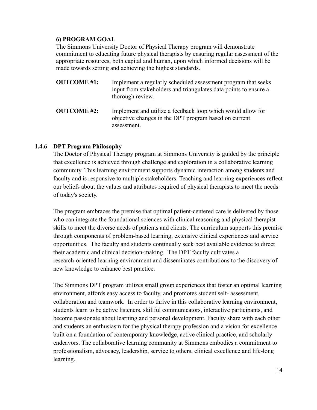## **6) PROGRAM GOAL**

The Simmons University Doctor of Physical Therapy program will demonstrate commitment to educating future physical therapists by ensuring regular assessment of the appropriate resources, both capital and human, upon which informed decisions will be made towards setting and achieving the highest standards.

| <b>OUTCOME #1:</b> | Implement a regularly scheduled assessment program that seeks    |
|--------------------|------------------------------------------------------------------|
|                    | input from stakeholders and triangulates data points to ensure a |
|                    | thorough review.                                                 |
|                    |                                                                  |

**OUTCOME #2:** Implement and utilize a feedback loop which would allow for objective changes in the DPT program based on current assessment.

#### <span id="page-16-0"></span>**1.4.6 DPT Program Philosophy**

The Doctor of Physical Therapy program at Simmons University is guided by the principle that excellence is achieved through challenge and exploration in a collaborative learning community. This learning environment supports dynamic interaction among students and faculty and is responsive to multiple stakeholders. Teaching and learning experiences reflect our beliefs about the values and attributes required of physical therapists to meet the needs of today's society.

The program embraces the premise that optimal patient-centered care is delivered by those who can integrate the foundational sciences with clinical reasoning and physical therapist skills to meet the diverse needs of patients and clients. The curriculum supports this premise through components of problem-based learning, extensive clinical experiences and service opportunities. The faculty and students continually seek best available evidence to direct their academic and clinical decision-making. The DPT faculty cultivates a research-oriented learning environment and disseminates contributions to the discovery of new knowledge to enhance best practice.

The Simmons DPT program utilizes small group experiences that foster an optimal learning environment, affords easy access to faculty, and promotes student self- assessment, collaboration and teamwork. In order to thrive in this collaborative learning environment, students learn to be active listeners, skillful communicators, interactive participants, and become passionate about learning and personal development. Faculty share with each other and students an enthusiasm for the physical therapy profession and a vision for excellence built on a foundation of contemporary knowledge, active clinical practice, and scholarly endeavors. The collaborative learning community at Simmons embodies a commitment to professionalism, advocacy, leadership, service to others, clinical excellence and life-long learning.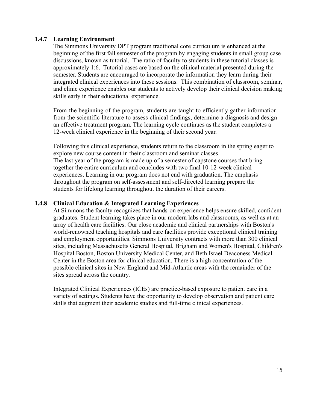## <span id="page-17-0"></span>**1.4.7 Learning Environment**

The Simmons University DPT program traditional core curriculum is enhanced at the beginning of the first fall semester of the program by engaging students in small group case discussions, known as tutorial. The ratio of faculty to students in these tutorial classes is approximately 1:6. Tutorial cases are based on the clinical material presented during the semester. Students are encouraged to incorporate the information they learn during their integrated clinical experiences into these sessions. This combination of classroom, seminar, and clinic experience enables our students to actively develop their clinical decision making skills early in their educational experience.

From the beginning of the program, students are taught to efficiently gather information from the scientific literature to assess clinical findings, determine a diagnosis and design an effective treatment program. The learning cycle continues as the student completes a 12-week clinical experience in the beginning of their second year.

Following this clinical experience, students return to the classroom in the spring eager to explore new course content in their classroom and seminar classes. The last year of the program is made up of a semester of capstone courses that bring together the entire curriculum and concludes with two final 10-12-week clinical experiences. Learning in our program does not end with graduation. The emphasis throughout the program on self-assessment and self-directed learning prepare the students for lifelong learning throughout the duration of their careers.

## <span id="page-17-1"></span>**1.4.8 Clinical Education & Integrated Learning Experiences**

At Simmons the faculty recognizes that hands-on experience helps ensure skilled, confident graduates. Student learning takes place in our modern labs and classrooms, as well as at an array of health care facilities. Our close academic and clinical partnerships with Boston's world-renowned teaching hospitals and care facilities provide exceptional clinical training and employment opportunities. Simmons University contracts with more than 300 clinical sites, including Massachusetts General Hospital, Brigham and Women's Hospital, Children's Hospital Boston, Boston University Medical Center, and Beth Israel Deaconess Medical Center in the Boston area for clinical education. There is a high concentration of the possible clinical sites in New England and Mid-Atlantic areas with the remainder of the sites spread across the country.

Integrated Clinical Experiences (ICEs) are practice-based exposure to patient care in a variety of settings. Students have the opportunity to develop observation and patient care skills that augment their academic studies and full-time clinical experiences.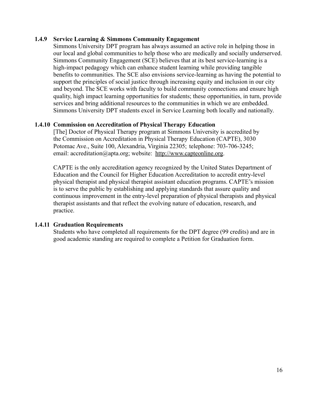#### <span id="page-18-0"></span>**1.4.9 Service Learning & Simmons Community Engagement**

Simmons University DPT program has always assumed an active role in helping those in our local and global communities to help those who are medically and socially underserved. Simmons Community Engagement (SCE) believes that at its best service-learning is a high-impact pedagogy which can enhance student learning while providing tangible benefits to communities. The SCE also envisions service-learning as having the potential to support the principles of social justice through increasing equity and inclusion in our city and beyond. The SCE works with faculty to build community connections and ensure high quality, high impact learning opportunities for students; these opportunities, in turn, provide services and bring additional resources to the communities in which we are embedded. Simmons University DPT students excel in Service Learning both locally and nationally.

## <span id="page-18-1"></span>**1.4.10 Commission on Accreditation of Physical Therapy Education**

[The] Doctor of Physical Therapy program at Simmons University is accredited by the Commission on Accreditation in Physical Therapy Education (CAPTE), 3030 Potomac Ave., Suite 100, Alexandria, Virginia 22305; telephone: 703-706-3245; email: [accreditation@apta.org;](mailto:accreditation@apta.org) website: [http://www.capteonline.org.](http://www.capteonline.org/)

CAPTE is the only accreditation agency recognized by the United States Department of Education and the Council for Higher Education Accreditation to accredit entry-level physical therapist and physical therapist assistant education programs. CAPTE's mission is to serve the public by establishing and applying standards that assure quality and continuous improvement in the entry-level preparation of physical therapists and physical therapist assistants and that reflect the evolving nature of education, research, and practice.

## <span id="page-18-2"></span>**1.4.11 Graduation Requirements**

Students who have completed all requirements for the DPT degree (99 credits) and are in good academic standing are required to complete a Petition for Graduation form.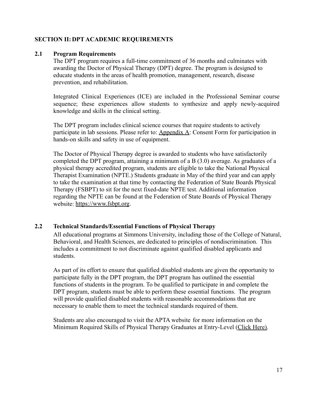## <span id="page-19-0"></span>**SECTION II:DPT ACADEMIC REQUIREMENTS**

#### <span id="page-19-1"></span>**2.1 Program Requirements**

The DPT program requires a full-time commitment of 36 months and culminates with awarding the Doctor of Physical Therapy (DPT) degree. The program is designed to educate students in the areas of health promotion, management, research, disease prevention, and rehabilitation.

Integrated Clinical Experiences (ICE) are included in the Professional Seminar course sequence; these experiences allow students to synthesize and apply newly-acquired knowledge and skills in the clinical setting.

The DPT program includes clinical science courses that require students to actively participate in lab sessions. Please refer to: Appendix A: Consent Form for participation in hands-on skills and safety in use of equipment.

The Doctor of Physical Therapy degree is awarded to students who have satisfactorily completed the DPT program, attaining a minimum of a B (3.0) average. As graduates of a physical therapy accredited program, students are eligible to take the National Physical Therapist Examination (NPTE.) Students graduate in May of the third year and can apply to take the examination at that time by contacting the Federation of State Boards Physical Therapy (FSBPT) to sit for the next fixed-date NPTE test. Additional information regarding the NPTE can be found at the Federation of State Boards of Physical Therapy website: [https://www.fsbpt.org](https://www.fsbpt.org/).

#### <span id="page-19-2"></span>**2.2 Technical Standards/Essential Functions of Physical Therapy**

All educational programs at Simmons University, including those of the College of Natural, Behavioral, and Health Sciences, are dedicated to principles of nondiscrimination. This includes a commitment to not discriminate against qualified disabled applicants and students.

As part of its effort to ensure that qualified disabled students are given the opportunity to participate fully in the DPT program, the DPT program has outlined the essential functions of students in the program. To be qualified to participate in and complete the DPT program, students must be able to perform these essential functions. The program will provide qualified disabled students with reasonable accommodations that are necessary to enable them to meet the technical standards required of them.

Students are also encouraged to visit the APTA website for more information on the Minimum Required Skills of Physical Therapy Graduates at Entry-Level [\(Click Here\).](https://acapt.org/docs/default-source/default-document-library/minimum-required-skills-of-physical-therapist-graduates-at-entry-level.pdf?sfvrsn=769c8bd8_2)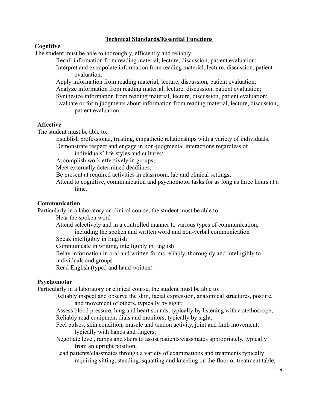## **Technical Standards/Essential Functions**

#### **Cognitive**

The student must be able to thoroughly, efficiently and reliably:

- Recall information from reading material, lecture, discussion, patient evaluation;
- Interpret and extrapolate information from reading material, lecture, discussion, patient evaluation;
- Apply information from reading material, lecture, discussion, patient evaluation; Analyze information from reading material, lecture, discussion, patient evaluation; Synthesize information from reading material, lecture, discussion, patient evaluation; Evaluate or form judgments about information from reading material, lecture, discussion, patient evaluation.

#### **Affective**

The student must be able to:

Establish professional, trusting, empathetic relationships with a variety of individuals;

Demonstrate respect and engage in non-judgmental interactions regardless of individuals' life-styles and cultures;

Accomplish work effectively in groups;

Meet externally determined deadlines;

Be present at required activities in classroom, lab and clinical settings;

Attend to cognitive, communication and psychomotor tasks for as long as three hours at a time.

#### **Communication**

Particularly in a laboratory or clinical course, the student must be able to:

Hear the spoken word

Attend selectively and in a controlled manner to various types of communication, including the spoken and written word and non-verbal communication

Speak intelligibly in English

Communicate in writing, intelligibly in English

Relay information in oral and written forms reliably, thoroughly and intelligibly to individuals and groups

Read English (typed and hand-written)

#### **Psychomotor**

Particularly in a laboratory or clinical course, the student must be able to:

Reliably inspect and observe the skin, facial expression, anatomical structures, posture, and movement of others, typically by sight;

Assess blood pressure, lung and heart sounds, typically by listening with a stethoscope; Reliably read equipment dials and monitors, typically by sight;

Feel pulses, skin condition, muscle and tendon activity, joint and limb movement, typically with hands and fingers;

Negotiate level, ramps and stairs to assist patients/classmates appropriately, typically from an upright position;

Lead patients/classmates through a variety of examinations and treatments typically requiring sitting, standing, squatting and kneeling on the floor or treatment table;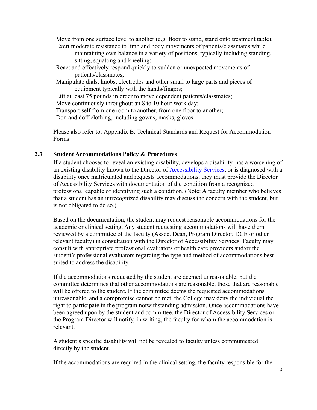Move from one surface level to another (e.g. floor to stand, stand onto treatment table); Exert moderate resistance to limb and body movements of patients/classmates while

maintaining own balance in a variety of positions, typically including standing, sitting, squatting and kneeling;

- React and effectively respond quickly to sudden or unexpected movements of patients/classmates;
- Manipulate dials, knobs, electrodes and other small to large parts and pieces of equipment typically with the hands/fingers;

Lift at least 75 pounds in order to move dependent patients/classmates;

Move continuously throughout an 8 to 10 hour work day;

Transport self from one room to another, from one floor to another;

Don and doff clothing, including gowns, masks, gloves.

Please also refer to: Appendix B: Technical Standards and Request for Accommodation Forms

#### <span id="page-21-0"></span>**2.3 Student Accommodations Policy & Procedures**

If a student chooses to reveal an existing disability, develops a disability, has a worsening of an existing disability known to the Director of **[Accessibility](https://www.simmons.edu/your-simmons/student-support-resources/accessibility-services) Services**, or is diagnosed with a disability once matriculated and requests accommodations, they must provide the Director of Accessibility Services with documentation of the condition from a recognized professional capable of identifying such a condition. (Note: A faculty member who believes that a student has an unrecognized disability may discuss the concern with the student, but is not obligated to do so.)

Based on the documentation, the student may request reasonable accommodations for the academic or clinical setting. Any student requesting accommodations will have them reviewed by a committee of the faculty (Assoc. Dean, Program Director, DCE or other relevant faculty) in consultation with the Director of Accessibility Services. Faculty may consult with appropriate professional evaluators or health care providers and/or the student's professional evaluators regarding the type and method of accommodations best suited to address the disability.

If the accommodations requested by the student are deemed unreasonable, but the committee determines that other accommodations are reasonable, those that are reasonable will be offered to the student. If the committee deems the requested accommodations unreasonable, and a compromise cannot be met, the College may deny the individual the right to participate in the program notwithstanding admission. Once accommodations have been agreed upon by the student and committee, the Director of Accessibility Services or the Program Director will notify, in writing, the faculty for whom the accommodation is relevant.

A student's specific disability will not be revealed to faculty unless communicated directly by the student.

If the accommodations are required in the clinical setting, the faculty responsible for the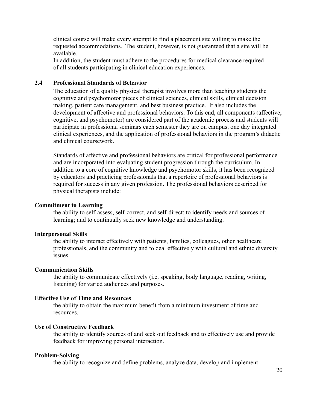clinical course will make every attempt to find a placement site willing to make the requested accommodations. The student, however, is not guaranteed that a site will be available.

In addition, the student must adhere to the procedures for medical clearance required of all students participating in clinical education experiences.

#### <span id="page-22-0"></span>**2.4 Professional Standards of Behavior**

The education of a quality physical therapist involves more than teaching students the cognitive and psychomotor pieces of clinical sciences, clinical skills, clinical decision making, patient care management, and best business practice. It also includes the development of affective and professional behaviors. To this end, all components (affective, cognitive, and psychomotor) are considered part of the academic process and students will participate in professional seminars each semester they are on campus, one day integrated clinical experiences, and the application of professional behaviors in the program's didactic and clinical coursework.

Standards of affective and professional behaviors are critical for professional performance and are incorporated into evaluating student progression through the curriculum. In addition to a core of cognitive knowledge and psychomotor skills, it has been recognized by educators and practicing professionals that a repertoire of professional behaviors is required for success in any given profession. The professional behaviors described for physical therapists include:

#### **Commitment to Learning**

the ability to self-assess, self-correct, and self-direct; to identify needs and sources of learning; and to continually seek new knowledge and understanding.

#### **Interpersonal Skills**

the ability to interact effectively with patients, families, colleagues, other healthcare professionals, and the community and to deal effectively with cultural and ethnic diversity issues.

#### **Communication Skills**

the ability to communicate effectively (i.e. speaking, body language, reading, writing, listening) for varied audiences and purposes.

#### **Effective Use of Time and Resources**

the ability to obtain the maximum benefit from a minimum investment of time and resources.

#### **Use of Constructive Feedback**

the ability to identify sources of and seek out feedback and to effectively use and provide feedback for improving personal interaction.

#### **Problem-Solving**

the ability to recognize and define problems, analyze data, develop and implement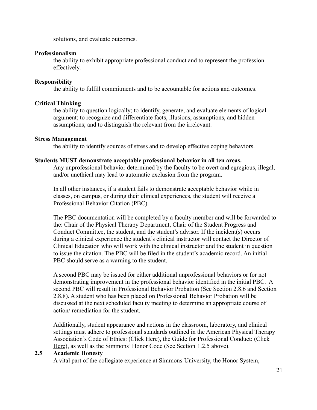solutions, and evaluate outcomes.

#### **Professionalism**

the ability to exhibit appropriate professional conduct and to represent the profession effectively.

#### **Responsibility**

the ability to fulfill commitments and to be accountable for actions and outcomes.

## **Critical Thinking**

the ability to question logically; to identify, generate, and evaluate elements of logical argument; to recognize and differentiate facts, illusions, assumptions, and hidden assumptions; and to distinguish the relevant from the irrelevant.

## **Stress Management**

the ability to identify sources of stress and to develop effective coping behaviors.

#### **Students MUST demonstrate acceptable professional behavior in all ten areas.**

Any unprofessional behavior determined by the faculty to be overt and egregious, illegal, and/or unethical may lead to automatic exclusion from the program.

In all other instances, if a student fails to demonstrate acceptable behavior while in classes, on campus, or during their clinical experiences, the student will receive a Professional Behavior Citation (PBC).

The PBC documentation will be completed by a faculty member and will be forwarded to the: Chair of the Physical Therapy Department, Chair of the Student Progress and Conduct Committee, the student, and the student's advisor. If the incident(s) occurs during a clinical experience the student's clinical instructor will contact the Director of Clinical Education who will work with the clinical instructor and the student in question to issue the citation. The PBC will be filed in the student's academic record. An initial PBC should serve as a warning to the student.

A second PBC may be issued for either additional unprofessional behaviors or for not demonstrating improvement in the professional behavior identified in the initial PBC. A second PBC will result in Professional Behavior Probation (See Section 2.8.6 and Section 2.8.8). A student who has been placed on Professional Behavior Probation will be discussed at the next scheduled faculty meeting to determine an appropriate course of action/ remediation for the student.

Additionally, student appearance and actions in the classroom, laboratory, and clinical settings must adhere to professional standards outlined in the American Physical Therapy Association's Code of Ethics: [\(Click Here\)](https://www.apta.org/apta-and-you/leadership-and-governance/policies/code-of-ethics-for-the-physical-therapist), the Guide for Professional Conduct: ([Click](http://www.apta.org/uploadedFiles/APTAorg/Practice_and_Patient_Care/Ethics/GuideforProfessionalConduct.pdf) [Here](http://www.apta.org/uploadedFiles/APTAorg/Practice_and_Patient_Care/Ethics/GuideforProfessionalConduct.pdf)), as well as the Simmons' Honor Code (See Section 1.2.5 above).

#### <span id="page-23-0"></span>**2.5 Academic Honesty**

A vital part of the collegiate experience at Simmons University, the Honor System,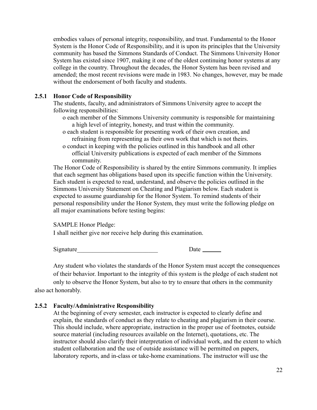embodies values of personal integrity, responsibility, and trust. Fundamental to the Honor System is the Honor Code of Responsibility, and it is upon its principles that the University community has based the Simmons Standards of Conduct. The Simmons University Honor System has existed since 1907, making it one of the oldest continuing honor systems at any college in the country. Throughout the decades, the Honor System has been revised and amended; the most recent revisions were made in 1983. No changes, however, may be made without the endorsement of both faculty and students.

#### <span id="page-24-0"></span>**2.5.1 Honor Code of Responsibility**

The students, faculty, and administrators of Simmons University agree to accept the following responsibilities:

- o each member of the Simmons University community is responsible for maintaining a high level of integrity, honesty, and trust within the community.
- o each student is responsible for presenting work of their own creation, and refraining from representing as their own work that which is not theirs.
- o conduct in keeping with the policies outlined in this handbook and all other official University publications is expected of each member of the Simmons community.

The Honor Code of Responsibility is shared by the entire Simmons community. It implies that each segment has obligations based upon its specific function within the University. Each student is expected to read, understand, and observe the policies outlined in the Simmons University Statement on Cheating and Plagiarism below. Each student is expected to assume guardianship for the Honor System. To remind students of their personal responsibility under the Honor System, they must write the following pledge on all major examinations before testing begins:

#### SAMPLE Honor Pledge:

I shall neither give nor receive help during this examination.

Signature Date

Any student who violates the standards of the Honor System must accept the consequences of their behavior. Important to the integrity of this system is the pledge of each student not only to observe the Honor System, but also to try to ensure that others in the community also act honorably.

## <span id="page-24-1"></span>**2.5.2 Faculty/Administrative Responsibility**

At the beginning of every semester, each instructor is expected to clearly define and explain, the standards of conduct as they relate to cheating and plagiarism in their course. This should include, where appropriate, instruction in the proper use of footnotes, outside source material (including resources available on the Internet), quotations, etc. The instructor should also clarify their interpretation of individual work, and the extent to which student collaboration and the use of outside assistance will be permitted on papers, laboratory reports, and in-class or take-home examinations. The instructor will use the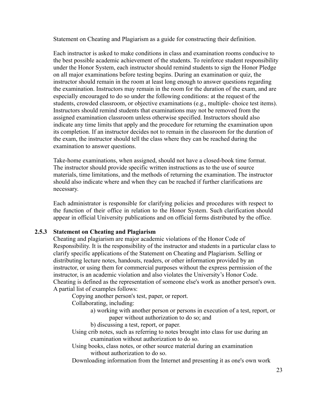Statement on Cheating and Plagiarism as a guide for constructing their definition.

Each instructor is asked to make conditions in class and examination rooms conducive to the best possible academic achievement of the students. To reinforce student responsibility under the Honor System, each instructor should remind students to sign the Honor Pledge on all major examinations before testing begins. During an examination or quiz, the instructor should remain in the room at least long enough to answer questions regarding the examination. Instructors may remain in the room for the duration of the exam, and are especially encouraged to do so under the following conditions: at the request of the students, crowded classroom, or objective examinations (e.g., multiple- choice test items). Instructors should remind students that examinations may not be removed from the assigned examination classroom unless otherwise specified. Instructors should also indicate any time limits that apply and the procedure for returning the examination upon its completion. If an instructor decides not to remain in the classroom for the duration of the exam, the instructor should tell the class where they can be reached during the examination to answer questions.

Take-home examinations, when assigned, should not have a closed-book time format. The instructor should provide specific written instructions as to the use of source materials, time limitations, and the methods of returning the examination. The instructor should also indicate where and when they can be reached if further clarifications are necessary.

Each administrator is responsible for clarifying policies and procedures with respect to the function of their office in relation to the Honor System. Such clarification should appear in official University publications and on official forms distributed by the office.

#### <span id="page-25-0"></span>**2.5.3 Statement on Cheating and Plagiarism**

Cheating and plagiarism are major academic violations of the Honor Code of Responsibility. It is the responsibility of the instructor and students in a particular class to clarify specific applications of the Statement on Cheating and Plagiarism. Selling or distributing lecture notes, handouts, readers, or other information provided by an instructor, or using them for commercial purposes without the express permission of the instructor, is an academic violation and also violates the University's Honor Code. Cheating is defined as the representation of someone else's work as another person's own. A partial list of examples follows:

Copying another person's test, paper, or report.

Collaborating, including:

a) working with another person or persons in execution of a test, report, or paper without authorization to do so; and

b) discussing a test, report, or paper.

Using crib notes, such as referring to notes brought into class for use during an examination without authorization to do so.

Using books, class notes, or other source material during an examination without authorization to do so.

Downloading information from the Internet and presenting it as one's own work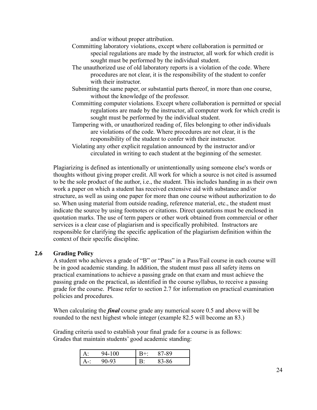and/or without proper attribution.

- Committing laboratory violations, except where collaboration is permitted or special regulations are made by the instructor, all work for which credit is sought must be performed by the individual student.
- The unauthorized use of old laboratory reports is a violation of the code. Where procedures are not clear, it is the responsibility of the student to confer with their instructor.
- Submitting the same paper, or substantial parts thereof, in more than one course, without the knowledge of the professor.
- Committing computer violations. Except where collaboration is permitted or special regulations are made by the instructor, all computer work for which credit is sought must be performed by the individual student.
- Tampering with, or unauthorized reading of, files belonging to other individuals are violations of the code. Where procedures are not clear, it is the responsibility of the student to confer with their instructor.
- Violating any other explicit regulation announced by the instructor and/or circulated in writing to each student at the beginning of the semester.

Plagiarizing is defined as intentionally or unintentionally using someone else's words or thoughts without giving proper credit. All work for which a source is not cited is assumed to be the sole product of the author, i.e., the student. This includes handing in as their own work a paper on which a student has received extensive aid with substance and/or structure, as well as using one paper for more than one course without authorization to do so. When using material from outside reading, reference material, etc., the student must indicate the source by using footnotes or citations. Direct quotations must be enclosed in quotation marks. The use of term papers or other work obtained from commercial or other services is a clear case of plagiarism and is specifically prohibited. Instructors are responsible for clarifying the specific application of the plagiarism definition within the context of their specific discipline.

#### <span id="page-26-0"></span>**2.6 Grading Policy**

A student who achieves a grade of "B" or "Pass" in a Pass/Fail course in each course will be in good academic standing. In addition, the student must pass all safety items on practical examinations to achieve a passing grade on that exam and must achieve the passing grade on the practical, as identified in the course syllabus, to receive a passing grade for the course. Please refer to section 2.7 for information on practical examination policies and procedures.

When calculating the *final* course grade any numerical score 0.5 and above will be rounded to the next highest whole integer (example 82.5 will become an 83.)

Grading criteria used to establish your final grade for a course is as follows: Grades that maintain students' good academic standing:

| 0 <sup>o</sup> |   | 7-89 |  |
|----------------|---|------|--|
|                | ◡ | 86   |  |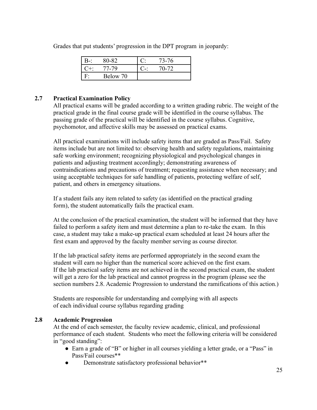|  | Grades that put students' progression in the DPT program in jeopardy: |  |  |  |
|--|-----------------------------------------------------------------------|--|--|--|
|  |                                                                       |  |  |  |

|                    | 76 |
|--------------------|----|
| 79                 |    |
| <b>Below</b><br>70 |    |

## <span id="page-27-0"></span>**2.7 Practical Examination Policy**

All practical exams will be graded according to a written grading rubric. The weight of the practical grade in the final course grade will be identified in the course syllabus. The passing grade of the practical will be identified in the course syllabus. Cognitive, psychomotor, and affective skills may be assessed on practical exams.

All practical examinations will include safety items that are graded as Pass/Fail. Safety items include but are not limited to: observing health and safety regulations, maintaining safe working environment; recognizing physiological and psychological changes in patients and adjusting treatment accordingly; demonstrating awareness of contraindications and precautions of treatment; requesting assistance when necessary; and using acceptable techniques for safe handling of patients, protecting welfare of self, patient, and others in emergency situations.

If a student fails any item related to safety (as identified on the practical grading form), the student automatically fails the practical exam.

At the conclusion of the practical examination, the student will be informed that they have failed to perform a safety item and must determine a plan to re-take the exam. In this case, a student may take a make-up practical exam scheduled at least 24 hours after the first exam and approved by the faculty member serving as course director.

If the lab practical safety items are performed appropriately in the second exam the student will earn no higher than the numerical score achieved on the first exam. If the lab practical safety items are not achieved in the second practical exam, the student will get a zero for the lab practical and cannot progress in the program (please see the section numbers 2.8. Academic Progression to understand the ramifications of this action.)

Students are responsible for understanding and complying with all aspects of each individual course syllabus regarding grading

#### <span id="page-27-1"></span>**2.8 Academic Progression**

At the end of each semester, the faculty review academic, clinical, and professional performance of each student. Students who meet the following criteria will be considered in "good standing":

- Earn a grade of "B" or higher in all courses yielding a letter grade, or a "Pass" in Pass/Fail courses\*\*
- Demonstrate satisfactory professional behavior<sup>\*\*</sup>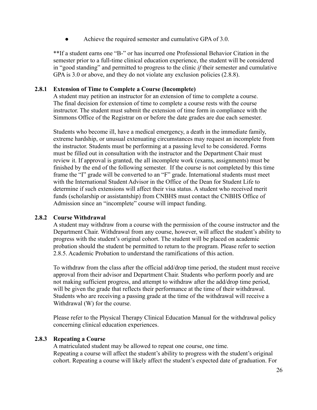Achieve the required semester and cumulative GPA of 3.0.

\*\*If a student earns one "B-" or has incurred one Professional Behavior Citation in the semester prior to a full-time clinical education experience, the student will be considered in "good standing" and permitted to progress to the clinic *if* their semester and cumulative GPA is 3.0 or above, and they do not violate any exclusion policies (2.8.8).

## <span id="page-28-0"></span>**2.8.1 Extension of Time to Complete a Course (Incomplete)**

A student may petition an instructor for an extension of time to complete a course. The final decision for extension of time to complete a course rests with the course instructor. The student must submit the extension of time form in compliance with the Simmons Office of the Registrar on or before the date grades are due each semester.

Students who become ill, have a medical emergency, a death in the immediate family, extreme hardship, or unusual extenuating circumstances may request an incomplete from the instructor. Students must be performing at a passing level to be considered. Forms must be filled out in consultation with the instructor and the Department Chair must review it. If approval is granted, the all incomplete work (exams, assignments) must be finished by the end of the following semester. If the course is not completed by this time frame the "I" grade will be converted to an "F" grade. International students must meet with the International Student Advisor in the Office of the Dean for Student Life to determine if such extensions will affect their visa status. A student who received merit funds (scholarship or assistantship) from CNBHS must contact the CNBHS Office of Admission since an "incomplete" course will impact funding.

#### <span id="page-28-1"></span>**2.8.2 Course Withdrawal**

A student may withdraw from a course with the permission of the course instructor and the Department Chair. Withdrawal from any course, however, will affect the student's ability to progress with the student's original cohort. The student will be placed on academic probation should the student be permitted to return to the program. Please refer to section 2.8.5. Academic Probation to understand the ramifications of this action.

To withdraw from the class after the official add/drop time period, the student must receive approval from their advisor and Department Chair. Students who perform poorly and are not making sufficient progress, and attempt to withdraw after the add/drop time period, will be given the grade that reflects their performance at the time of their withdrawal. Students who are receiving a passing grade at the time of the withdrawal will receive a Withdrawal (W) for the course.

Please refer to the Physical Therapy Clinical Education Manual for the withdrawal policy concerning clinical education experiences.

#### <span id="page-28-2"></span>**2.8.3 Repeating a Course**

A matriculated student may be allowed to repeat one course, one time. Repeating a course will affect the student's ability to progress with the student's original cohort. Repeating a course will likely affect the student's expected date of graduation. For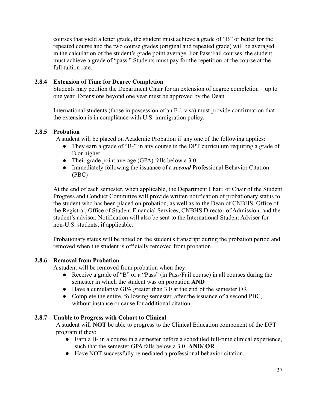courses that yield a letter grade, the student must achieve a grade of "B" or better for the repeated course and the two course grades (original and repeated grade) will be averaged in the calculation of the student's grade point average. For Pass/Fail courses, the student must achieve a grade of "pass." Students must pay for the repetition of the course at the full tuition rate.

## <span id="page-29-0"></span>**2.8.4 Extension of Time for Degree Completion**

Students may petition the Department Chair for an extension of degree completion – up to one year. Extensions beyond one year must be approved by the Dean.

International students (those in possession of an F-1 visa) must provide confirmation that the extension is in compliance with U.S. immigration policy.

## <span id="page-29-1"></span>**2.8.5 Probation**

A student will be placed on Academic Probation if any one of the following applies:

- They earn a grade of "B-" in any course in the DPT curriculum requiring a grade of B or higher.
- Their grade point average (GPA) falls below a 3.0.
- Immediately following the issuance of a *second* Professional Behavior Citation (PBC)

At the end of each semester, when applicable, the Department Chair, or Chair of the Student Progress and Conduct Committee will provide written notification of probationary status to the student who has been placed on probation, as well as to the Dean of CNBHS, Office of the Registrar, Office of Student Financial Services, CNBHS Director of Admission, and the student's advisor. Notification will also be sent to the International Student Adviser for non-U.S. students, if applicable.

Probationary status will be noted on the student's transcript during the probation period and removed when the student is officially removed from probation.

## <span id="page-29-2"></span>**2.8.6 Removal from Probation**

A student will be removed from probation when they:

- Receive a grade of "B" or a "Pass" (in Pass/Fail course) in all courses during the semester in which the student was on probation **AND**
- Have a cumulative GPA greater than 3.0 at the end of the semester OR
- Complete the entire, following semester, after the issuance of a second PBC, without instance or cause for additional citation.

## <span id="page-29-3"></span>**2.8.7 Unable to Progress with Cohort to Clinical**

A student will **NOT** be able to progress to the Clinical Education component of the DPT program if they:

- Earn a B- in a course in a semester before a scheduled full-time clinical experience, such that the semester GPA falls below a 3.0 **AND/ OR**
- Have NOT successfully remediated a professional behavior citation.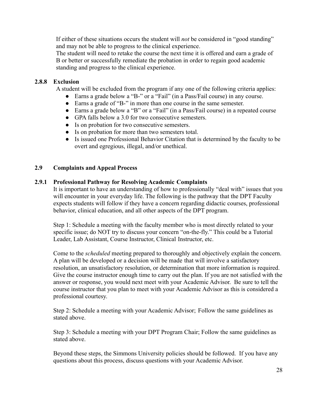If either of these situations occurs the student will *not* be considered in "good standing" and may not be able to progress to the clinical experience.

The student will need to retake the course the next time it is offered and earn a grade of B or better or successfully remediate the probation in order to regain good academic standing and progress to the clinical experience.

## <span id="page-30-0"></span>**2.8.8 Exclusion**

A student will be excluded from the program if any one of the following criteria applies:

- Earns a grade below a "B-" or a "Fail" (in a Pass/Fail course) in any course.
- Earns a grade of "B-" in more than one course in the same semester.
- Earns a grade below a "B" or a "Fail" (in a Pass/Fail course) in a repeated course
- GPA falls below a 3.0 for two consecutive semesters.
- Is on probation for two consecutive semesters.
- Is on probation for more than two semesters total.
- Is issued one Professional Behavior Citation that is determined by the faculty to be overt and egregious, illegal, and/or unethical.

## <span id="page-30-1"></span>**2.9 Complaints and Appeal Process**

## <span id="page-30-2"></span>**2.9.1 Professional Pathway for Resolving Academic Complaints**

It is important to have an understanding of how to professionally "deal with" issues that you will encounter in your everyday life. The following is the pathway that the DPT Faculty expects students will follow if they have a concern regarding didactic courses, professional behavior, clinical education, and all other aspects of the DPT program.

Step 1: Schedule a meeting with the faculty member who is most directly related to your specific issue; do NOT try to discuss your concern "on-the-fly." This could be a Tutorial Leader, Lab Assistant, Course Instructor, Clinical Instructor, etc.

Come to the *scheduled* meeting prepared to thoroughly and objectively explain the concern. A plan will be developed or a decision will be made that will involve a satisfactory resolution, an unsatisfactory resolution, or determination that more information is required. Give the course instructor enough time to carry out the plan. If you are not satisfied with the answer or response, you would next meet with your Academic Advisor. Be sure to tell the course instructor that you plan to meet with your Academic Advisor as this is considered a professional courtesy.

Step 2: Schedule a meeting with your Academic Advisor; Follow the same guidelines as stated above.

Step 3: Schedule a meeting with your DPT Program Chair; Follow the same guidelines as stated above.

Beyond these steps, the Simmons University policies should be followed. If you have any questions about this process, discuss questions with your Academic Advisor.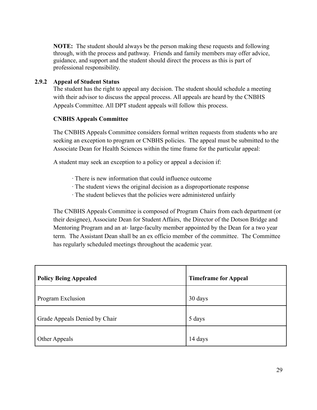**NOTE:** The student should always be the person making these requests and following through, with the process and pathway. Friends and family members may offer advice, guidance, and support and the student should direct the process as this is part of professional responsibility.

## <span id="page-31-0"></span>**2.9.2 Appeal of Student Status**

The student has the right to appeal any decision. The student should schedule a meeting with their advisor to discuss the appeal process. All appeals are heard by the CNBHS Appeals Committee. All DPT student appeals will follow this process.

## **CNBHS Appeals Committee**

 seeking an exception to program or CNBHS policies. The appeal must be submitted to the The CNBHS Appeals Committee considers formal written requests from students who are Associate Dean for Health Sciences within the time frame for the particular appeal:

A student may seek an exception to a policy or appeal a decision if:

- ∙ There is new information that could influence outcome
- ∙ The student views the original decision as a disproportionate response
- ∙ The student believes that the policies were administered unfairly

 term. The Assistant Dean shall be an ex officio member of the committee. The Committee The CNBHS Appeals Committee is composed of Program Chairs from each department (or their designee), Associate Dean for Student Affairs, the Director of the Dotson Bridge and Mentoring Program and an at- large-faculty member appointed by the Dean for a two year has regularly scheduled meetings throughout the academic year.

| <b>Policy Being Appealed</b>  | <b>Timeframe for Appeal</b> |
|-------------------------------|-----------------------------|
| Program Exclusion             | 30 days                     |
| Grade Appeals Denied by Chair | 5 days                      |
| Other Appeals                 | 14 days                     |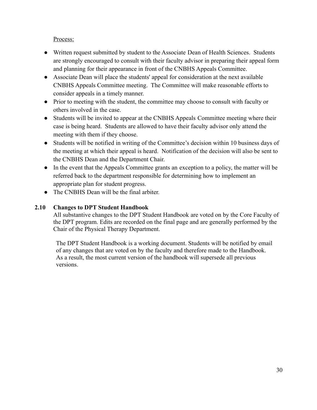## Process:

- ● Written request submitted by student to the Associate Dean of Health Sciences. Students are strongly encouraged to consult with their faculty advisor in preparing their appeal form and planning for their appearance in front of the CNBHS Appeals Committee.
- CNBHS Appeals Committee meeting. The Committee will make reasonable efforts to ● Associate Dean will place the students' appeal for consideration at the next available consider appeals in a timely manner.
- Prior to meeting with the student, the committee may choose to consult with faculty or others involved in the case.
- case is being heard. Students are allowed to have their faculty advisor only attend the meeting with them if they choose. • Students will be invited to appear at the CNBHS Appeals Committee meeting where their
- the meeting at which their appeal is heard. Notification of the decision will also be sent to • Students will be notified in writing of the Committee's decision within 10 business days of the CNBHS Dean and the Department Chair.
- In the event that the Appeals Committee grants an exception to a policy, the matter will be referred back to the department responsible for determining how to implement an appropriate plan for student progress.
- The CNBHS Dean will be the final arbiter.

## <span id="page-32-0"></span>**2.10 Changes to DPT Student Handbook**

All substantive changes to the DPT Student Handbook are voted on by the Core Faculty of the DPT program. Edits are recorded on the final page and are generally performed by the Chair of the Physical Therapy Department.

The DPT Student Handbook is a working document. Students will be notified by email of any changes that are voted on by the faculty and therefore made to the Handbook. As a result, the most current version of the handbook will supersede all previous versions.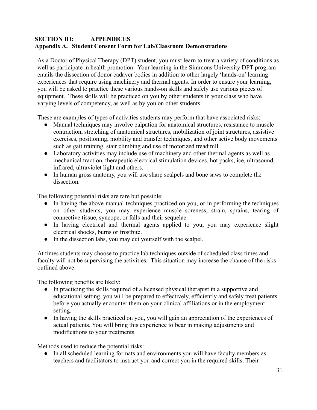## <span id="page-33-1"></span><span id="page-33-0"></span>**SECTION III: APPENDICES Appendix A. Student Consent Form for Lab/Classroom Demonstrations**

As a Doctor of Physical Therapy (DPT) student, you must learn to treat a variety of conditions as well as participate in health promotion. Your learning in the Simmons University DPT program entails the dissection of donor cadaver bodies in addition to other largely 'hands-on' learning experiences that require using machinery and thermal agents. In order to ensure your learning, you will be asked to practice these various hands-on skills and safely use various pieces of equipment. These skills will be practiced on you by other students in your class who have varying levels of competency, as well as by you on other students.

These are examples of types of activities students may perform that have associated risks:

- Manual techniques may involve palpation for anatomical structures, resistance to muscle contraction, stretching of anatomical structures, mobilization of joint structures, assistive exercises, positioning, mobility and transfer techniques, and other active body movements such as gait training, stair climbing and use of motorized treadmill.
- Laboratory activities may include use of machinery and other thermal agents as well as mechanical traction, therapeutic electrical stimulation devices, hot packs, ice, ultrasound, infrared, ultraviolet light and others.
- In human gross anatomy, you will use sharp scalpels and bone saws to complete the dissection.

The following potential risks are rare but possible:

- In having the above manual techniques practiced on you, or in performing the techniques on other students, you may experience muscle soreness, strain, sprains, tearing of connective tissue, syncope, or falls and their sequelae.
- In having electrical and thermal agents applied to you, you may experience slight electrical shocks, burns or frostbite.
- In the dissection labs, you may cut yourself with the scalpel.

At times students may choose to practice lab techniques outside of scheduled class times and faculty will not be supervising the activities. This situation may increase the chance of the risks outlined above.

The following benefits are likely:

- In practicing the skills required of a licensed physical therapist in a supportive and educational setting, you will be prepared to effectively, efficiently and safely treat patients before you actually encounter them on your clinical affiliations or in the employment setting.
- In having the skills practiced on you, you will gain an appreciation of the experiences of actual patients. You will bring this experience to bear in making adjustments and modifications to your treatments.

Methods used to reduce the potential risks:

● In all scheduled learning formats and environments you will have faculty members as teachers and facilitators to instruct you and correct you in the required skills. Their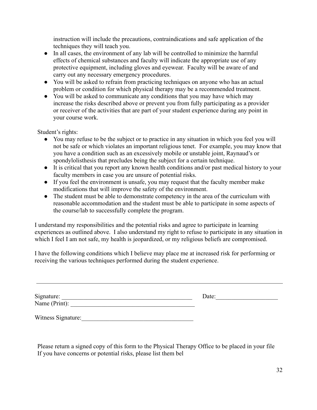instruction will include the precautions, contraindications and safe application of the techniques they will teach you.

- In all cases, the environment of any lab will be controlled to minimize the harmful effects of chemical substances and faculty will indicate the appropriate use of any protective equipment, including gloves and eyewear. Faculty will be aware of and carry out any necessary emergency procedures.
- You will be asked to refrain from practicing techniques on anyone who has an actual problem or condition for which physical therapy may be a recommended treatment.
- You will be asked to communicate any conditions that you may have which may increase the risks described above or prevent you from fully participating as a provider or receiver of the activities that are part of your student experience during any point in your course work.

Student's rights:

- You may refuse to be the subject or to practice in any situation in which you feel you will not be safe or which violates an important religious tenet. For example, you may know that you have a condition such as an excessively mobile or unstable joint, Raynaud's or spondylolisthesis that precludes being the subject for a certain technique.
- It is critical that you report any known health conditions and/or past medical history to your faculty members in case you are unsure of potential risks.
- If you feel the environment is unsafe, you may request that the faculty member make modifications that will improve the safety of the environment.
- The student must be able to demonstrate competency in the area of the curriculum with reasonable accommodation and the student must be able to participate in some aspects of the course/lab to successfully complete the program.

I understand my responsibilities and the potential risks and agree to participate in learning experiences as outlined above. I also understand my right to refuse to participate in any situation in which I feel I am not safe, my health is jeopardized, or my religious beliefs are compromised.

I have the following conditions which I believe may place me at increased risk for performing or receiving the various techniques performed during the student experience.

| Signature:    | Date: |
|---------------|-------|
| Name (Print): |       |
|               |       |

Witness Signature:\_\_\_\_\_\_\_\_\_\_\_\_\_\_\_\_\_\_\_\_\_\_\_\_\_\_\_\_\_\_\_\_\_\_\_\_

Please return a signed copy of this form to the Physical Therapy Office to be placed in your file If you have concerns or potential risks, please list them bel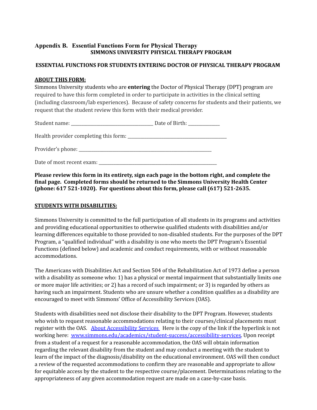#### <span id="page-35-0"></span> **SIMMONS UNIVERSITY PHYSICAL THERAPY PROGRAM Appendix B. Essential Functions Form for Physical Therapy**

## **ESSENTIAL FUNCTIONS FOR STUDENTS ENTERING DOCTOR OF PHYSICAL THERAPY PROGRAM**

#### **ABOUT THIS FORM:**

 Simmons University students who are **entering** the Doctor of Physical Therapy (DPT) program are required to have this form completed in order to participate in activities in the clinical setting (including classroom/lab experiences). Because of safety concerns for students and their patients, we request that the student review this form with their medical provider.

|                                           | Date of Birth: _____________ |
|-------------------------------------------|------------------------------|
|                                           |                              |
|                                           |                              |
| Date of most recent exam: _______________ |                              |

 **Please review this form in its entirety, sign each page in the bottom right, and complete the final page. Completed forms should be returned to the Simmons University Health Center (phone: 617 521-1020). For questions about this form, please call (617) 521-2635.**

#### **STUDENTS WITH DISABILITIES:**

 Simmons University is committed to the full participation of all students in its programs and activities and providing educational opportunities to otherwise qualified students with disabilities and/or learning differences equitable to those provided to non-disabled students. For the purposes of the DPT Program, a "qualified individual" with a disability is one who meets the DPT Program's Essential Functions (defined below) and academic and conduct requirements, with or without reasonable accommodations.

 The Americans with Disabilities Act and Section 504 of the Rehabilitation Act of 1973 define a person with a disability as someone who: 1) has a physical or mental impairment that substantially limits one or more major life activities; or 2) has a record of such impairment; or 3) is regarded by others as having such an impairment. Students who are unsure whether a condition qualifies as a disability are encouraged to meet with Simmons' Office of Accessibility Services (OAS).

 Students with disabilities need not disclose their disability to the DPT Program. However, students who wish to request reasonable accommodations relating to their courses/clinical placements must register with the OAS. <u>About [Accessibility](http://www.simmons.edu/academics/student-success/accessibility-services) Services </u> Here is the copy of the link if the hyperlink is not working here: [www.simmons.edu/academics/student-success/accessibility-services.](http://www.simmons.edu/academics/student-success/accessibility-services) Upon receipt from a student of a request for a reasonable accommodation, the OAS will obtain information regarding the relevant disability from the student and may conduct a meeting with the student to learn of the impact of the diagnosis/disability on the educational environment. OAS will then conduct a review of the requested accommodations to confirm they are reasonable and appropriate to allow for equitable access by the student to the respective course/placement. Determinations relating to the appropriateness of any given accommodation request are made on a case-by-case basis.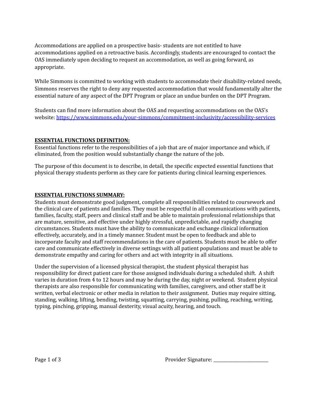Accommodations are applied on a prospective basis- students are not entitled to have accommodations applied on a retroactive basis. Accordingly, students are encouraged to contact the OAS immediately upon deciding to request an accommodation, as well as going forward, as appropriate.

 While Simmons is committed to working with students to accommodate their disability-related needs, Simmons reserves the right to deny any requested accommodation that would fundamentally alter the essential nature of any aspect of the DPT Program or place an undue burden on the DPT Program.

 Students can find more information about the OAS and requesting accommodations on the OAS's website: <https://www.simmons.edu/your-simmons/commitment-inclusivity/accessibility-services>

#### **ESSENTIAL FUNCTIONS DEFINITION:**

 Essential functions refer to the responsibilities of a job that are of major importance and which, if eliminated, from the position would substantially change the nature of the job.

 The purpose of this document is to describe, in detail, the specific expected essential functions that physical therapy students perform as they care for patients during clinical learning experiences.

#### **ESSENTIAL FUNCTIONS SUMMARY:**

 Students must demonstrate good judgment, complete all responsibilities related to coursework and the clinical care of patients and families. They must be respectful in all communications with patients, families, faculty, staff, peers and clinical staff and be able to maintain professional relationships that are mature, sensitive, and effective under highly stressful, unpredictable, and rapidly changing circumstances. Students must have the ability to communicate and exchange clinical information effectively, accurately, and in a timely manner. Student must be open to feedback and able to incorporate faculty and staff recommendations in the care of patients. Students must be able to offer care and communicate effectively in diverse settings with all patient populations and must be able to demonstrate empathy and caring for others and act with integrity in all situations.

 Under the supervision of a licensed physical therapist, the student physical therapist has responsibility for direct patient care for those assigned individuals during a scheduled shift. A shift varies in duration from 4 to 12 hours and may be during the day, night or weekend. Student physical therapists are also responsible for communicating with families, caregivers, and other staff be it written, verbal electronic or other media in relation to their assignment. Duties may require sitting, standing, walking, lifting, bending, twisting, squatting, carrying, pushing, pulling, reaching, writing, typing, pinching, gripping, manual dexterity, visual acuity, hearing, and touch.

Page 1 of 3 Provider Signature: \_\_\_\_\_\_\_\_\_\_\_\_\_\_\_\_\_\_\_\_\_\_\_\_\_\_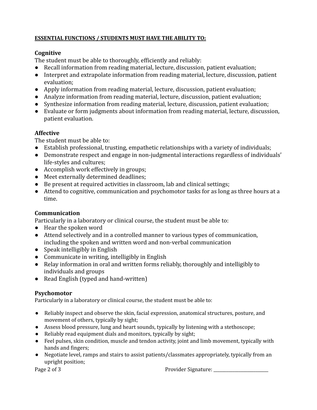# **ESSENTIAL FUNCTIONS / STUDENTS MUST HAVE THE ABILITY TO:**

# **Cognitive**

The student must be able to thoroughly, efficiently and reliably:

- Recall information from reading material, lecture, discussion, patient evaluation;
- Interpret and extrapolate information from reading material, lecture, discussion, patient evaluation;
- Apply information from reading material, lecture, discussion, patient evaluation;
- Analyze information from reading material, lecture, discussion, patient evaluation;
- Synthesize information from reading material, lecture, discussion, patient evaluation;
- Evaluate or form judgments about information from reading material, lecture, discussion, patient evaluation.

# **Affective**

The student must be able to:

- Establish professional, trusting, empathetic relationships with a variety of individuals;
- Demonstrate respect and engage in non-judgmental interactions regardless of individuals' life-styles and cultures;
- Accomplish work effectively in groups;
- Meet externally determined deadlines;
- Be present at required activities in classroom, lab and clinical settings;
- Attend to cognitive, communication and psychomotor tasks for as long as three hours at a time.

# **Communication**

Particularly in a laboratory or clinical course, the student must be able to:

- Hear the spoken word
- Attend selectively and in a controlled manner to various types of communication, including the spoken and written word and non-verbal communication
- Speak intelligibly in English
- Communicate in writing, intelligibly in English
- Relay information in oral and written forms reliably, thoroughly and intelligibly to individuals and groups
- Read English (typed and hand-written)

# **Psychomotor**

Particularly in a laboratory or clinical course, the student must be able to:

- ● Reliably inspect and observe the skin, facial expression, anatomical structures, posture, and movement of others, typically by sight;
- Assess blood pressure, lung and heart sounds, typically by listening with a stethoscope;
- Reliably read equipment dials and monitors, typically by sight;
- ● Feel pulses, skin condition, muscle and tendon activity, joint and limb movement, typically with hands and fingers;
- ● Negotiate level, ramps and stairs to assist patients/classmates appropriately, typically from an upright position;

Page 2 of 3

Page 2 of 3 Provider Signature: \_\_\_\_\_\_\_\_\_\_\_\_\_\_\_\_\_\_\_\_\_\_\_\_\_\_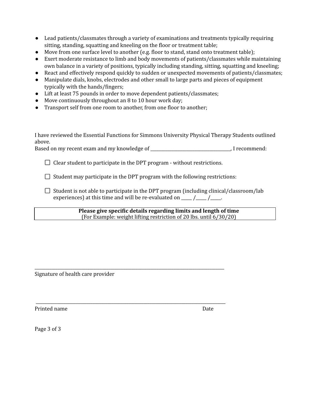- ● Lead patients/classmates through a variety of examinations and treatments typically requiring sitting, standing, squatting and kneeling on the floor or treatment table;
- Move from one surface level to another (e.g. floor to stand, stand onto treatment table);
- ● Exert moderate resistance to limb and body movements of patients/classmates while maintaining own balance in a variety of positions, typically including standing, sitting, squatting and kneeling;
- React and effectively respond quickly to sudden or unexpected movements of patients/classmates;
- ● Manipulate dials, knobs, electrodes and other small to large parts and pieces of equipment typically with the hands/fingers;
- Lift at least 75 pounds in order to move dependent patients/classmates;
- Move continuously throughout an 8 to 10 hour work day;
- Transport self from one room to another, from one floor to another;

 I have reviewed the Essential Functions for Simmons University Physical Therapy Students outlined above.

Based on my recent exam and my knowledge of \_\_\_\_\_\_\_\_\_\_\_\_\_\_\_\_\_\_\_\_\_\_\_\_\_\_\_\_\_\_\_\_\_\_\_\_\_\_, I recommend:

Clear student to participate in the DPT program - without restrictions.

\_\_\_\_\_\_\_\_\_\_\_\_\_\_\_\_\_\_\_\_\_\_\_\_\_\_\_\_\_\_\_\_\_\_\_\_\_\_\_\_\_\_\_\_\_\_\_\_\_\_\_\_\_\_\_\_\_\_\_\_\_\_\_\_\_\_\_\_\_\_\_\_\_\_\_\_\_\_\_\_\_\_\_\_\_\_\_\_\_\_

\_\_\_\_\_\_\_\_\_\_\_\_\_\_\_\_\_\_\_\_\_\_\_\_\_\_\_\_\_\_\_\_\_\_\_\_\_\_\_\_\_\_\_\_\_\_\_\_\_\_\_\_\_\_\_\_\_\_\_\_\_\_\_\_\_\_\_\_\_\_\_\_\_\_\_\_\_\_\_\_\_\_\_\_\_\_\_\_\_\_

Student may participate in the DPT program with the following restrictions:

 Student is not able to participate in the DPT program (including clinical/classroom/lab experiences) at this time and will be re-evaluated on  $\frac{1}{\sqrt{1-\frac{1}{n}}}$ 

> **Please give specific details regarding limits and length of time** (For Example: weight lifting restriction of 20 lbs. until 6/30/20)

Signature of health care provider

Printed name Date

Page 3 of 3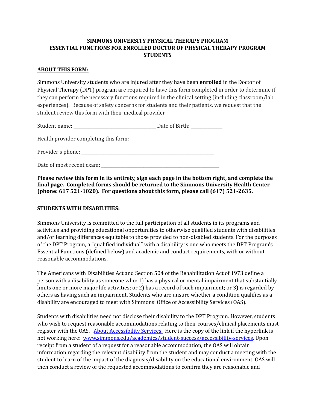#### **SIMMONS UNIVERSITY PHYSICAL THERAPY PROGRAM ESSENTIAL FUNCTIONS FOR ENROLLED DOCTOR OF PHYSICAL THERAPY PROGRAM STUDENTS**

#### **ABOUT THIS FORM:**

 Simmons University students who are injured after they have been **enrolled** in the Doctor of Physical Therapy (DPT) program are required to have this form completed in order to determine if they can perform the necessary functions required in the clinical setting (including classroom/lab experiences). Because of safety concerns for students and their patients, we request that the student review this form with their medical provider.

|                                       | Date of Birth: _____________ |
|---------------------------------------|------------------------------|
| Health provider completing this form: |                              |
|                                       |                              |
| Date of most recent exam:             |                              |

 **Please review this form in its entirety, sign each page in the bottom right, and complete the final page. Completed forms should be returned to the Simmons University Health Center (phone: 617 521-1020). For questions about this form, please call (617) 521-2635.**

#### **STUDENTS WITH DISABILITIES:**

 Simmons University is committed to the full participation of all students in its programs and activities and providing educational opportunities to otherwise qualified students with disabilities and/or learning differences equitable to those provided to non-disabled students. For the purposes of the DPT Program, a "qualified individual" with a disability is one who meets the DPT Program's Essential Functions (defined below) and academic and conduct requirements, with or without reasonable accommodations.

 The Americans with Disabilities Act and Section 504 of the Rehabilitation Act of 1973 define a person with a disability as someone who: 1) has a physical or mental impairment that substantially limits one or more major life activities; or 2) has a record of such impairment; or 3) is regarded by others as having such an impairment. Students who are unsure whether a condition qualifies as a disability are encouraged to meet with Simmons' Office of Accessibility Services (OAS).

 Students with disabilities need not disclose their disability to the DPT Program. However, students who wish to request reasonable accommodations relating to their courses/clinical placements must register with the OAS. About [Accessibility](http://www.simmons.edu/academics/student-success/accessibility-services) Services Here is the copy of the link if the hyperlink is not working here: <u>www.simmons.edu/academics/student-success/accessibility-services</u>. Upon receipt from a student of a request for a reasonable accommodation, the OAS will obtain information regarding the relevant disability from the student and may conduct a meeting with the student to learn of the impact of the diagnosis/disability on the educational environment. OAS will then conduct a review of the requested accommodations to confirm they are reasonable and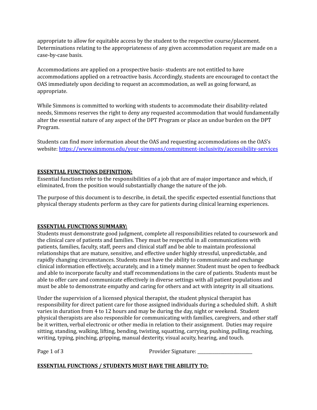appropriate to allow for equitable access by the student to the respective course/placement. Determinations relating to the appropriateness of any given accommodation request are made on a case-by-case basis.

 Accommodations are applied on a prospective basis- students are not entitled to have accommodations applied on a retroactive basis. Accordingly, students are encouraged to contact the OAS immediately upon deciding to request an accommodation, as well as going forward, as appropriate.

 While Simmons is committed to working with students to accommodate their disability-related needs, Simmons reserves the right to deny any requested accommodation that would fundamentally alter the essential nature of any aspect of the DPT Program or place an undue burden on the DPT Program.

 Students can find more information about the OAS and requesting accommodations on the OAS's website: <https://www.simmons.edu/your-simmons/commitment-inclusivity/accessibility-services>

#### **ESSENTIAL FUNCTIONS DEFINITION:**

 Essential functions refer to the responsibilities of a job that are of major importance and which, if eliminated, from the position would substantially change the nature of the job.

 The purpose of this document is to describe, in detail, the specific expected essential functions that physical therapy students perform as they care for patients during clinical learning experiences.

#### **ESSENTIAL FUNCTIONS SUMMARY:**

 Students must demonstrate good judgment, complete all responsibilities related to coursework and the clinical care of patients and families. They must be respectful in all communications with patients, families, faculty, staff, peers and clinical staff and be able to maintain professional relationships that are mature, sensitive, and effective under highly stressful, unpredictable, and rapidly changing circumstances. Students must have the ability to communicate and exchange clinical information effectively, accurately, and in a timely manner. Student must be open to feedback and able to incorporate faculty and staff recommendations in the care of patients. Students must be able to offer care and communicate effectively in diverse settings with all patient populations and must be able to demonstrate empathy and caring for others and act with integrity in all situations.

 Under the supervision of a licensed physical therapist, the student physical therapist has responsibility for direct patient care for those assigned individuals during a scheduled shift. A shift varies in duration from 4 to 12 hours and may be during the day, night or weekend. Student physical therapists are also responsible for communicating with families, caregivers, and other staff be it written, verbal electronic or other media in relation to their assignment. Duties may require sitting, standing, walking, lifting, bending, twisting, squatting, carrying, pushing, pulling, reaching, writing, typing, pinching, gripping, manual dexterity, visual acuity, hearing, and touch.

Page 1 of 3

Provider Signature:

#### **ESSENTIAL FUNCTIONS / STUDENTS MUST HAVE THE ABILITY TO:**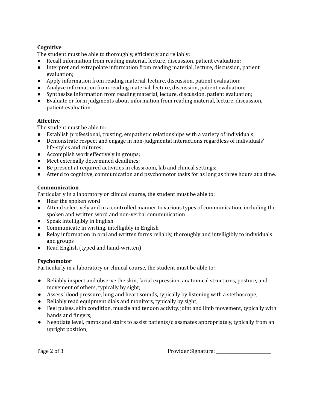#### **Cognitive**

The student must be able to thoroughly, efficiently and reliably:

- Recall information from reading material, lecture, discussion, patient evaluation;
- ● Interpret and extrapolate information from reading material, lecture, discussion, patient evaluation;
- Apply information from reading material, lecture, discussion, patient evaluation;
- Analyze information from reading material, lecture, discussion, patient evaluation;
- Synthesize information from reading material, lecture, discussion, patient evaluation;
- ● Evaluate or form judgments about information from reading material, lecture, discussion, patient evaluation.

#### **Affective**

The student must be able to:

- Establish professional, trusting, empathetic relationships with a variety of individuals;
- ● Demonstrate respect and engage in non-judgmental interactions regardless of individuals' life-styles and cultures;
- Accomplish work effectively in groups;
- Meet externally determined deadlines;
- Be present at required activities in classroom, lab and clinical settings;
- Attend to cognitive, communication and psychomotor tasks for as long as three hours at a time.

#### **Communication**

Particularly in a laboratory or clinical course, the student must be able to:

- Hear the spoken word
- ● Attend selectively and in a controlled manner to various types of communication, including the spoken and written word and non-verbal communication
- Speak intelligibly in English
- Communicate in writing, intelligibly in English
- ● Relay information in oral and written forms reliably, thoroughly and intelligibly to individuals and groups
- Read English (typed and hand-written)

#### **Psychomotor**

Particularly in a laboratory or clinical course, the student must be able to:

- ● Reliably inspect and observe the skin, facial expression, anatomical structures, posture, and movement of others, typically by sight;
- Assess blood pressure, lung and heart sounds, typically by listening with a stethoscope;
- Reliably read equipment dials and monitors, typically by sight;
- ● Feel pulses, skin condition, muscle and tendon activity, joint and limb movement, typically with hands and fingers;
- ● Negotiate level, ramps and stairs to assist patients/classmates appropriately, typically from an upright position;

Provider Signature:

Page 2 of 3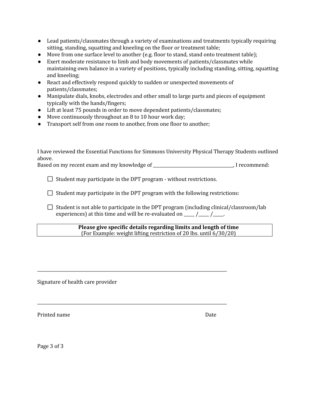- ● Lead patients/classmates through a variety of examinations and treatments typically requiring sitting, standing, squatting and kneeling on the floor or treatment table;
- Move from one surface level to another (e.g. floor to stand, stand onto treatment table);
- ● Exert moderate resistance to limb and body movements of patients/classmates while maintaining own balance in a variety of positions, typically including standing, sitting, squatting and kneeling;
- ● React and effectively respond quickly to sudden or unexpected movements of patients/classmates;
- ● Manipulate dials, knobs, electrodes and other small to large parts and pieces of equipment typically with the hands/fingers;
- Lift at least 75 pounds in order to move dependent patients/classmates;
- Move continuously throughout an 8 to 10 hour work day;
- Transport self from one room to another, from one floor to another;

 I have reviewed the Essential Functions for Simmons University Physical Therapy Students outlined above.

Based on my recent exam and my knowledge of \_\_\_\_\_\_\_\_\_\_\_\_\_\_\_\_\_\_\_\_\_\_\_\_\_\_\_\_\_\_\_\_\_\_\_\_\_\_, I recommend:

Student may participate in the DPT program - without restrictions.

\_\_\_\_\_\_\_\_\_\_\_\_\_\_\_\_\_\_\_\_\_\_\_\_\_\_\_\_\_\_\_\_\_\_\_\_\_\_\_\_\_\_\_\_\_\_\_\_\_\_\_\_\_\_\_\_\_\_\_\_\_\_\_\_\_\_\_\_\_\_\_\_\_\_\_\_\_\_\_\_\_\_\_\_\_\_\_\_\_\_

\_\_\_\_\_\_\_\_\_\_\_\_\_\_\_\_\_\_\_\_\_\_\_\_\_\_\_\_\_\_\_\_\_\_\_\_\_\_\_\_\_\_\_\_\_\_\_\_\_\_\_\_\_\_\_\_\_\_\_\_\_\_\_\_\_\_\_\_\_\_\_\_\_\_\_\_\_\_\_\_\_\_\_\_\_\_\_\_\_\_

Student may participate in the DPT program with the following restrictions:

 Student is not able to participate in the DPT program (including clinical/classroom/lab experiences) at this time and will be re-evaluated on  $\frac{1}{\sqrt{1-\frac{1}{n}}}$ 

> **Please give specific details regarding limits and length of time** (For Example: weight lifting restriction of 20 lbs. until 6/30/20)

Signature of health care provider

Printed name Date

Page 3 of 3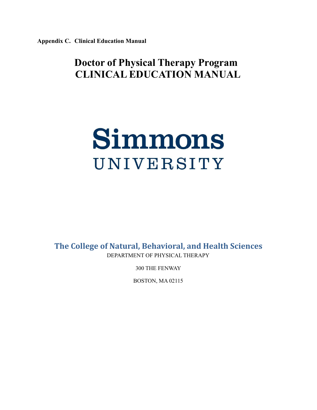**Appendix C. Clinical Education Manual**

# **Doctor of Physical Therapy Program CLINICAL EDUCATION MANUAL**

# Simmons UNIVERSITY

 **The College of Natural, Behavioral, and Health Sciences** DEPARTMENT OF PHYSICAL THERAPY

300 THE FENWAY

BOSTON, MA 02115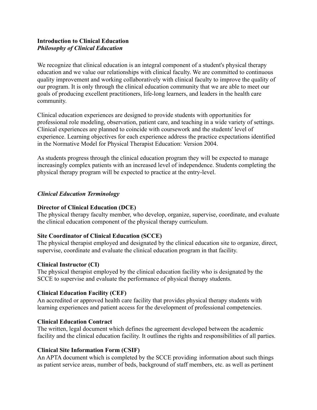#### **Introduction to Clinical Education** *Philosophy of Clinical Education*

We recognize that clinical education is an integral component of a student's physical therapy education and we value our relationships with clinical faculty. We are committed to continuous quality improvement and working collaboratively with clinical faculty to improve the quality of our program. It is only through the clinical education community that we are able to meet our goals of producing excellent practitioners, life-long learners, and leaders in the health care community.

Clinical education experiences are designed to provide students with opportunities for professional role modeling, observation, patient care, and teaching in a wide variety of settings. Clinical experiences are planned to coincide with coursework and the students' level of experience. Learning objectives for each experience address the practice expectations identified in the Normative Model for Physical Therapist Education: Version 2004.

As students progress through the clinical education program they will be expected to manage increasingly complex patients with an increased level of independence. Students completing the physical therapy program will be expected to practice at the entry-level.

#### *Clinical Education Terminology*

#### **Director of Clinical Education (DCE)**

The physical therapy faculty member, who develop, organize, supervise, coordinate, and evaluate the clinical education component of the physical therapy curriculum.

#### **Site Coordinator of Clinical Education (SCCE)**

The physical therapist employed and designated by the clinical education site to organize, direct, supervise, coordinate and evaluate the clinical education program in that facility.

#### **Clinical Instructor (CI)**

The physical therapist employed by the clinical education facility who is designated by the SCCE to supervise and evaluate the performance of physical therapy students.

#### **Clinical Education Facility (CEF)**

An accredited or approved health care facility that provides physical therapy students with learning experiences and patient access for the development of professional competencies.

#### **Clinical Education Contract**

The written, legal document which defines the agreement developed between the academic facility and the clinical education facility. It outlines the rights and responsibilities of all parties.

#### **Clinical Site Information Form (CSIF)**

An APTA document which is completed by the SCCE providing information about such things as patient service areas, number of beds, background of staff members, etc. as well as pertinent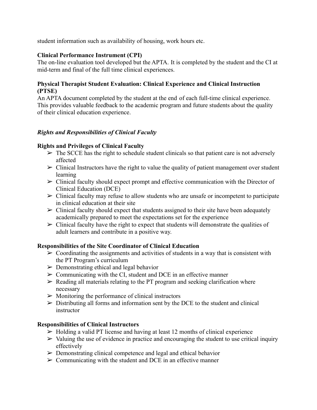student information such as availability of housing, work hours etc.

# **Clinical Performance Instrument (CPI)**

The on-line evaluation tool developed but the APTA. It is completed by the student and the CI at mid-term and final of the full time clinical experiences.

# **Physical Therapist Student Evaluation: Clinical Experience and Clinical Instruction (PTSE)**

An APTA document completed by the student at the end of each full-time clinical experience. This provides valuable feedback to the academic program and future students about the quality of their clinical education experience.

# *Rights and Responsibilities of Clinical Faculty*

# **Rights and Privileges of Clinical Faculty**

- $\triangleright$  The SCCE has the right to schedule student clinicals so that patient care is not adversely affected
- $\triangleright$  Clinical Instructors have the right to value the quality of patient management over student learning
- $\triangleright$  Clinical faculty should expect prompt and effective communication with the Director of Clinical Education (DCE)
- $\triangleright$  Clinical faculty may refuse to allow students who are unsafe or incompetent to participate in clinical education at their site
- $\triangleright$  Clinical faculty should expect that students assigned to their site have been adequately academically prepared to meet the expectations set for the experience
- $\triangleright$  Clinical faculty have the right to expect that students will demonstrate the qualities of adult learners and contribute in a positive way.

# **Responsibilities of the Site Coordinator of Clinical Education**

- $\triangleright$  Coordinating the assignments and activities of students in a way that is consistent with the PT Program's curriculum
- $\triangleright$  Demonstrating ethical and legal behavior
- $\geq$  Communicating with the CI, student and DCE in an effective manner
- $\triangleright$  Reading all materials relating to the PT program and seeking clarification where necessary
- $\triangleright$  Monitoring the performance of clinical instructors
- $\triangleright$  Distributing all forms and information sent by the DCE to the student and clinical instructor

#### **Responsibilities of Clinical Instructors**

- $\triangleright$  Holding a valid PT license and having at least 12 months of clinical experience
- $\triangleright$  Valuing the use of evidence in practice and encouraging the student to use critical inquiry effectively
- $\triangleright$  Demonstrating clinical competence and legal and ethical behavior
- $\geq$  Communicating with the student and DCE in an effective manner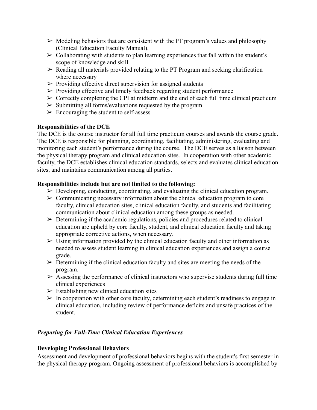- $\triangleright$  Modeling behaviors that are consistent with the PT program's values and philosophy (Clinical Education Faculty Manual).
- $\triangleright$  Collaborating with students to plan learning experiences that fall within the student's scope of knowledge and skill
- $\triangleright$  Reading all materials provided relating to the PT Program and seeking clarification where necessary
- $\triangleright$  Providing effective direct supervision for assigned students
- $\triangleright$  Providing effective and timely feedback regarding student performance
- $\triangleright$  Correctly completing the CPI at midterm and the end of each full time clinical practicum
- $\triangleright$  Submitting all forms/evaluations requested by the program
- $\triangleright$  Encouraging the student to self-assess

# **Responsibilities of the DCE**

The DCE is the course instructor for all full time practicum courses and awards the course grade. The DCE is responsible for planning, coordinating, facilitating, administering, evaluating and monitoring each student's performance during the course. The DCE serves as a liaison between the physical therapy program and clinical education sites. In cooperation with other academic faculty, the DCE establishes clinical education standards, selects and evaluates clinical education sites, and maintains communication among all parties.

#### **Responsibilities include but are not limited to the following:**

- $\triangleright$  Developing, conducting, coordinating, and evaluating the clinical education program.
- $\triangleright$  Communicating necessary information about the clinical education program to core faculty, clinical education sites, clinical education faculty, and students and facilitating communication about clinical education among these groups as needed.
- $\triangleright$  Determining if the academic regulations, policies and procedures related to clinical education are upheld by core faculty, student, and clinical education faculty and taking appropriate corrective actions, when necessary.
- $\triangleright$  Using information provided by the clinical education faculty and other information as needed to assess student learning in clinical education experiences and assign a course grade.
- $\triangleright$  Determining if the clinical education faculty and sites are meeting the needs of the program.
- $\triangleright$  Assessing the performance of clinical instructors who supervise students during full time clinical experiences
- $\triangleright$  Establishing new clinical education sites
- $\triangleright$  In cooperation with other core faculty, determining each student's readiness to engage in clinical education, including review of performance deficits and unsafe practices of the student.

# *Preparing for Full-Time Clinical Education Experiences*

#### **Developing Professional Behaviors**

Assessment and development of professional behaviors begins with the student's first semester in the physical therapy program. Ongoing assessment of professional behaviors is accomplished by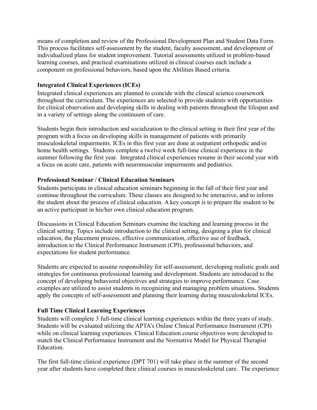means of completion and review of the Professional Development Plan and Student Data Form. This process facilitates self-assessment by the student, faculty assessment, and development of individualized plans for student improvement. Tutorial assessments utilized in problem-based learning courses, and practical examinations utilized in clinical courses each include a component on professional behaviors, based upon the Abilities Based criteria.

#### **Integrated Clinical Experiences (ICEs)**

Integrated clinical experiences are planned to coincide with the clinical science coursework throughout the curriculum. The experiences are selected to provide students with opportunities for clinical observation and developing skills in dealing with patients throughout the lifespan and in a variety of settings along the continuum of care.

Students begin their introduction and socialization to the clinical setting in their first year of the program with a focus on developing skills in management of patients with primarily musculoskeletal impairments. ICEs in this first year are done at outpatient orthopedic and/or home health settings. Students complete a twelve week full-time clinical experience in the summer following the first year. Integrated clinical experiences resume in their second year with a focus on acute care, patients with neuromuscular impairments and pediatrics.

#### **Professional Seminar / Clinical Education Seminars**

Students participate in clinical education seminars beginning in the fall of their first year and continue throughout the curriculum. These classes are designed to be interactive, and to inform the student about the process of clinical education. A key concept is to prepare the student to be an active participant in his/her own clinical education program.

Discussions in Clinical Education Seminars examine the teaching and learning process in the clinical setting. Topics include introduction to the clinical setting, designing a plan for clinical education, the placement process, effective communication, effective use of feedback, introduction to the Clinical Performance Instrument (CPI), professional behaviors, and expectations for student performance.

Students are expected to assume responsibility for self-assessment, developing realistic goals and strategies for continuous professional learning and development. Students are introduced to the concept of developing behavioral objectives and strategies to improve performance. Case examples are utilized to assist students in recognizing and managing problem situations. Students apply the concepts of self-assessment and planning their learning during musculoskeletal ICEs.

# **Full Time Clinical Learning Experiences**

Students will complete 3 full-time clinical learning experiences within the three years of study. Students will be evaluated utilizing the APTA's Online Clinical Performance Instrument (CPI) while on clinical learning experiences. Clinical Education course objectives were developed to match the Clinical Performance Instrument and the Normative Model for Physical Therapist **Education** 

The first full-time clinical experience (DPT 701) will take place in the summer of the second year after students have completed their clinical courses in musculoskeletal care. The experience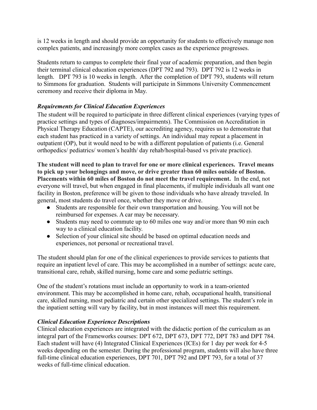is 12 weeks in length and should provide an opportunity for students to effectively manage non complex patients, and increasingly more complex cases as the experience progresses.

Students return to campus to complete their final year of academic preparation, and then begin their terminal clinical education experiences (DPT 792 and 793). DPT 792 is 12 weeks in length. DPT 793 is 10 weeks in length. After the completion of DPT 793, students will return to Simmons for graduation. Students will participate in Simmons University Commencement ceremony and receive their diploma in May.

# *Requirements for Clinical Education Experiences*

The student will be required to participate in three different clinical experiences (varying types of practice settings and types of diagnoses/impairments). The Commission on Accreditation in Physical Therapy Education (CAPTE), our accrediting agency, requires us to demonstrate that each student has practiced in a variety of settings. An individual may repeat a placement in outpatient (OP), but it would need to be with a different population of patients (i.e. General orthopedics/ pediatrics/ women's health/ day rehab/hospital-based vs private practice).

 **The student will need to plan to travel for one or more clinical experiences. Travel means to pick up your belongings and move, or drive greater than 60 miles outside of Boston. Placements within 60 miles of Boston do not meet the travel requirement.** In the end, not everyone will travel, but when engaged in final placements, if multiple individuals all want one facility in Boston, preference will be given to those individuals who have already traveled. In general, most students do travel once, whether they move or drive.

- Students are responsible for their own transportation and housing. You will not be reimbursed for expenses. A car may be necessary.
- Students may need to commute up to 60 miles one way and/or more than 90 min each way to a clinical education facility.
- Selection of your clinical site should be based on optimal education needs and experiences, not personal or recreational travel.

The student should plan for one of the clinical experiences to provide services to patients that require an inpatient level of care. This may be accomplished in a number of settings: acute care, transitional care, rehab, skilled nursing, home care and some pediatric settings.

One of the student's rotations must include an opportunity to work in a team-oriented environment. This may be accomplished in home care, rehab, occupational health, transitional care, skilled nursing, most pediatric and certain other specialized settings. The student's role in the inpatient setting will vary by facility, but in most instances will meet this requirement.

#### *Clinical Education Experience Descriptions*

Clinical education experiences are integrated with the didactic portion of the curriculum as an integral part of the Frameworks courses: DPT 672, DPT 673, DPT 772, DPT 783 and DPT 784. Each student will have (4) Integrated Clinical Experiences (ICEs) for 1 day per week for 4-5 weeks depending on the semester. During the professional program, students will also have three full-time clinical education experiences, DPT 701, DPT 792 and DPT 793, for a total of 37 weeks of full-time clinical education.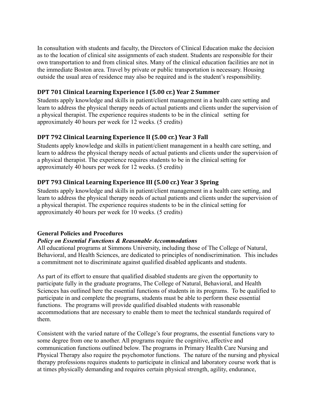In consultation with students and faculty, the Directors of Clinical Education make the decision as to the location of clinical site assignments of each student. Students are responsible for their own transportation to and from clinical sites. Many of the clinical education facilities are not in the immediate Boston area. Travel by private or public transportation is necessary. Housing outside the usual area of residence may also be required and is the student's responsibility.

# **DPT 701 Clinical Learning Experience I (5.00 cr.) Year 2 Summer**

Students apply knowledge and skills in patient/client management in a health care setting and learn to address the physical therapy needs of actual patients and clients under the supervision of a physical therapist. The experience requires students to be in the clinical setting for approximately 40 hours per week for 12 weeks. (5 credits)

# **DPT 792 Clinical Learning Experience II (5.00 cr.) Year 3 Fall**

Students apply knowledge and skills in patient/client management in a health care setting, and learn to address the physical therapy needs of actual patients and clients under the supervision of a physical therapist. The experience requires students to be in the clinical setting for approximately 40 hours per week for 12 weeks. (5 credits)

# **DPT 793 Clinical Learning Experience III (5.00 cr.) Year 3 Spring**

Students apply knowledge and skills in patient/client management in a health care setting, and learn to address the physical therapy needs of actual patients and clients under the supervision of a physical therapist. The experience requires students to be in the clinical setting for approximately 40 hours per week for 10 weeks. (5 credits)

#### **General Policies and Procedures**

#### *Policy on Essential Functions & Reasonable Accommodations*

All educational programs at Simmons University, including those of The College of Natural, Behavioral, and Health Sciences, are dedicated to principles of nondiscrimination. This includes a commitment not to discriminate against qualified disabled applicants and students.

As part of its effort to ensure that qualified disabled students are given the opportunity to participate fully in the graduate programs, The College of Natural, Behavioral, and Health Sciences has outlined here the essential functions of students in its programs. To be qualified to participate in and complete the programs, students must be able to perform these essential functions. The programs will provide qualified disabled students with reasonable accommodations that are necessary to enable them to meet the technical standards required of them.

Consistent with the varied nature of the College's four programs, the essential functions vary to some degree from one to another. All programs require the cognitive, affective and communication functions outlined below. The programs in Primary Health Care Nursing and Physical Therapy also require the psychomotor functions. The nature of the nursing and physical therapy professions requires students to participate in clinical and laboratory course work that is at times physically demanding and requires certain physical strength, agility, endurance,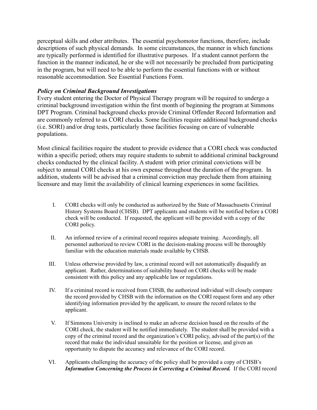perceptual skills and other attributes. The essential psychomotor functions, therefore, include descriptions of such physical demands. In some circumstances, the manner in which functions are typically performed is identified for illustrative purposes. If a student cannot perform the function in the manner indicated, he or she will not necessarily be precluded from participating in the program, but will need to be able to perform the essential functions with or without reasonable accommodation. See Essential Functions Form.

#### *Policy on Criminal Background Investigations*

Every student entering the Doctor of Physical Therapy program will be required to undergo a criminal background investigation within the first month of beginning the program at Simmons DPT Program. Criminal background checks provide Criminal Offender Record Information and are commonly referred to as CORI checks. Some facilities require additional background checks (i.e. SORI) and/or drug tests, particularly those facilities focusing on care of vulnerable populations.

Most clinical facilities require the student to provide evidence that a CORI check was conducted within a specific period; others may require students to submit to additional criminal background checks conducted by the clinical facility. A student with prior criminal convictions will be subject to annual CORI checks at his own expense throughout the duration of the program. In addition, students will be advised that a criminal conviction may preclude them from attaining licensure and may limit the availability of clinical learning experiences in some facilities.

- I. CORI checks will only be conducted as authorized by the State of Massachusetts Criminal History Systems Board (CHSB). DPT applicants and students will be notified before a CORI check will be conducted. If requested, the applicant will be provided with a copy of the CORI policy.
- II. An informed review of a criminal record requires adequate training. Accordingly, all personnel authorized to review CORI in the decision-making process will be thoroughly familiar with the education materials made available by CHSB.
- III. Unless otherwise provided by law, a criminal record will not automatically disqualify an applicant. Rather, determinations of suitability based on CORI checks will be made consistent with this policy and any applicable law or regulations.
- IV. If a criminal record is received from CHSB, the authorized individual will closely compare the record provided by CHSB with the information on the CORI request form and any other identifying information provided by the applicant, to ensure the record relates to the applicant.
- V. If Simmons University is inclined to make an adverse decision based on the results of the CORI check, the student will be notified immediately. The student shall be provided with a copy of the criminal record and the organization's CORI policy, advised of the part(s) of the record that make the individual unsuitable for the position or license, and given an opportunity to dispute the accuracy and relevance of the CORI record.
- VI. Applicants challenging the accuracy of the policy shall be provided a copy of CHSB's  *Information Concerning the Process in Correcting a Criminal Record.* If the CORI record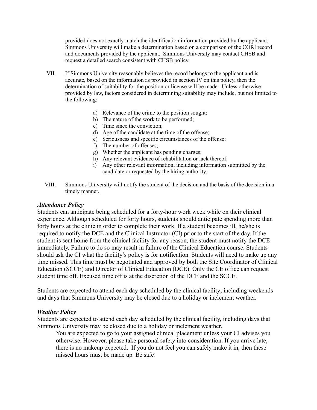provided does not exactly match the identification information provided by the applicant, Simmons University will make a determination based on a comparison of the CORI record and documents provided by the applicant. Simmons University may contact CHSB and request a detailed search consistent with CHSB policy.

- VII. If Simmons University reasonably believes the record belongs to the applicant and is accurate, based on the information as provided in section IV on this policy, then the determination of suitability for the position or license will be made. Unless otherwise provided by law, factors considered in determining suitability may include, but not limited to the following:
	- a) Relevance of the crime to the position sought;
	- b) The nature of the work to be performed;
	- c) Time since the conviction;
	- d) Age of the candidate at the time of the offense;
	- e) Seriousness and specific circumstances of the offense;
	- f) The number of offenses;
	- g) Whether the applicant has pending charges;
	- h) Any relevant evidence of rehabilitation or lack thereof;
	- i) Any other relevant information, including information submitted by the candidate or requested by the hiring authority.
- VIII. Simmons University will notify the student of the decision and the basis of the decision in a timely manner.

#### *Attendance Policy*

Students can anticipate being scheduled for a forty-hour work week while on their clinical experience. Although scheduled for forty hours, students should anticipate spending more than forty hours at the clinic in order to complete their work. If a student becomes ill, he/she is required to notify the DCE and the Clinical Instructor (CI) prior to the start of the day. If the student is sent home from the clinical facility for any reason, the student must notify the DCE immediately. Failure to do so may result in failure of the Clinical Education course. Students should ask the CI what the facility's policy is for notification. Students will need to make up any time missed. This time must be negotiated and approved by both the Site Coordinator of Clinical Education (SCCE) and Director of Clinical Education (DCE). Only the CE office can request student time off. Excused time off is at the discretion of the DCE and the SCCE.

Students are expected to attend each day scheduled by the clinical facility; including weekends and days that Simmons University may be closed due to a holiday or inclement weather.

#### *Weather Policy*

Students are expected to attend each day scheduled by the clinical facility, including days that Simmons University may be closed due to a holiday or inclement weather.

 missed hours must be made up. Be safe!You are expected to go to your assigned clinical placement unless your CI advises you otherwise. However, please take personal safety into consideration. If you arrive late, there is no makeup expected. If you do not feel you can safely make it in, then these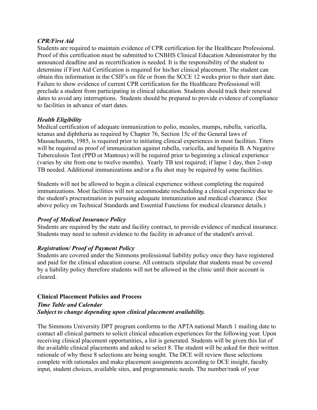#### *CPR/First Aid*

Students are required to maintain evidence of CPR certification for the Healthcare Professional. Proof of this certification must be submitted to CNBHS Clinical Education Administrator by the announced deadline and as recertification is needed. It is the responsibility of the student to determine if First Aid Certification is required for his/her clinical placement. The student can obtain this information in the CSIF's on file or from the SCCE 12 weeks prior to their start date. Failure to show evidence of current CPR certification for the Healthcare Professional will preclude a student from participating in clinical education. Students should track their renewal dates to avoid any interruptions. Students should be prepared to provide evidence of compliance to facilities in advance of start dates.

#### *Health Eligibility*

Medical certification of adequate immunization to polio, measles, mumps, rubella, varicella, tetanus and diphtheria as required by Chapter 76, Section 15c of the General laws of Massachusetts, 1985, is required prior to initiating clinical experiences in most facilities. Titers will be required as proof of immunization against rubella, varicella, and hepatitis B. A Negative Tuberculosis Test (PPD or Mantoux) will be required prior to beginning a clinical experience (varies by site from one to twelve months). Yearly TB test required; if lapse 1 day, then 2-step TB needed. Additional immunizations and/or a flu shot may be required by some facilities.

Students will not be allowed to begin a clinical experience without completing the required immunizations. Most facilities will not accommodate rescheduling a clinical experience due to the student's procrastination in pursuing adequate immunization and medical clearance. (See above policy on Technical Standards and Essential Functions for medical clearance details.)

#### *Proof of Medical Insurance Policy*

Students are required by the state and facility contract, to provide evidence of medical insurance. Students may need to submit evidence to the facility in advance of the student's arrival.

#### *Registration/ Proof of Payment Policy*

Students are covered under the Simmons professional liability policy once they have registered and paid for the clinical education course. All contracts stipulate that students must be covered by a liability policy therefore students will not be allowed in the clinic until their account is cleared.

#### **Clinical Placement Policies and Process** *Time Table and Calendar Subject to change depending upon clinical placement availability.*

The Simmons University DPT program conforms to the APTA national March 1 mailing date to contact all clinical partners to solicit clinical education experiences for the following year. Upon receiving clinical placement opportunities, a list is generated. Students will be given this list of the available clinical placements and asked to select 8. The student will be asked for their written rationale of why these 8 selections are being sought. The DCE will review these selections complete with rationales and make placement assignments according to DCE insight, faculty input, student choices, available sites, and programmatic needs. The number/rank of your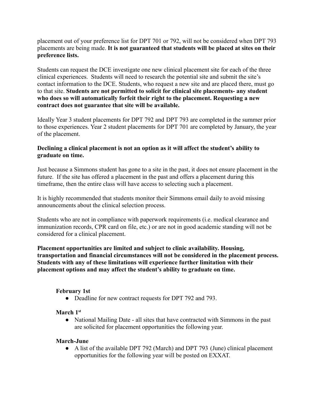placement out of your preference list for DPT 701 or 792, will not be considered when DPT 793 placements are being made. **It is not guaranteed that students will be placed at sites on their preference lists.**

Students can request the DCE investigate one new clinical placement site for each of the three clinical experiences. Students will need to research the potential site and submit the site's contact information to the DCE. Students, who request a new site and are placed there, must go to that site. **Students are not permitted to solicit for clinical site placements- any student who does so will automatically forfeit their right to the placement. Requesting a new contract does not guarantee that site will be available.**

Ideally Year 3 student placements for DPT 792 and DPT 793 are completed in the summer prior to those experiences. Year 2 student placements for DPT 701 are completed by January, the year of the placement.

#### **Declining a clinical placement is not an option as it will affect the student's ability to graduate on time.**

Just because a Simmons student has gone to a site in the past, it does not ensure placement in the future. If the site has offered a placement in the past and offers a placement during this timeframe, then the entire class will have access to selecting such a placement.

It is highly recommended that students monitor their Simmons email daily to avoid missing announcements about the clinical selection process.

Students who are not in compliance with paperwork requirements (i.e. medical clearance and immunization records, CPR card on file, etc.) or are not in good academic standing will not be considered for a clinical placement.

**Placement opportunities are limited and subject to clinic availability. Housing, transportation and financial circumstances will not be considered in the placement process. Students with any of these limitations will experience further limitation with their placement options and may affect the student's ability to graduate on time.**

#### **February 1st**

• Deadline for new contract requests for DPT 792 and 793.

# **March 1st**

• National Mailing Date - all sites that have contracted with Simmons in the past are solicited for placement opportunities the following year.

#### **March-June**

● A list of the available DPT 792 (March) and DPT 793 (June) clinical placement opportunities for the following year will be posted on EXXAT.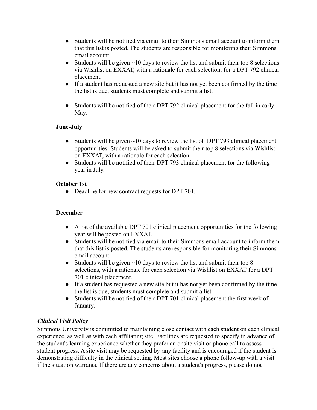- Students will be notified via email to their Simmons email account to inform them that this list is posted. The students are responsible for monitoring their Simmons email account.
- Students will be given  $\sim$ 10 days to review the list and submit their top 8 selections via Wishlist on EXXAT, with a rationale for each selection, for a DPT 792 clinical placement.
- If a student has requested a new site but it has not yet been confirmed by the time the list is due, students must complete and submit a list.
- Students will be notified of their DPT 792 clinical placement for the fall in early May.

# **June-July**

- Students will be given  $\sim$ 10 days to review the list of DPT 793 clinical placement opportunities. Students will be asked to submit their top 8 selections via Wishlist on EXXAT, with a rationale for each selection.
- Students will be notified of their DPT 793 clinical placement for the following year in July.

#### **October 1st**

• Deadline for new contract requests for DPT 701.

#### **December**

- A list of the available DPT 701 clinical placement opportunities for the following year will be posted on EXXAT.
- Students will be notified via email to their Simmons email account to inform them that this list is posted. The students are responsible for monitoring their Simmons email account.
- Students will be given  $\sim$ 10 days to review the list and submit their top 8 selections, with a rationale for each selection via Wishlist on EXXAT for a DPT 701 clinical placement.
- If a student has requested a new site but it has not yet been confirmed by the time the list is due, students must complete and submit a list.
- Students will be notified of their DPT 701 clinical placement the first week of January.

# *Clinical Visit Policy*

Simmons University is committed to maintaining close contact with each student on each clinical experience, as well as with each affiliating site. Facilities are requested to specify in advance of the student's learning experience whether they prefer an onsite visit or phone call to assess student progress. A site visit may be requested by any facility and is encouraged if the student is demonstrating difficulty in the clinical setting. Most sites choose a phone follow-up with a visit if the situation warrants. If there are any concerns about a student's progress, please do not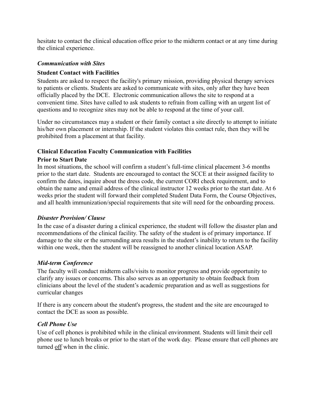hesitate to contact the clinical education office prior to the midterm contact or at any time during the clinical experience.

#### *Communication with Sites*

# **Student Contact with Facilities**

Students are asked to respect the facility's primary mission, providing physical therapy services to patients or clients. Students are asked to communicate with sites, only after they have been officially placed by the DCE. Electronic communication allows the site to respond at a convenient time. Sites have called to ask students to refrain from calling with an urgent list of questions and to recognize sites may not be able to respond at the time of your call.

Under no circumstances may a student or their family contact a site directly to attempt to initiate his/her own placement or internship. If the student violates this contact rule, then they will be prohibited from a placement at that facility.

#### **Clinical Education Faculty Communication with Facilities**

#### **Prior to Start Date**

In most situations, the school will confirm a student's full-time clinical placement 3-6 months prior to the start date. Students are encouraged to contact the SCCE at their assigned facility to confirm the dates, inquire about the dress code, the current CORI check requirement, and to obtain the name and email address of the clinical instructor 12 weeks prior to the start date. At 6 weeks prior the student will forward their completed Student Data Form, the Course Objectives, and all health immunization/special requirements that site will need for the onboarding process.

#### *Disaster Provision/ Clause*

In the case of a disaster during a clinical experience, the student will follow the disaster plan and recommendations of the clinical facility. The safety of the student is of primary importance. If damage to the site or the surrounding area results in the student's inability to return to the facility within one week, then the student will be reassigned to another clinical location ASAP.

#### *Mid-term Conference*

The faculty will conduct midterm calls/visits to monitor progress and provide opportunity to clarify any issues or concerns. This also serves as an opportunity to obtain feedback from clinicians about the level of the student's academic preparation and as well as suggestions for curricular changes

If there is any concern about the student's progress, the student and the site are encouraged to contact the DCE as soon as possible.

# *Cell Phone Use*

Use of cell phones is prohibited while in the clinical environment. Students will limit their cell phone use to lunch breaks or prior to the start of the work day. Please ensure that cell phones are turned off when in the clinic.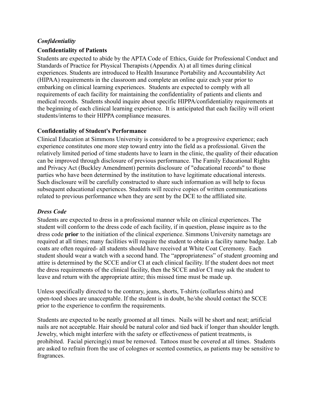#### *Confidentiality*

#### **Confidentiality of Patients**

Students are expected to abide by the APTA Code of Ethics, Guide for Professional Conduct and Standards of Practice for Physical Therapists (Appendix A) at all times during clinical experiences. Students are introduced to Health Insurance Portability and Accountability Act (HIPAA) requirements in the classroom and complete an online quiz each year prior to embarking on clinical learning experiences. Students are expected to comply with all requirements of each facility for maintaining the confidentiality of patients and clients and medical records. Students should inquire about specific HIPPA/confidentiality requirements at the beginning of each clinical learning experience. It is anticipated that each facility will orient students/interns to their HIPPA compliance measures.

#### **Confidentiality of Student's Performance**

Clinical Education at Simmons University is considered to be a progressive experience; each experience constitutes one more step toward entry into the field as a professional. Given the relatively limited period of time students have to learn in the clinic, the quality of their education can be improved through disclosure of previous performance. The Family Educational Rights and Privacy Act (Buckley Amendment) permits disclosure of "educational records" to those parties who have been determined by the institution to have legitimate educational interests. Such disclosure will be carefully constructed to share such information as will help to focus subsequent educational experiences. Students will receive copies of written communications related to previous performance when they are sent by the DCE to the affiliated site.

#### *Dress Code*

Students are expected to dress in a professional manner while on clinical experiences. The student will conform to the dress code of each facility, if in question, please inquire as to the dress code **prior** to the initiation of the clinical experience. Simmons University nametags are required at all times; many facilities will require the student to obtain a facility name badge. Lab coats are often required- all students should have received at White Coat Ceremony. Each student should wear a watch with a second hand. The "appropriateness" of student grooming and attire is determined by the SCCE and/or CI at each clinical facility. If the student does not meet the dress requirements of the clinical facility, then the SCCE and/or CI may ask the student to leave and return with the appropriate attire; this missed time must be made up.

Unless specifically directed to the contrary, jeans, shorts, T-shirts (collarless shirts) and open-toed shoes are unacceptable. If the student is in doubt, he/she should contact the SCCE prior to the experience to confirm the requirements.

Students are expected to be neatly groomed at all times. Nails will be short and neat; artificial nails are not acceptable. Hair should be natural color and tied back if longer than shoulder length. Jewelry, which might interfere with the safety or effectiveness of patient treatments, is prohibited. Facial piercing(s) must be removed. Tattoos must be covered at all times. Students are asked to refrain from the use of colognes or scented cosmetics, as patients may be sensitive to fragrances.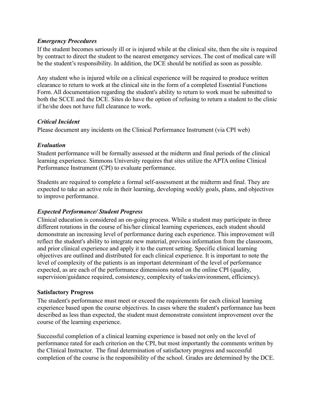#### *Emergency Procedures*

If the student becomes seriously ill or is injured while at the clinical site, then the site is required by contract to direct the student to the nearest emergency services. The cost of medical care will be the student's responsibility. In addition, the DCE should be notified as soon as possible.

Any student who is injured while on a clinical experience will be required to produce written clearance to return to work at the clinical site in the form of a completed Essential Functions Form. All documentation regarding the student's ability to return to work must be submitted to both the SCCE and the DCE. Sites do have the option of refusing to return a student to the clinic if he/she does not have full clearance to work.

#### *Critical Incident*

Please document any incidents on the Clinical Performance Instrument (via CPI web)

#### *Evaluation*

Student performance will be formally assessed at the midterm and final periods of the clinical learning experience. Simmons University requires that sites utilize the APTA online Clinical Performance Instrument (CPI) to evaluate performance.

Students are required to complete a formal self-assessment at the midterm and final. They are expected to take an active role in their learning, developing weekly goals, plans, and objectives to improve performance.

#### *Expected Performance/ Student Progress*

Clinical education is considered an on-going process. While a student may participate in three different rotations in the course of his/her clinical learning experiences, each student should demonstrate an increasing level of performance during each experience. This improvement will reflect the student's ability to integrate new material, previous information from the classroom, and prior clinical experience and apply it to the current setting. Specific clinical learning objectives are outlined and distributed for each clinical experience. It is important to note the level of complexity of the patients is an important determinant of the level of performance expected, as are each of the performance dimensions noted on the online CPI (quality, supervision/guidance required, consistency, complexity of tasks/environment, efficiency).

#### **Satisfactory Progress**

The student's performance must meet or exceed the requirements for each clinical learning experience based upon the course objectives. In cases where the student's performance has been described as less than expected, the student must demonstrate consistent improvement over the course of the learning experience.

Successful completion of a clinical learning experience is based not only on the level of performance rated for each criterion on the CPI, but most importantly the comments written by the Clinical Instructor. The final determination of satisfactory progress and successful completion of the course is the responsibility of the school. Grades are determined by the DCE.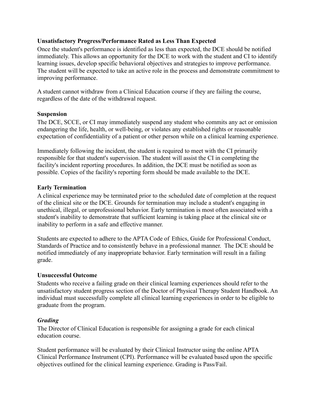#### **Unsatisfactory Progress/Performance Rated as Less Than Expected**

Once the student's performance is identified as less than expected, the DCE should be notified immediately. This allows an opportunity for the DCE to work with the student and CI to identify learning issues, develop specific behavioral objectives and strategies to improve performance. The student will be expected to take an active role in the process and demonstrate commitment to improving performance.

A student cannot withdraw from a Clinical Education course if they are failing the course, regardless of the date of the withdrawal request.

#### **Suspension**

The DCE, SCCE, or CI may immediately suspend any student who commits any act or omission endangering the life, health, or well-being, or violates any established rights or reasonable expectation of confidentiality of a patient or other person while on a clinical learning experience.

Immediately following the incident, the student is required to meet with the CI primarily responsible for that student's supervision. The student will assist the CI in completing the facility's incident reporting procedures. In addition, the DCE must be notified as soon as possible. Copies of the facility's reporting form should be made available to the DCE.

# **Early Termination**

A clinical experience may be terminated prior to the scheduled date of completion at the request of the clinical site or the DCE. Grounds for termination may include a student's engaging in unethical, illegal, or unprofessional behavior. Early termination is most often associated with a student's inability to demonstrate that sufficient learning is taking place at the clinical site or inability to perform in a safe and effective manner.

Students are expected to adhere to the APTA Code of Ethics, Guide for Professional Conduct, Standards of Practice and to consistently behave in a professional manner. The DCE should be notified immediately of any inappropriate behavior. Early termination will result in a failing grade.

#### **Unsuccessful Outcome**

Students who receive a failing grade on their clinical learning experiences should refer to the unsatisfactory student progress section of the Doctor of Physical Therapy Student Handbook. An individual must successfully complete all clinical learning experiences in order to be eligible to graduate from the program.

# *Grading*

The Director of Clinical Education is responsible for assigning a grade for each clinical education course.

Student performance will be evaluated by their Clinical Instructor using the online APTA Clinical Performance Instrument (CPI). Performance will be evaluated based upon the specific objectives outlined for the clinical learning experience. Grading is Pass/Fail.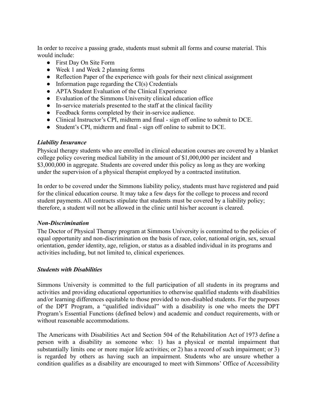In order to receive a passing grade, students must submit all forms and course material. This would include:

- First Day On Site Form
- Week 1 and Week 2 planning forms
- Reflection Paper of the experience with goals for their next clinical assignment
- Information page regarding the  $CI(s)$  Credentials
- APTA Student Evaluation of the Clinical Experience
- Evaluation of the Simmons University clinical education office
- In-service materials presented to the staff at the clinical facility
- Feedback forms completed by their in-service audience.
- Clinical Instructor's CPI, midterm and final sign off online to submit to DCE.
- Student's CPI, midterm and final sign off online to submit to DCE.

#### *Liability Insurance*

Physical therapy students who are enrolled in clinical education courses are covered by a blanket college policy covering medical liability in the amount of \$1,000,000 per incident and \$3,000,000 in aggregate. Students are covered under this policy as long as they are working under the supervision of a physical therapist employed by a contracted institution.

In order to be covered under the Simmons liability policy, students must have registered and paid for the clinical education course. It may take a few days for the college to process and record student payments. All contracts stipulate that students must be covered by a liability policy; therefore, a student will not be allowed in the clinic until his/her account is cleared.

#### *Non-Discrimination*

The Doctor of Physical Therapy program at Simmons University is committed to the policies of equal opportunity and non-discrimination on the basis of race, color, national origin, sex, sexual orientation, gender identity, age, religion, or status as a disabled individual in its programs and activities including, but not limited to, clinical experiences.

#### *Students with Disabilities*

Simmons University is committed to the full participation of all students in its programs and activities and providing educational opportunities to otherwise qualified students with disabilities and/or learning differences equitable to those provided to non-disabled students. For the purposes of the DPT Program, a "qualified individual" with a disability is one who meets the DPT Program's Essential Functions (defined below) and academic and conduct requirements, with or without reasonable accommodations.

The Americans with Disabilities Act and Section 504 of the Rehabilitation Act of 1973 define a person with a disability as someone who: 1) has a physical or mental impairment that substantially limits one or more major life activities; or 2) has a record of such impairment; or 3) is regarded by others as having such an impairment. Students who are unsure whether a condition qualifies as a disability are encouraged to meet with Simmons' Office of Accessibility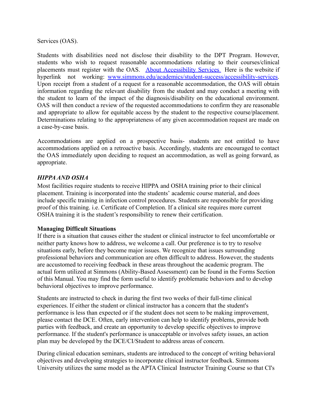Services (OAS).

placements must register with the OAS. About [Accessibility](http://www.simmons.edu/academics/student-success/accessibility-services) Services. Here is the website if hyperlink not working: [www.simmons.edu/academics/student-success/accessibility-services.](http://www.simmons.edu/academics/student-success/accessibility-services) Students with disabilities need not disclose their disability to the DPT Program. However, students who wish to request reasonable accommodations relating to their courses/clinical Upon receipt from a student of a request for a reasonable accommodation, the OAS will obtain information regarding the relevant disability from the student and may conduct a meeting with the student to learn of the impact of the diagnosis/disability on the educational environment. OAS will then conduct a review of the requested accommodations to confirm they are reasonable and appropriate to allow for equitable access by the student to the respective course/placement. Determinations relating to the appropriateness of any given accommodation request are made on a case-by-case basis.

Accommodations are applied on a prospective basis- students are not entitled to have accommodations applied on a retroactive basis. Accordingly, students are encouraged to contact the OAS immediately upon deciding to request an accommodation, as well as going forward, as appropriate.

#### *HIPPAAND OSHA*

Most facilities require students to receive HIPPA and OSHA training prior to their clinical placement. Training is incorporated into the students' academic course material, and does include specific training in infection control procedures. Students are responsible for providing proof of this training. i.e. Certificate of Completion. If a clinical site requires more current OSHA training it is the student's responsibility to renew their certification.

#### **Managing Difficult Situations**

If there is a situation that causes either the student or clinical instructor to feel uncomfortable or neither party knows how to address, we welcome a call. Our preference is to try to resolve situations early, before they become major issues. We recognize that issues surrounding professional behaviors and communication are often difficult to address. However, the students are accustomed to receiving feedback in these areas throughout the academic program. The actual form utilized at Simmons (Ability-Based Assessment) can be found in the Forms Section of this Manual. You may find the form useful to identify problematic behaviors and to develop behavioral objectives to improve performance.

Students are instructed to check in during the first two weeks of their full-time clinical experiences. If either the student or clinical instructor has a concern that the student's performance is less than expected or if the student does not seem to be making improvement, please contact the DCE. Often, early intervention can help to identify problems, provide both parties with feedback, and create an opportunity to develop specific objectives to improve performance. If the student's performance is unacceptable or involves safety issues, an action plan may be developed by the DCE/CI/Student to address areas of concern.

During clinical education seminars, students are introduced to the concept of writing behavioral objectives and developing strategies to incorporate clinical instructor feedback. Simmons University utilizes the same model as the APTA Clinical Instructor Training Course so that CI's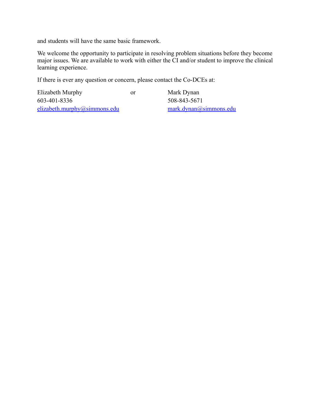and students will have the same basic framework.

We welcome the opportunity to participate in resolving problem situations before they become major issues. We are available to work with either the CI and/or student to improve the clinical learning experience.

If there is ever any question or concern, please contact the Co-DCEs at:

| Elizabeth Murphy             | or | Mark Dynan             |
|------------------------------|----|------------------------|
| 603-401-8336                 |    | 508-843-5671           |
| elizabeth.murphy@simmons.edu |    | mark.dynan@simmons.edu |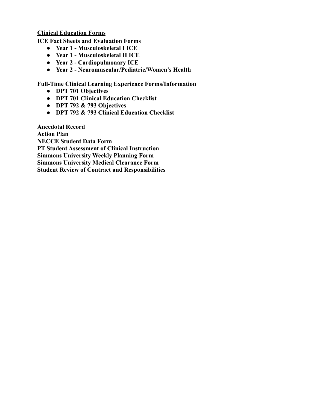**Clinical Education Forms**

**ICE Fact Sheets and Evaluation Forms**

- **● Year 1 Musculoskeletal I ICE**
- **● Year 1 Musculoskeletal II ICE**
- **● Year 2 Cardiopulmonary ICE**
- **● Year 2 Neuromuscular/Pediatric/Women's Health**

**Full-Time Clinical Learning Experience Forms/Information**

- **● DPT 701 Objectives**
- **● DPT 701 Clinical Education Checklist**
- **● DPT 792 & 793 Objectives**
- **● DPT 792 & 793 Clinical Education Checklist**

**Anecdotal Record Action Plan NECCE Student Data Form PT Student Assessment of Clinical Instruction Simmons University Weekly Planning Form Simmons University Medical Clearance Form Student Review of Contract and Responsibilities**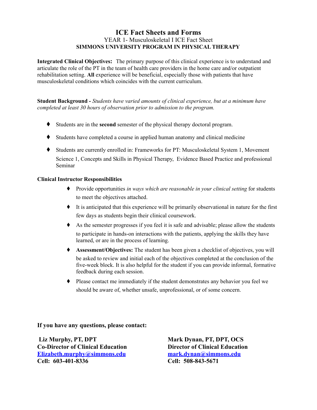#### **ICE Fact Sheets and Forms SIMMONS UNIVERSITY PROGRAM IN PHYSICAL THERAPY** YEAR 1- Musculoskeletal I ICE Fact Sheet

 **Integrated Clinical Objectives:** The primary purpose of this clinical experience is to understand and articulate the role of the PT in the team of health care providers in the home care and/or outpatient rehabilitation setting. **All** experience will be beneficial, especially those with patients that have musculoskeletal conditions which coincides with the current curriculum.

 **Student Background -** *Students have varied amounts of clinical experience, but at a minimum have completed at least 30 hours of observation prior to admission to the program.*

- ♦ Students are in the **second** semester of the physical therapy doctoral program.
- ♦ Students have completed a course in applied human anatomy and clinical medicine
- ♦ Students are currently enrolled in: Frameworks for PT: Musculoskeletal System 1, Movement Science 1, Concepts and Skills in Physical Therapy, Evidence Based Practice and professional Seminar

#### **Clinical Instructor Responsibilities**

- ♦ Provide opportunities *in ways which are reasonable in your clinical setting* for students to meet the objectives attached.
- ♦ It is anticipated that this experience will be primarily observational in nature for the first few days as students begin their clinical coursework.
- ♦ As the semester progresses if you feel it is safe and advisable; please allow the students to participate in hands-on interactions with the patients, applying the skills they have learned, or are in the process of learning.
- ♦ **Assessment/Objectives:** The student has been given a checklist of objectives, you will be asked to review and initial each of the objectives completed at the conclusion of the five-week block. It is also helpful for the student if you can provide informal, formative feedback during each session.
- ♦ Please contact me immediately if the student demonstrates any behavior you feel we should be aware of, whether unsafe, unprofessional, or of some concern.

**If you have any questions, please contact:**

**Liz Murphy, PT, DPT Mark Dynan, PT, DPT, OCS Co-Director of Clinical Education Director of Clinical Education [Elizabeth.murphy@simmons.edu](mailto:Elizabeth.murphy@simmons.edu) [mark.dynan@simmons.edu](mailto:mark.dynan@simmons.edu) Cell: 603-401-8336 Cell: 508-843-5671**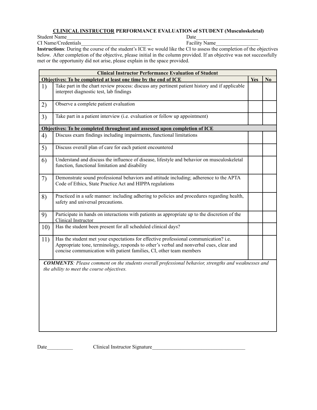#### **CLINICAL INSTRUCTOR PERFORMANCE EVALUATION of STUDENT (Musculoskeletal)**

Student Name<br>
CI Name/Credentials<br>
CI Name<br>
City Name<br>
City Name<br>
City Name<br>
City Name<br>
City Name<br>
City Name<br>
City Name<br>
City Name<br>
City Name<br>
City Name<br>
City Name<br>
City Name<br>
City Name<br>
City Name<br>
City Name<br>
City Name<br>
Ci CI Name/Credentials

 **Instructions**: During the course of the student's ICE we would like the CI to assess the completion of the objectives below. After completion of the objective, please initial in the column provided. If an objective was not successfully met or the opportunity did not arise, please explain in the space provided.

|     | <b>Clinical Instructor Performance Evaluation of Student</b>                                                                                                                                                                                           |     |                |  |  |  |
|-----|--------------------------------------------------------------------------------------------------------------------------------------------------------------------------------------------------------------------------------------------------------|-----|----------------|--|--|--|
|     | Objectives: To be completed at least one time by the end of ICE                                                                                                                                                                                        | Yes | N <sub>0</sub> |  |  |  |
| 1)  | Take part in the chart review process: discuss any pertinent patient history and if applicable<br>interpret diagnostic test, lab findings                                                                                                              |     |                |  |  |  |
| 2)  | Observe a complete patient evaluation                                                                                                                                                                                                                  |     |                |  |  |  |
| 3)  | Take part in a patient interview (i.e. evaluation or follow up appointment)                                                                                                                                                                            |     |                |  |  |  |
|     | Objectives: To be completed throughout and assessed upon completion of ICE                                                                                                                                                                             |     |                |  |  |  |
| 4)  | Discuss exam findings including impairments, functional limitations                                                                                                                                                                                    |     |                |  |  |  |
| 5)  | Discuss overall plan of care for each patient encountered                                                                                                                                                                                              |     |                |  |  |  |
| 6)  | Understand and discuss the influence of disease, lifestyle and behavior on musculoskeletal<br>function, functional limitation and disability                                                                                                           |     |                |  |  |  |
| 7)  | Demonstrate sound professional behaviors and attitude including; adherence to the APTA<br>Code of Ethics, State Practice Act and HIPPA regulations                                                                                                     |     |                |  |  |  |
| 8)  | Practiced in a safe manner: including adhering to policies and procedures regarding health,<br>safety and universal precautions.                                                                                                                       |     |                |  |  |  |
| 9)  | Participate in hands on interactions with patients as appropriate up to the discretion of the<br>Clinical Instructor                                                                                                                                   |     |                |  |  |  |
| 10) | Has the student been present for all scheduled clinical days?                                                                                                                                                                                          |     |                |  |  |  |
| 11) | Has the student met your expectations for effective professional communication? i.e.<br>Appropriate tone, terminology, responds to other's verbal and nonverbal cues, clear and<br>concise communication with patient families, CI, other team members |     |                |  |  |  |
|     | <b>COMMENTS:</b> Please comment on the students overall professional behavior, strengths and weaknesses and<br>the ability to meet the course objectives.                                                                                              |     |                |  |  |  |

Date\_\_\_\_\_\_\_\_\_\_ Clinical Instructor Signature\_\_\_\_\_\_\_\_\_\_\_\_\_\_\_\_\_\_\_\_\_\_\_\_\_\_\_\_\_\_\_\_\_\_\_\_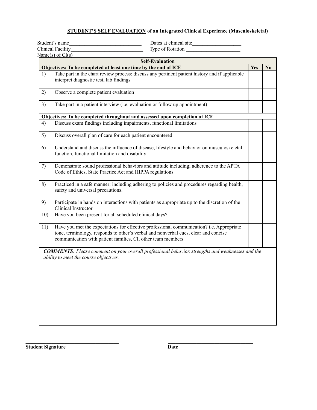#### **STUDENT'S SELF EVALUATION of an Integrated Clinical Experience (Musculoskeletal)**

|     | Dates at clinical site<br>Student's name                                                                                                                                                                                                       |     |                |
|-----|------------------------------------------------------------------------------------------------------------------------------------------------------------------------------------------------------------------------------------------------|-----|----------------|
|     | <b>Clinical Facility</b><br>Type of Rotation                                                                                                                                                                                                   |     |                |
|     | Name(s) of $CI(s)$                                                                                                                                                                                                                             |     |                |
|     | <b>Self-Evaluation</b>                                                                                                                                                                                                                         |     |                |
|     | Objectives: To be completed at least one time by the end of ICE                                                                                                                                                                                | Yes | N <sub>0</sub> |
| 1)  | Take part in the chart review process: discuss any pertinent patient history and if applicable<br>interpret diagnostic test, lab findings                                                                                                      |     |                |
| 2)  | Observe a complete patient evaluation                                                                                                                                                                                                          |     |                |
| 3)  | Take part in a patient interview (i.e. evaluation or follow up appointment)                                                                                                                                                                    |     |                |
|     | Objectives: To be completed throughout and assessed upon completion of ICE                                                                                                                                                                     |     |                |
| 4)  | Discuss exam findings including impairments, functional limitations                                                                                                                                                                            |     |                |
| 5)  | Discuss overall plan of care for each patient encountered                                                                                                                                                                                      |     |                |
| 6)  | Understand and discuss the influence of disease, lifestyle and behavior on musculoskeletal<br>function, functional limitation and disability                                                                                                   |     |                |
| 7)  | Demonstrate sound professional behaviors and attitude including; adherence to the APTA<br>Code of Ethics, State Practice Act and HIPPA regulations                                                                                             |     |                |
| 8)  | Practiced in a safe manner: including adhering to policies and procedures regarding health,<br>safety and universal precautions.                                                                                                               |     |                |
| 9)  | Participate in hands on interactions with patients as appropriate up to the discretion of the<br>Clinical Instructor                                                                                                                           |     |                |
| 10) | Have you been present for all scheduled clinical days?                                                                                                                                                                                         |     |                |
| 11) | Have you met the expectations for effective professional communication? i.e. Appropriate<br>tone, terminology, responds to other's verbal and nonverbal cues, clear and concise<br>communication with patient families, CI, other team members |     |                |
|     | <b>COMMENTS</b> : Please comment on your overall professional behavior, strengths and weaknesses and the<br>ability to meet the course objectives.                                                                                             |     |                |

**Student Signature Date** 

**\_\_\_\_\_\_\_\_\_\_\_\_\_\_\_\_\_\_\_\_\_\_\_\_\_\_\_\_\_\_\_\_\_\_\_\_ \_\_\_\_\_\_\_\_\_\_\_\_\_\_\_\_\_\_\_\_\_\_\_\_\_\_\_\_\_\_\_\_\_**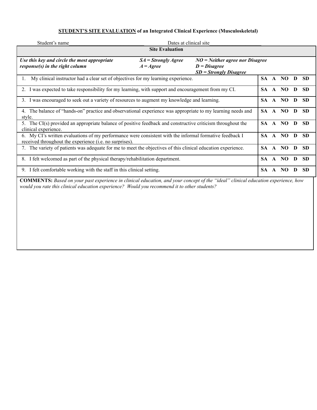#### **STUDENT'S SITE EVALUATION of an Integrated Clinical Experience (Musculoskeletal)**

| Student's name                                                                                                                                                             | Dates at clinical site                      |                                                                                 |           |              |         |   |           |
|----------------------------------------------------------------------------------------------------------------------------------------------------------------------------|---------------------------------------------|---------------------------------------------------------------------------------|-----------|--------------|---------|---|-----------|
|                                                                                                                                                                            | <b>Site Evaluation</b>                      |                                                                                 |           |              |         |   |           |
| Use this key and circle the most appropriate<br>response(s) in the right column                                                                                            | $SA =$ Strongly Agree<br>$A = \text{Agree}$ | $NO = Neither$ agree nor Disagree<br>$D = Disagree$<br>$SD =$ Strongly Disagree |           |              |         |   |           |
| My clinical instructor had a clear set of objectives for my learning experience.<br>$\mathbf{I}$ .                                                                         |                                             |                                                                                 | SA -      | $\mathbf{A}$ | NO.     | D | <b>SD</b> |
| 2. I was expected to take responsibility for my learning, with support and encouragement from my CI.                                                                       |                                             |                                                                                 | SA.       |              | A NO    | D | <b>SD</b> |
| 3. I was encouraged to seek out a variety of resources to augment my knowledge and learning.                                                                               |                                             |                                                                                 |           |              | A NO    | D | <b>SD</b> |
| 4. The balance of "hands-on" practice and observational experience was appropriate to my learning needs and<br>style.                                                      |                                             |                                                                                 |           |              | SA A NO | D | <b>SD</b> |
| 5. The CI(s) provided an appropriate balance of positive feedback and constructive criticism throughout the<br>clinical experience.                                        |                                             |                                                                                 | SA.       |              | A NO    | D | <b>SD</b> |
| 6. My CI's written evaluations of my performance were consistent with the informal formative feedback I<br>received throughout the experience ( <i>i.e.</i> no surprises). |                                             |                                                                                 | <b>SA</b> | $\mathbf{A}$ | NO      | D | <b>SD</b> |
| 7. The variety of patients was adequate for me to meet the objectives of this clinical education experience.                                                               |                                             |                                                                                 | SA.       | $\mathbf{A}$ | NO.     | D | <b>SD</b> |
| 8. I felt welcomed as part of the physical therapy/rehabilitation department.                                                                                              |                                             |                                                                                 |           |              | SA A NO | D | <b>SD</b> |
| 9. I felt comfortable working with the staff in this clinical setting.                                                                                                     |                                             |                                                                                 | <b>SA</b> | $\mathbf{A}$ | NO.     | D | <b>SD</b> |
| <b>COMMENTS:</b> Based on your past experience in clinical education, and your concept of the "ideal" clinical education experience, how                                   |                                             |                                                                                 |           |              |         |   |           |

*would you rate this clinical education experience? Would you recommend it to other students?*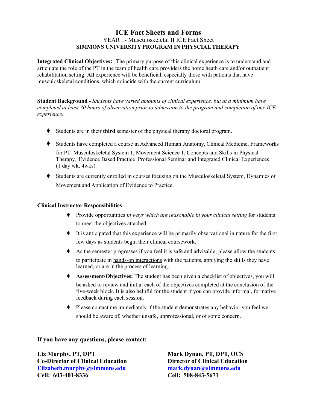#### **ICE Fact Sheets and Forms SIMMONS UNIVERSITY PROGRAM IN PHYSCIAL THERAPY** YEAR 1- Musculoskeletal II ICE Fact Sheet

 **Integrated Clinical Objectives:** The primary purpose of this clinical experience is to understand and articulate the role of the PT in the team of health care providers the home heath care and/or outpatient rehabilitation setting. **All** experience will be beneficial, especially those with patients that have musculoskeletal conditions, which coincide with the current curriculum.

 **Student Background -** *Students have varied amounts of clinical experience, but at a minimum have* completed at least 30 hours of observation prior to admission to the program and completion of one ICE *experience.*

- ♦ Students are in their **third** semester of the physical therapy doctoral program.
- ♦ Students have completed a course in Advanced Human Anatomy, Clinical Medicine, Frameworks for PT: Musculoskeletal System 1, Movement Science 1, Concepts and Skills in Physical Therapy, Evidence Based Practice Professional Seminar and Integrated Clinical Experiences (1 day wk, 4wks)
- ♦ Students are currently enrolled in courses focusing on the Musculoskeletal System, Dynamics of Movement and Application of Evidence to Practice.

#### **Clinical Instructor Responsibilities**

- ♦ Provide opportunities *in ways which are reasonable in your clinical setting* for students to meet the objectives attached.
- ♦ It is anticipated that this experience will be primarily observational in nature for the first few days as students begin their clinical coursework.
- ♦ As the semester progresses if you feel it is safe and advisable; please allow the students to participate in hands-on interactions with the patients, applying the skills they have learned, or are in the process of learning.
- ♦ **Assessment/Objectives:** The student has been given a checklist of objectives, you will be asked to review and initial each of the objectives completed at the conclusion of the five-week block. It is also helpful for the student if you can provide informal, formative feedback during each session.
- ♦ Please contact me immediately if the student demonstrates any behavior you feel we should be aware of, whether unsafe, unprofessional, or of some concern.

#### **If you have any questions, please contact:**

**Liz Murphy, PT, DPT Mark Dynan, PT, DPT, OCS Co-Director of Clinical Education Director of Clinical Education [Elizabeth.murphy@simmons.edu](mailto:Elizabeth.murphy@simmons.edu) [mark.dynan@simmons.edu](mailto:mark.dynan@simmons.edu) Cell: 603-401-8336 Cell: 508-843-5671**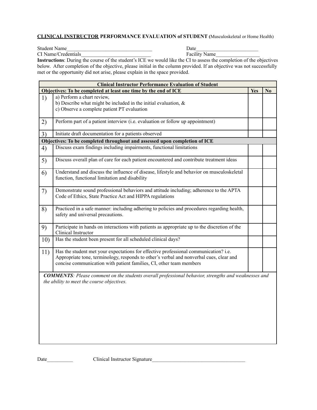#### **CLINICAL INSTRUCTOR PERFORMANCE EVALUATION of STUDENT (**Musculoskeletal or Home Health)

Student Name<br>
CI Name/Credentials<br>
CI Name<br>
City Name<br>
City Name CI Name/Credentials

| <b>Instructions</b> : During the course of the student's ICE we would like the CI to assess the completion of the objectives |
|------------------------------------------------------------------------------------------------------------------------------|
| below. After completion of the objective, please initial in the column provided. If an objective was not successfully        |
| met or the opportunity did not arise, please explain in the space provided.                                                  |

| Objectives: To be completed at least one time by the end of ICE                                                                                                                                                                                        | <b>Yes</b>                                                                                                                                                                                                                                                                                                                                                                                             |                                                                                                             |
|--------------------------------------------------------------------------------------------------------------------------------------------------------------------------------------------------------------------------------------------------------|--------------------------------------------------------------------------------------------------------------------------------------------------------------------------------------------------------------------------------------------------------------------------------------------------------------------------------------------------------------------------------------------------------|-------------------------------------------------------------------------------------------------------------|
|                                                                                                                                                                                                                                                        |                                                                                                                                                                                                                                                                                                                                                                                                        | $\mathbf{N}\mathbf{0}$                                                                                      |
| a) Perform a chart review,                                                                                                                                                                                                                             |                                                                                                                                                                                                                                                                                                                                                                                                        |                                                                                                             |
|                                                                                                                                                                                                                                                        |                                                                                                                                                                                                                                                                                                                                                                                                        |                                                                                                             |
|                                                                                                                                                                                                                                                        |                                                                                                                                                                                                                                                                                                                                                                                                        |                                                                                                             |
|                                                                                                                                                                                                                                                        |                                                                                                                                                                                                                                                                                                                                                                                                        |                                                                                                             |
|                                                                                                                                                                                                                                                        |                                                                                                                                                                                                                                                                                                                                                                                                        |                                                                                                             |
| Initiate draft documentation for a patients observed                                                                                                                                                                                                   |                                                                                                                                                                                                                                                                                                                                                                                                        |                                                                                                             |
|                                                                                                                                                                                                                                                        |                                                                                                                                                                                                                                                                                                                                                                                                        |                                                                                                             |
|                                                                                                                                                                                                                                                        |                                                                                                                                                                                                                                                                                                                                                                                                        |                                                                                                             |
| Discuss overall plan of care for each patient encountered and contribute treatment ideas                                                                                                                                                               |                                                                                                                                                                                                                                                                                                                                                                                                        |                                                                                                             |
| Understand and discuss the influence of disease, lifestyle and behavior on musculoskeletal<br>function, functional limitation and disability                                                                                                           |                                                                                                                                                                                                                                                                                                                                                                                                        |                                                                                                             |
| Demonstrate sound professional behaviors and attitude including; adherence to the APTA<br>Code of Ethics, State Practice Act and HIPPA regulations                                                                                                     |                                                                                                                                                                                                                                                                                                                                                                                                        |                                                                                                             |
| Practiced in a safe manner: including adhering to policies and procedures regarding health,<br>safety and universal precautions.                                                                                                                       |                                                                                                                                                                                                                                                                                                                                                                                                        |                                                                                                             |
| Participate in hands on interactions with patients as appropriate up to the discretion of the<br>Clinical Instructor                                                                                                                                   |                                                                                                                                                                                                                                                                                                                                                                                                        |                                                                                                             |
| Has the student been present for all scheduled clinical days?                                                                                                                                                                                          |                                                                                                                                                                                                                                                                                                                                                                                                        |                                                                                                             |
| Has the student met your expectations for effective professional communication? i.e.<br>Appropriate tone, terminology, responds to other's verbal and nonverbal cues, clear and<br>concise communication with patient families, CI, other team members |                                                                                                                                                                                                                                                                                                                                                                                                        |                                                                                                             |
|                                                                                                                                                                                                                                                        |                                                                                                                                                                                                                                                                                                                                                                                                        |                                                                                                             |
|                                                                                                                                                                                                                                                        | b) Describe what might be included in the initial evaluation, $\&$<br>c) Observe a complete patient PT evaluation<br>Perform part of a patient interview (i.e. evaluation or follow up appointment)<br>Objectives: To be completed throughout and assessed upon completion of ICE<br>Discuss exam findings including impairments, functional limitations<br>the ability to meet the course objectives. | <b>COMMENTS:</b> Please comment on the students overall professional behavior, strengths and weaknesses and |

Date\_\_\_\_\_\_\_\_\_\_ Clinical Instructor Signature\_\_\_\_\_\_\_\_\_\_\_\_\_\_\_\_\_\_\_\_\_\_\_\_\_\_\_\_\_\_\_\_\_\_\_\_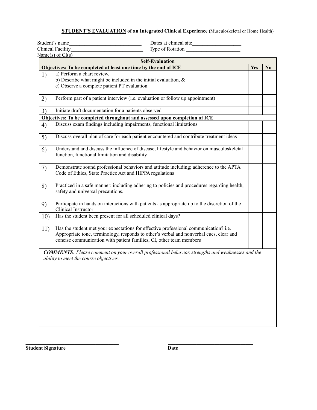#### **STUDENT'S EVALUATION of an Integrated Clinical Experience (**Musculoskeletal or Home Health)

Student's name and the student's name and the student's name and the student's name and the student's student of  $\Gamma$ 

 Type of Rotation Clinical Facility Type of Rotation Clinical Facility

|     | Name(s) of $CI(s)$                                                                                                                                                                                                                                     |            |                        |
|-----|--------------------------------------------------------------------------------------------------------------------------------------------------------------------------------------------------------------------------------------------------------|------------|------------------------|
|     | <b>Self-Evaluation</b><br>Objectives: To be completed at least one time by the end of ICE                                                                                                                                                              | <b>Yes</b> | $\mathbf{N}\mathbf{0}$ |
| 1)  | a) Perform a chart review,                                                                                                                                                                                                                             |            |                        |
|     | b) Describe what might be included in the initial evaluation, $\&$<br>c) Observe a complete patient PT evaluation                                                                                                                                      |            |                        |
| 2)  | Perform part of a patient interview (i.e. evaluation or follow up appointment)                                                                                                                                                                         |            |                        |
| 3)  | Initiate draft documentation for a patients observed                                                                                                                                                                                                   |            |                        |
|     | Objectives: To be completed throughout and assessed upon completion of ICE                                                                                                                                                                             |            |                        |
| 4)  | Discuss exam findings including impairments, functional limitations                                                                                                                                                                                    |            |                        |
| 5)  | Discuss overall plan of care for each patient encountered and contribute treatment ideas                                                                                                                                                               |            |                        |
| 6)  | Understand and discuss the influence of disease, lifestyle and behavior on musculoskeletal<br>function, functional limitation and disability                                                                                                           |            |                        |
| 7)  | Demonstrate sound professional behaviors and attitude including; adherence to the APTA<br>Code of Ethics, State Practice Act and HIPPA regulations                                                                                                     |            |                        |
| 8)  | Practiced in a safe manner: including adhering to policies and procedures regarding health,<br>safety and universal precautions.                                                                                                                       |            |                        |
| 9)  | Participate in hands on interactions with patients as appropriate up to the discretion of the<br>Clinical Instructor                                                                                                                                   |            |                        |
| 10) | Has the student been present for all scheduled clinical days?                                                                                                                                                                                          |            |                        |
| 11) | Has the student met your expectations for effective professional communication? i.e.<br>Appropriate tone, terminology, responds to other's verbal and nonverbal cues, clear and<br>concise communication with patient families, CI, other team members |            |                        |
|     | <b>COMMENTS</b> : Please comment on your overall professional behavior, strengths and weaknesses and the<br>ability to meet the course objectives.                                                                                                     |            |                        |

**Student Signature Date** 

**\_\_\_\_\_\_\_\_\_\_\_\_\_\_\_\_\_\_\_\_\_\_\_\_\_\_\_\_\_\_\_\_\_\_\_\_ \_\_\_\_\_\_\_\_\_\_\_\_\_\_\_\_\_\_\_\_\_\_\_\_\_\_\_\_\_\_\_\_\_**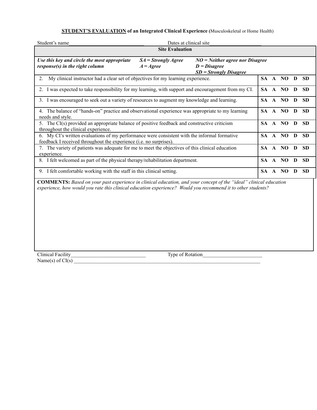#### **STUDENT'S EVALUATION of an Integrated Clinical Experience (**Musculoskeletal or Home Health)

| Student's name                                                                                                                                                                                                                           | Dates at clinical site                      |                                                                                 |     |  |         |              |           |
|------------------------------------------------------------------------------------------------------------------------------------------------------------------------------------------------------------------------------------------|---------------------------------------------|---------------------------------------------------------------------------------|-----|--|---------|--------------|-----------|
| <b>Site Evaluation</b>                                                                                                                                                                                                                   |                                             |                                                                                 |     |  |         |              |           |
| Use this key and circle the most appropriate<br>response(s) in the right column                                                                                                                                                          | $SA =$ Strongly Agree<br>$A = \text{Agree}$ | $NO = Neither$ agree nor Disagree<br>$D = Disagree$<br>$SD = Strongly Disagree$ |     |  |         |              |           |
| My clinical instructor had a clear set of objectives for my learning experience.<br>2.                                                                                                                                                   |                                             |                                                                                 |     |  | SA A NO | $\mathbf{D}$ | <b>SD</b> |
| 2. I was expected to take responsibility for my learning, with support and encouragement from my CI.                                                                                                                                     |                                             |                                                                                 |     |  | SA A NO | D            | <b>SD</b> |
| 3. I was encouraged to seek out a variety of resources to augment my knowledge and learning.                                                                                                                                             |                                             |                                                                                 |     |  | SA A NO | $\mathbf{D}$ | <b>SD</b> |
| 4. The balance of "hands-on" practice and observational experience was appropriate to my learning<br>needs and style.                                                                                                                    |                                             |                                                                                 |     |  | SA A NO | D            | <b>SD</b> |
| 5. The CI(s) provided an appropriate balance of positive feedback and constructive criticism<br>throughout the clinical experience.                                                                                                      |                                             |                                                                                 |     |  | SA A NO | D            | <b>SD</b> |
| 6. My CI's written evaluations of my performance were consistent with the informal formative<br>feedback I received throughout the experience ( <i>i.e.</i> no surprises).                                                               |                                             |                                                                                 | SA. |  | A NO    | D            | <b>SD</b> |
| 7. The variety of patients was adequate for me to meet the objectives of this clinical education<br>experience.                                                                                                                          |                                             |                                                                                 |     |  | SA A NO | $\mathbf{D}$ | <b>SD</b> |
| 8. I felt welcomed as part of the physical therapy/rehabilitation department.                                                                                                                                                            |                                             |                                                                                 |     |  | SA A NO | D            | <b>SD</b> |
| 9. I felt comfortable working with the staff in this clinical setting.                                                                                                                                                                   |                                             |                                                                                 |     |  | SA A NO | D            | <b>SD</b> |
| <b>COMMENTS:</b> Based on your past experience in clinical education, and your concept of the "ideal" clinical education<br>experience, how would you rate this clinical education experience? Would you recommend it to other students? |                                             |                                                                                 |     |  |         |              |           |

Clinical Facility Type of Rotation  $Name(s)$  of  $CI(s)$   $\Box$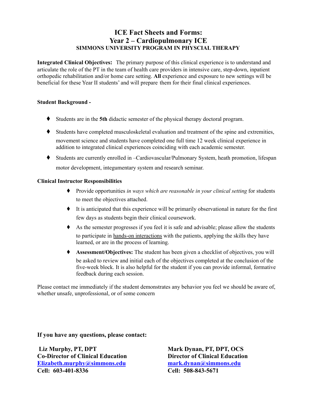# **ICE Fact Sheets and Forms: Year 2 – Cardiopulmonary ICE SIMMONS UNIVERSITY PROGRAM IN PHYSCIAL THERAPY**

 **Integrated Clinical Objectives:** The primary purpose of this clinical experience is to understand and articulate the role of the PT in the team of health care providers in intensive care, step-down, inpatient orthopedic rehabilitation and/or home care setting. **All** experience and exposure to new settings will be beneficial for these Year II students' and will prepare them for their final clinical experiences.

#### **Student Background -**

- ♦ Students are in the **5th** didactic semester of the physical therapy doctoral program.
- ♦ Students have completed musculoskeletal evaluation and treatment of the spine and extremities, movement science and students have completed one full time 12 week clinical experience in addition to integrated clinical experiences coinciding with each academic semester.
- ♦ Students are currently enrolled in –Cardiovascular/Pulmonary System, heath promotion, lifespan motor development, integumentary system and research seminar.

#### **Clinical Instructor Responsibilities**

- ♦ Provide opportunities *in ways which are reasonable in your clinical setting* for students to meet the objectives attached.
- ♦ It is anticipated that this experience will be primarily observational in nature for the first few days as students begin their clinical coursework.
- ♦ As the semester progresses if you feel it is safe and advisable; please allow the students to participate in hands-on interactions with the patients, applying the skills they have learned, or are in the process of learning.
- ♦ **Assessment/Objectives:** The student has been given a checklist of objectives, you will be asked to review and initial each of the objectives completed at the conclusion of the five-week block. It is also helpful for the student if you can provide informal, formative feedback during each session.

 Please contact me immediately if the student demonstrates any behavior you feel we should be aware of, whether unsafe, unprofessional, or of some concern

**If you have any questions, please contact:**

**Liz Murphy, PT, DPT Co-Director of Clinical Education [Elizabeth.murphy@simmons.edu](mailto:Elizabeth.murphy@simmons.edu) Cell: 603-401-8336**

**Mark Dynan, PT, DPT, OCS Director of Clinical Education [mark.dynan@simmons.edu](mailto:mark.dynan@simmons.edu) Cell: 508-843-5671**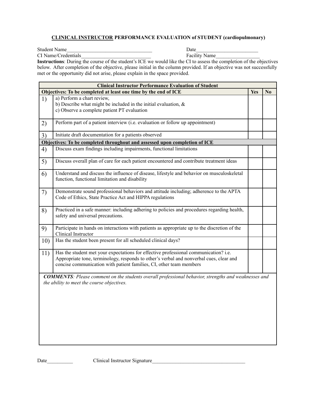#### **CLINICAL INSTRUCTOR PERFORMANCE EVALUATION of STUDENT (cardiopulmonary)**

Student Name<br>
CI Name/Credentials<br>
CI Name<br>
City Name<br>
City Name CI Name/Credentials Facility Name

| <b>Facility Name</b> |  |  |
|----------------------|--|--|
|----------------------|--|--|

 below. After completion of the objective, please initial in the column provided. If an objective was not successfully met or the opportunity did not arise, please explain in the space provided. **Instructions**: During the course of the student's ICE we would like the CI to assess the completion of the objectives

|     | <b>Clinical Instructor Performance Evaluation of Student</b>                                                                     |            |                |
|-----|----------------------------------------------------------------------------------------------------------------------------------|------------|----------------|
|     | Objectives: To be completed at least one time by the end of ICE<br>a) Perform a chart review,                                    | <b>Yes</b> | N <sub>0</sub> |
| 1)  | b) Describe what might be included in the initial evaluation, $\&$                                                               |            |                |
|     | c) Observe a complete patient PT evaluation                                                                                      |            |                |
|     |                                                                                                                                  |            |                |
| 2)  | Perform part of a patient interview (i.e. evaluation or follow up appointment)                                                   |            |                |
|     |                                                                                                                                  |            |                |
| 3)  | Initiate draft documentation for a patients observed                                                                             |            |                |
|     | Objectives: To be completed throughout and assessed upon completion of ICE                                                       |            |                |
| 4)  | Discuss exam findings including impairments, functional limitations                                                              |            |                |
|     |                                                                                                                                  |            |                |
| 5)  | Discuss overall plan of care for each patient encountered and contribute treatment ideas                                         |            |                |
| 6)  | Understand and discuss the influence of disease, lifestyle and behavior on musculoskeletal                                       |            |                |
|     | function, functional limitation and disability                                                                                   |            |                |
|     |                                                                                                                                  |            |                |
| 7)  | Demonstrate sound professional behaviors and attitude including; adherence to the APTA                                           |            |                |
|     | Code of Ethics, State Practice Act and HIPPA regulations                                                                         |            |                |
|     |                                                                                                                                  |            |                |
| 8)  | Practiced in a safe manner: including adhering to policies and procedures regarding health,<br>safety and universal precautions. |            |                |
|     |                                                                                                                                  |            |                |
| 9)  | Participate in hands on interactions with patients as appropriate up to the discretion of the                                    |            |                |
|     | Clinical Instructor                                                                                                              |            |                |
| 10) | Has the student been present for all scheduled clinical days?                                                                    |            |                |
|     |                                                                                                                                  |            |                |
| 11) | Has the student met your expectations for effective professional communication? i.e.                                             |            |                |
|     | Appropriate tone, terminology, responds to other's verbal and nonverbal cues, clear and                                          |            |                |
|     | concise communication with patient families, CI, other team members                                                              |            |                |
|     | <b>COMMENTS</b> : Please comment on the students overall professional behavior, strengths and weaknesses and                     |            |                |
|     | the ability to meet the course objectives.                                                                                       |            |                |
|     |                                                                                                                                  |            |                |
|     |                                                                                                                                  |            |                |
|     |                                                                                                                                  |            |                |
|     |                                                                                                                                  |            |                |
|     |                                                                                                                                  |            |                |
|     |                                                                                                                                  |            |                |
|     |                                                                                                                                  |            |                |
|     |                                                                                                                                  |            |                |
|     |                                                                                                                                  |            |                |

Date\_\_\_\_\_\_\_\_\_\_ Clinical Instructor Signature\_\_\_\_\_\_\_\_\_\_\_\_\_\_\_\_\_\_\_\_\_\_\_\_\_\_\_\_\_\_\_\_\_\_\_\_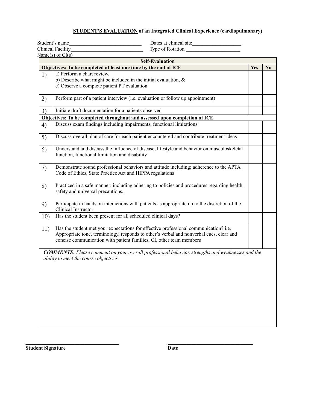#### **STUDENT'S EVALUATION of an Integrated Clinical Experience (cardiopulmonary)**

Student's name and the student's name and the student's name and the student's name and the student's student of  $\Gamma$ Type of Rotation Name(s) of  $CI(s)$  **Objectives: To be completed at least one time by the end of ICE Yes No** 1) a) Perform a chart review, b) Describe what might be included in the initial evaluation,  $\&$  c) Observe a complete patient PT evaluation 2) Perform part of a patient interview (i.e. evaluation or follow up appointment) Clinical Facility **Self-Evaluation**

|     | Objectives: To be completed throughout and assessed upon completion of ICE                                                                                                                                                                             |  |
|-----|--------------------------------------------------------------------------------------------------------------------------------------------------------------------------------------------------------------------------------------------------------|--|
| 4)  | Discuss exam findings including impairments, functional limitations                                                                                                                                                                                    |  |
| 5)  | Discuss overall plan of care for each patient encountered and contribute treatment ideas                                                                                                                                                               |  |
| 6)  | Understand and discuss the influence of disease, lifestyle and behavior on musculoskeletal<br>function, functional limitation and disability                                                                                                           |  |
| 7)  | Demonstrate sound professional behaviors and attitude including; adherence to the APTA<br>Code of Ethics, State Practice Act and HIPPA regulations                                                                                                     |  |
| 8)  | Practiced in a safe manner: including adhering to policies and procedures regarding health,<br>safety and universal precautions.                                                                                                                       |  |
| 9)  | Participate in hands on interactions with patients as appropriate up to the discretion of the<br>Clinical Instructor                                                                                                                                   |  |
| 10) | Has the student been present for all scheduled clinical days?                                                                                                                                                                                          |  |
| 11) | Has the student met your expectations for effective professional communication? i.e.<br>Appropriate tone, terminology, responds to other's verbal and nonverbal cues, clear and<br>concise communication with patient families, CI, other team members |  |
|     | <b>COMMENTS</b> : Please comment on your overall professional behavior, strengths and weaknesses and the<br>ability to meet the course objectives.                                                                                                     |  |

**Student Signature Date** 

**\_\_\_\_\_\_\_\_\_\_\_\_\_\_\_\_\_\_\_\_\_\_\_\_\_\_\_\_\_\_\_\_\_\_\_\_ \_\_\_\_\_\_\_\_\_\_\_\_\_\_\_\_\_\_\_\_\_\_\_\_\_\_\_\_\_\_\_\_\_**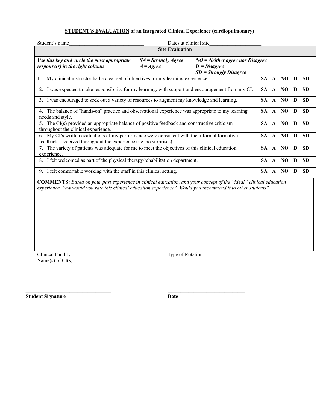#### **STUDENT'S EVALUATION of an Integrated Clinical Experience (cardiopulmonary)**

| Student's name                                                                                                                                                                                                                           | Dates at clinical site                                                                           |                                                                                 |  |  |           |              |           |  |
|------------------------------------------------------------------------------------------------------------------------------------------------------------------------------------------------------------------------------------------|--------------------------------------------------------------------------------------------------|---------------------------------------------------------------------------------|--|--|-----------|--------------|-----------|--|
|                                                                                                                                                                                                                                          | <b>Site Evaluation</b>                                                                           |                                                                                 |  |  |           |              |           |  |
| Use this key and circle the most appropriate<br>response(s) in the right column                                                                                                                                                          | $SA = Strongly \, Age$<br>$A = \text{Agree}$                                                     | $NO = Neither$ agree nor Disagree<br>$D = Disagree$<br>$SD = Strongly Disagree$ |  |  |           |              |           |  |
| My clinical instructor had a clear set of objectives for my learning experience.                                                                                                                                                         |                                                                                                  |                                                                                 |  |  | SA A NO D |              | <b>SD</b> |  |
| 2. I was expected to take responsibility for my learning, with support and encouragement from my CI.                                                                                                                                     |                                                                                                  |                                                                                 |  |  | SA A NO D |              | <b>SD</b> |  |
| 3. I was encouraged to seek out a variety of resources to augment my knowledge and learning.                                                                                                                                             |                                                                                                  |                                                                                 |  |  | SA A NO   | D            | <b>SD</b> |  |
| 4. The balance of "hands-on" practice and observational experience was appropriate to my learning<br>needs and style.                                                                                                                    |                                                                                                  |                                                                                 |  |  | SA A NO   | D            | <b>SD</b> |  |
| throughout the clinical experience.                                                                                                                                                                                                      | 5. The CI(s) provided an appropriate balance of positive feedback and constructive criticism     |                                                                                 |  |  | SA A NO   | $\mathbf{D}$ | <b>SD</b> |  |
| 6. My CI's written evaluations of my performance were consistent with the informal formative<br>feedback I received throughout the experience ( <i>i.e.</i> no surprises).                                                               |                                                                                                  |                                                                                 |  |  | SA A NO   | D            | <b>SD</b> |  |
| experience.                                                                                                                                                                                                                              | 7. The variety of patients was adequate for me to meet the objectives of this clinical education |                                                                                 |  |  | SA A NO   | D            | <b>SD</b> |  |
| 8. I felt welcomed as part of the physical therapy/rehabilitation department.                                                                                                                                                            |                                                                                                  |                                                                                 |  |  | SA A NO   | $\mathbf{D}$ | <b>SD</b> |  |
| 9. I felt comfortable working with the staff in this clinical setting.                                                                                                                                                                   |                                                                                                  |                                                                                 |  |  | SA A NO   | D            | <b>SD</b> |  |
| <b>COMMENTS:</b> Based on your past experience in clinical education, and your concept of the "ideal" clinical education<br>experience, how would you rate this clinical education experience? Would you recommend it to other students? |                                                                                                  |                                                                                 |  |  |           |              |           |  |

Name(s) of  $CI(s)$   $\blacksquare$ 

Clinical Facility\_\_\_\_\_\_\_\_\_\_\_\_\_\_\_\_\_\_\_\_\_\_\_\_\_\_\_\_\_ Type of Rotation\_\_\_\_\_\_\_\_\_\_\_\_\_\_\_\_\_\_\_\_\_\_\_

**Student Signature Date**

**\_\_\_\_\_\_\_\_\_\_\_\_\_\_\_\_\_\_\_\_\_\_\_\_\_\_\_\_\_\_\_\_\_ \_\_\_\_\_\_\_\_\_\_\_\_\_\_\_\_\_\_\_\_\_\_\_\_\_\_\_\_\_\_**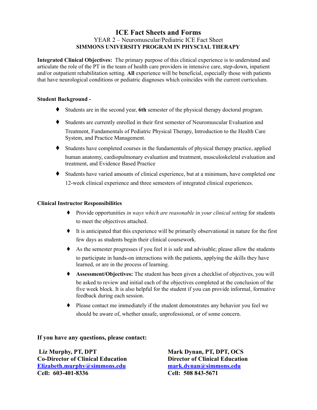### **ICE Fact Sheets and Forms SIMMONS UNIVERSITY PROGRAM IN PHYSCIAL THERAPY** YEAR 2 – Neuromuscular/Pediatric ICE Fact Sheet

 **Integrated Clinical Objectives:** The primary purpose of this clinical experience is to understand and articulate the role of the PT in the team of health care providers in intensive care, step-down, inpatient and/or outpatient rehabilitation setting. **All** experience will be beneficial, especially those with patients that have neurological conditions or pediatric diagnoses which coincides with the current curriculum.

#### **Student Background -**

- ♦ Students are in the second year, **6th** semester of the physical therapy doctoral program.
- ♦ Students are currently enrolled in their first semester of Neuromuscular Evaluation and Treatment, Fundamentals of Pediatric Physical Therapy, Introduction to the Health Care System, and Practice Management.
- ♦ Students have completed courses in the fundamentals of physical therapy practice, applied human anatomy, cardiopulmonary evaluation and treatment, musculoskeletal evaluation and treatment, and Evidence Based Practice
- ♦ Students have varied amounts of clinical experience, but at a minimum, have completed one 12-week clinical experience and three semesters of integrated clinical experiences.

### **Clinical Instructor Responsibilities**

- ♦ Provide opportunities *in ways which are reasonable in your clinical setting* for students to meet the objectives attached.
- ♦ It is anticipated that this experience will be primarily observational in nature for the first few days as students begin their clinical coursework.
- ♦ As the semester progresses if you feel it is safe and advisable; please allow the students to participate in hands-on interactions with the patients, applying the skills they have learned, or are in the process of learning.
- ♦ **Assessment/Objectives:** The student has been given a checklist of objectives, you will be asked to review and initial each of the objectives completed at the conclusion of the five week block. It is also helpful for the student if you can provide informal, formative feedback during each session.
- ♦ Please contact me immediately if the student demonstrates any behavior you feel we should be aware of, whether unsafe, unprofessional, or of some concern.

### **If you have any questions, please contact:**

**Liz Murphy, PT, DPT Co-Director of Clinical Education [Elizabeth.murphy@simmons.edu](mailto:Elizabeth.murphy@simmons.edu) Cell: 603-401-8336**

**Mark Dynan, PT, DPT, OCS Director of Clinical Education [mark.dynan@simmons.edu](mailto:mark.dynan@simmons.edu) Cell: 508 843-5671**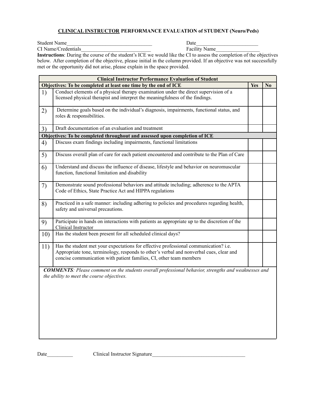#### **CLINICAL INSTRUCTOR PERFORMANCE EVALUATION of STUDENT (Neuro/Peds)**

Student Name\_\_\_\_\_\_\_\_\_\_\_\_\_\_\_\_\_\_\_\_\_\_\_\_\_\_\_\_\_\_\_\_\_ Date\_\_\_\_\_\_\_\_\_\_\_\_\_\_\_\_\_\_\_\_\_\_\_\_

CI Name/Credentials\_\_\_\_\_\_\_\_\_\_\_\_\_\_\_\_\_\_\_\_\_\_\_\_\_\_\_ Facility Name\_\_\_\_\_\_\_\_\_\_\_\_\_\_\_\_\_

 below. After completion of the objective, please initial in the column provided. If an objective was not successfully met or the opportunity did not arise, please explain in the space provided. **Instructions**: During the course of the student's ICE we would like the CI to assess the completion of the objectives

| <b>Clinical Instructor Performance Evaluation of Student</b> |                                                                                                                                                                                                                                                        |            |                |  |
|--------------------------------------------------------------|--------------------------------------------------------------------------------------------------------------------------------------------------------------------------------------------------------------------------------------------------------|------------|----------------|--|
|                                                              | Objectives: To be completed at least one time by the end of ICE                                                                                                                                                                                        | <b>Yes</b> | N <sub>0</sub> |  |
| 1)                                                           | Conduct elements of a physical therapy examination under the direct supervision of a<br>licensed physical therapist and interpret the meaningfulness of the findings.                                                                                  |            |                |  |
| 2)                                                           | Determine goals based on the individual's diagnosis, impairments, functional status, and<br>roles & responsibilities.                                                                                                                                  |            |                |  |
| 3)                                                           | Draft documentation of an evaluation and treatment                                                                                                                                                                                                     |            |                |  |
|                                                              | Objectives: To be completed throughout and assessed upon completion of ICE                                                                                                                                                                             |            |                |  |
| 4)                                                           | Discuss exam findings including impairments, functional limitations                                                                                                                                                                                    |            |                |  |
| 5)                                                           | Discuss overall plan of care for each patient encountered and contribute to the Plan of Care                                                                                                                                                           |            |                |  |
| 6)                                                           | Understand and discuss the influence of disease, lifestyle and behavior on neuromuscular<br>function, functional limitation and disability                                                                                                             |            |                |  |
| 7)                                                           | Demonstrate sound professional behaviors and attitude including; adherence to the APTA<br>Code of Ethics, State Practice Act and HIPPA regulations                                                                                                     |            |                |  |
| 8)                                                           | Practiced in a safe manner: including adhering to policies and procedures regarding health,<br>safety and universal precautions.                                                                                                                       |            |                |  |
| 9)                                                           | Participate in hands on interactions with patients as appropriate up to the discretion of the<br>Clinical Instructor                                                                                                                                   |            |                |  |
| 10)                                                          | Has the student been present for all scheduled clinical days?                                                                                                                                                                                          |            |                |  |
| 11)                                                          | Has the student met your expectations for effective professional communication? i.e.<br>Appropriate tone, terminology, responds to other's verbal and nonverbal cues, clear and<br>concise communication with patient families, CI, other team members |            |                |  |
|                                                              | <b>COMMENTS:</b> Please comment on the students overall professional behavior, strengths and weaknesses and<br>the ability to meet the course objectives.                                                                                              |            |                |  |

Date\_\_\_\_\_\_\_\_\_\_ Clinical Instructor Signature\_\_\_\_\_\_\_\_\_\_\_\_\_\_\_\_\_\_\_\_\_\_\_\_\_\_\_\_\_\_\_\_\_\_\_\_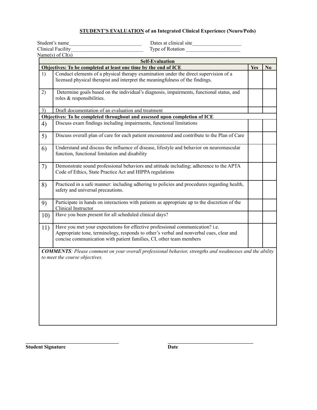#### **STUDENT'S EVALUATION of an Integrated Clinical Experience (Neuro/Peds)**

|     | Student's name<br>Dates at clinical site                                                                                                                                                                                                        |     |                |
|-----|-------------------------------------------------------------------------------------------------------------------------------------------------------------------------------------------------------------------------------------------------|-----|----------------|
|     | <b>Clinical Facility</b><br>Type of Rotation                                                                                                                                                                                                    |     |                |
|     | Name(s) of $CI(s)$                                                                                                                                                                                                                              |     |                |
|     | <b>Self-Evaluation</b>                                                                                                                                                                                                                          |     |                |
|     | Objectives: To be completed at least one time by the end of ICE                                                                                                                                                                                 | Yes | N <sub>0</sub> |
| 1)  | Conduct elements of a physical therapy examination under the direct supervision of a<br>licensed physical therapist and interpret the meaningfulness of the findings.                                                                           |     |                |
| 2)  | Determine goals based on the individual's diagnosis, impairments, functional status, and<br>roles & responsibilities.                                                                                                                           |     |                |
| 3)  | Draft documentation of an evaluation and treatment                                                                                                                                                                                              |     |                |
|     | Objectives: To be completed throughout and assessed upon completion of ICE                                                                                                                                                                      |     |                |
| 4)  | Discuss exam findings including impairments, functional limitations                                                                                                                                                                             |     |                |
| 5)  | Discuss overall plan of care for each patient encountered and contribute to the Plan of Care                                                                                                                                                    |     |                |
| 6)  | Understand and discuss the influence of disease, lifestyle and behavior on neuromuscular<br>function, functional limitation and disability                                                                                                      |     |                |
| 7)  | Demonstrate sound professional behaviors and attitude including; adherence to the APTA<br>Code of Ethics, State Practice Act and HIPPA regulations                                                                                              |     |                |
| 8)  | Practiced in a safe manner: including adhering to policies and procedures regarding health,<br>safety and universal precautions.                                                                                                                |     |                |
| 9)  | Participate in hands on interactions with patients as appropriate up to the discretion of the<br>Clinical Instructor                                                                                                                            |     |                |
| 10) | Have you been present for all scheduled clinical days?                                                                                                                                                                                          |     |                |
| 11) | Have you met your expectations for effective professional communication? i.e.<br>Appropriate tone, terminology, responds to other's verbal and nonverbal cues, clear and<br>concise communication with patient families, CI, other team members |     |                |
|     | <b>COMMENTS:</b> Please comment on your overall professional behavior, strengths and weaknesses and the ability<br>to meet the course objectives.                                                                                               |     |                |
|     |                                                                                                                                                                                                                                                 |     |                |

**Student Signature Date** 

**\_\_\_\_\_\_\_\_\_\_\_\_\_\_\_\_\_\_\_\_\_\_\_\_\_\_\_\_\_\_\_\_\_\_\_\_ \_\_\_\_\_\_\_\_\_\_\_\_\_\_\_\_\_\_\_\_\_\_\_\_\_\_\_\_\_\_\_\_\_**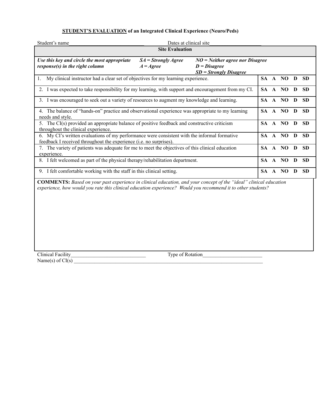#### **STUDENT'S EVALUATION of an Integrated Clinical Experience (Neuro/Peds)**

| Student's name                                                                                                                                                                                                                           | Dates at clinical site |  |           |              |         |   |           |
|------------------------------------------------------------------------------------------------------------------------------------------------------------------------------------------------------------------------------------------|------------------------|--|-----------|--------------|---------|---|-----------|
| <b>Site Evaluation</b>                                                                                                                                                                                                                   |                        |  |           |              |         |   |           |
| $NO = Neither$ agree nor Disagree<br>Use this key and circle the most appropriate<br>$SA = Strongly \, Age$<br>response(s) in the right column<br>$A = \text{Agree}$<br>$D = Disagree$<br>$SD = Strongly Disagree$                       |                        |  |           |              |         |   |           |
| My clinical instructor had a clear set of objectives for my learning experience.<br>1.                                                                                                                                                   |                        |  |           |              | SA A NO | D | <b>SD</b> |
| 2. I was expected to take responsibility for my learning, with support and encouragement from my CI.                                                                                                                                     |                        |  |           |              | SA A NO | D | <b>SD</b> |
| 3. I was encouraged to seek out a variety of resources to augment my knowledge and learning.                                                                                                                                             |                        |  |           |              | SA A NO | D | <b>SD</b> |
| 4. The balance of "hands-on" practice and observational experience was appropriate to my learning<br>needs and style.                                                                                                                    |                        |  |           |              | SA A NO | D | <b>SD</b> |
| 5. The CI(s) provided an appropriate balance of positive feedback and constructive criticism<br>throughout the clinical experience.                                                                                                      |                        |  |           |              | SA A NO | D | <b>SD</b> |
| 6. My CI's written evaluations of my performance were consistent with the informal formative<br>feedback I received throughout the experience (i.e. no surprises).                                                                       |                        |  | SA.       |              | A NO    | D | <b>SD</b> |
| 7. The variety of patients was adequate for me to meet the objectives of this clinical education<br>experience.                                                                                                                          |                        |  |           |              | SA A NO | D | <b>SD</b> |
| 8. I felt welcomed as part of the physical therapy/rehabilitation department.                                                                                                                                                            |                        |  | <b>SA</b> | $\mathbf{A}$ | NO      | D | <b>SD</b> |
| 9. I felt comfortable working with the staff in this clinical setting.                                                                                                                                                                   |                        |  |           |              | SA A NO | D | <b>SD</b> |
| <b>COMMENTS:</b> Based on your past experience in clinical education, and your concept of the "ideal" clinical education<br>experience, how would you rate this clinical education experience? Would you recommend it to other students? |                        |  |           |              |         |   |           |

Clinical Facility Type of Rotation Name(s) of  $CI(s)$   $\blacksquare$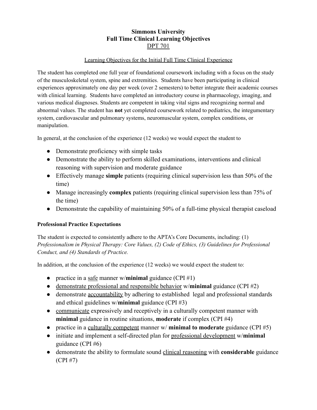# **Simmons University Full Time Clinical Learning Objectives** DPT 701

### Learning Objectives for the Initial Full Time Clinical Experience

 The student has completed one full year of foundational coursework including with a focus on the study of the musculoskeletal system, spine and extremities. Students have been participating in clinical experiences approximately one day per week (over 2 semesters) to better integrate their academic courses with clinical learning. Students have completed an introductory course in pharmacology, imaging, and various medical diagnoses. Students are competent in taking vital signs and recognizing normal and abnormal values. The student has **not** yet completed coursework related to pediatrics, the integumentary system, cardiovascular and pulmonary systems, neuromuscular system, complex conditions, or manipulation.

In general, at the conclusion of the experience (12 weeks) we would expect the student to

- Demonstrate proficiency with simple tasks
- Demonstrate the ability to perform skilled examinations, interventions and clinical reasoning with supervision and moderate guidance
- Effectively manage **simple** patients (requiring clinical supervision less than 50% of the time)
- Manage increasingly **complex** patients (requiring clinical supervision less than 75% of the time)
- Demonstrate the capability of maintaining 50% of a full-time physical therapist caseload

### **Professional Practice Expectations**

 The student is expected to consistently adhere to the APTA's Core Documents, including: (1)  *Professionalism in Physical Therapy: Core Values, (2) Code of Ethics, (3) Guidelines for Professional Conduct, and (4) Standards of Practice.*

In addition, at the conclusion of the experience (12 weeks) we would expect the student to:

- practice in a safe manner w/**minimal** guidance (CPI #1)
- demonstrate professional and responsible behavior w/**minimal** guidance (CPI #2)
- demonstrate <u>accountability</u> by adhering to established legal and professional standards and ethical guidelines w/**minimal** guidance (CPI #3)
- communicate expressively and receptively in a culturally competent manner with **minimal** guidance in routine situations, **moderate** if complex (CPI #4)
- practice in a culturally competent manner w/ **minimal to moderate** guidance (CPI #5)
- initiate and implement a self-directed plan for professional development w/**minimal** guidance (CPI #6)
- demonstrate the ability to formulate sound clinical reasoning with **considerable** guidance (CPI #7)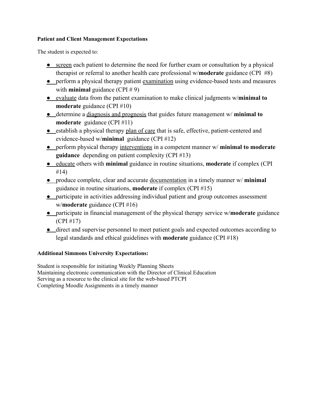### **Patient and Client Management Expectations**

The student is expected to:

- screen each patient to determine the need for further exam or consultation by a physical therapist or referral to another health care professional w/**moderate** guidance (CPI #8)
- perform a physical therapy patient examination using evidence-based tests and measures with **minimal** guidance (CPI # 9)
- **●** evaluate data from the patient examination to make clinical judgments w/**minimal to moderate** guidance (CPI #10)
- **●** determine a diagnosis and prognosis that guides future management w/ **minimal to moderate** guidance (CPI #11)
- **•** establish a physical therapy plan of care that is safe, effective, patient-centered and evidence-based w/**minimal** guidance (CPI #12)
- **●** perform physical therapy interventions in a competent manner w/ **minimal to moderate guidance** depending on patient complexity (CPI #13)
- **●** educate others with **minimal** guidance in routine situations, **moderate** if complex (CPI #14)
- **●** produce complete, clear and accurate documentation in a timely manner w/ **minimal** guidance in routine situations, **moderate** if complex (CPI #15)
- **●** participate in activities addressing individual patient and group outcomes assessment w/**moderate** guidance (CPI #16)
- **●** participate in financial management of the physical therapy service w/**moderate** guidance (CPI #17)
- **●** direct and supervise personnel to meet patient goals and expected outcomes according to legal standards and ethical guidelines with **moderate** guidance (CPI #18)

### **Additional Simmons University Expectations:**

 Student is responsible for initiating Weekly Planning Sheets Maintaining electronic communication with the Director of Clinical Education Serving as a resource to the clinical site for the web-based PTCPI Completing Moodle Assignments in a timely manner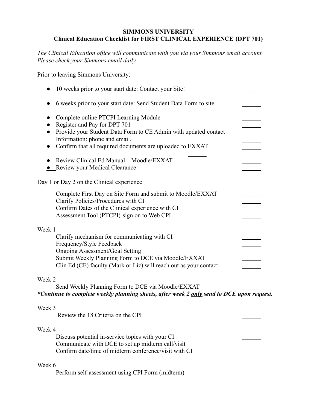### **SIMMONS UNIVERSITY Clinical Education Checklist for FIRST CLINICAL EXPERIENCE (DPT 701)**

*The Clinical Education office will communicate with you via your Simmons email account. Please check your Simmons email daily.*

Prior to leaving Simmons University:

| 10 weeks prior to your start date: Contact your Site!                                                                                                                                                                                                   |  |
|---------------------------------------------------------------------------------------------------------------------------------------------------------------------------------------------------------------------------------------------------------|--|
| 6 weeks prior to your start date: Send Student Data Form to site                                                                                                                                                                                        |  |
| Complete online PTCPI Learning Module<br>Register and Pay for DPT 701<br>Provide your Student Data Form to CE Admin with updated contact<br>Information: phone and email.<br>Confirm that all required documents are uploaded to EXXAT                  |  |
| Review Clinical Ed Manual - Moodle/EXXAT<br>• Review your Medical Clearance                                                                                                                                                                             |  |
| Day 1 or Day 2 on the Clinical experience                                                                                                                                                                                                               |  |
| Complete First Day on Site Form and submit to Moodle/EXXAT<br>Clarify Policies/Procedures with CI<br>Confirm Dates of the Clinical experience with CI<br>Assessment Tool (PTCPI)-sign on to Web CPI                                                     |  |
| Week 1<br>Clarify mechanism for communicating with CI<br>Frequency/Style Feedback<br><b>Ongoing Assessment/Goal Setting</b><br>Submit Weekly Planning Form to DCE via Moodle/EXXAT<br>Clin Ed (CE) faculty (Mark or Liz) will reach out as your contact |  |
| Week 2<br>Send Weekly Planning Form to DCE via Moodle/EXXAT<br>*Continue to complete weekly planning sheets, after week 2 only send to DCE upon request.                                                                                                |  |
| Week 3<br>Review the 18 Criteria on the CPI                                                                                                                                                                                                             |  |
| Week 4<br>Discuss potential in-service topics with your CI<br>Communicate with DCE to set up midterm call/visit<br>Confirm date/time of midterm conference/visit with CI                                                                                |  |
| Week 6                                                                                                                                                                                                                                                  |  |

Perform self-assessment using CPI Form (midterm)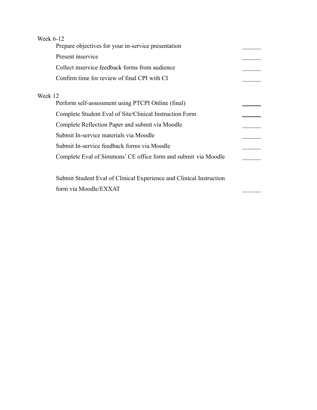| Week 6-12 |                                                                     |
|-----------|---------------------------------------------------------------------|
|           | Prepare objectives for your in-service presentation                 |
|           | Present inservice                                                   |
|           | Collect inservice feedback forms from audience                      |
|           | Confirm time for review of final CPI with CI                        |
| Week 12   |                                                                     |
|           | Perform self-assessment using PTCPI Online (final)                  |
|           | Complete Student Eval of Site/Clinical Instruction Form             |
|           | Complete Reflection Paper and submit via Moodle                     |
|           | Submit In-service materials via Moodle                              |
|           | Submit In-service feedback forms via Moodle                         |
|           | Complete Eval of Simmons' CE office form and submit via Moodle      |
|           |                                                                     |
|           | Submit Student Eval of Clinical Experience and Clinical Instruction |
|           | form via Moodle/EXXAT                                               |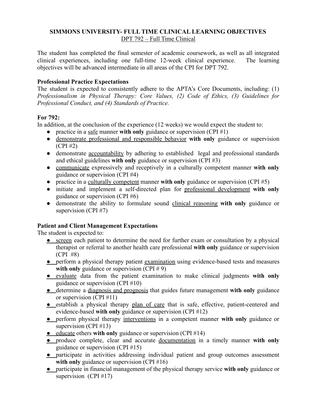### **SIMMONS UNIVERSITY- FULL TIME CLINICAL LEARNING OBJECTIVES** DPT 792 – Full Time Clinical

The student has completed the final semester of academic coursework, as well as all integrated clinical experiences, including one full-time 12-week clinical experience. The learning objectives will be advanced intermediate in all areas of the CPI for DPT 792.

### **Professional Practice Expectations**

The student is expected to consistently adhere to the APTA's Core Documents, including: (1) *Professionalism in Physical Therapy: Core Values, (2) Code of Ethics, (3) Guidelines for Professional Conduct, and (4) Standards of Practice.*

# **For 792:**

In addition, at the conclusion of the experience (12 weeks) we would expect the student to:

- practice in a <u>safe</u> manner **with only** guidance or supervision (CPI #1)
- demonstrate professional and responsible behavior **with only** guidance or supervision (CPI #2)
- demonstrate accountability by adhering to established legal and professional standards and ethical guidelines **with only** guidance or supervision (CPI #3)
- communicate expressively and receptively in a culturally competent manner **with only** guidance or supervision (CPI #4)
- practice in a culturally competent manner **with only** guidance or supervision (CPI #5)
- initiate and implement a self-directed plan for professional development **with only** guidance or supervision (CPI #6)
- demonstrate the ability to formulate sound clinical reasoning **with only** guidance or supervision (CPI #7)

# **Patient and Client Management Expectations**

The student is expected to:

- screen each patient to determine the need for further exam or consultation by a physical therapist or referral to another health care professional **with only** guidance or supervision (CPI #8)
- **•** perform a physical therapy patient examination using evidence-based tests and measures with only guidance or supervision (CPI # 9)
- **●** evaluate data from the patient examination to make clinical judgments **with only** guidance or supervision (CPI #10)
- **●** determine a diagnosis and prognosis that guides future management **with only** guidance or supervision (CPI #11)
- **●** establish a physical therapy plan of care that is safe, effective, patient-centered and evidence-based **with only** guidance or supervision (CPI #12)
- **●** perform physical therapy interventions in a competent manner **with only** guidance or supervision (CPI #13)
- **●** educate others **with only** guidance or supervision (CPI #14)
- **●** produce complete, clear and accurate documentation in a timely manner **with only** guidance or supervision (CPI #15)
- **●** participate in activities addressing individual patient and group outcomes assessment with only guidance or supervision (CPI #16)
- **●** participate in financial management of the physical therapy service **with only** guidance or supervision (CPI #17)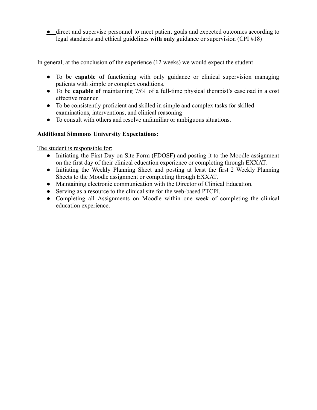**●** direct and supervise personnel to meet patient goals and expected outcomes according to legal standards and ethical guidelines **with only** guidance or supervision (CPI #18)

In general, at the conclusion of the experience (12 weeks) we would expect the student

- To be **capable of** functioning with only guidance or clinical supervision managing patients with simple or complex conditions.
- To be **capable of** maintaining 75% of a full-time physical therapist's caseload in a cost effective manner.
- To be consistently proficient and skilled in simple and complex tasks for skilled examinations, interventions, and clinical reasoning
- To consult with others and resolve unfamiliar or ambiguous situations.

# **Additional Simmons University Expectations:**

The student is responsible for:

- Initiating the First Day on Site Form (FDOSF) and posting it to the Moodle assignment on the first day of their clinical education experience or completing through EXXAT.
- Initiating the Weekly Planning Sheet and posting at least the first 2 Weekly Planning Sheets to the Moodle assignment or completing through EXXAT.
- Maintaining electronic communication with the Director of Clinical Education.
- Serving as a resource to the clinical site for the web-based PTCPI.
- Completing all Assignments on Moodle within one week of completing the clinical education experience.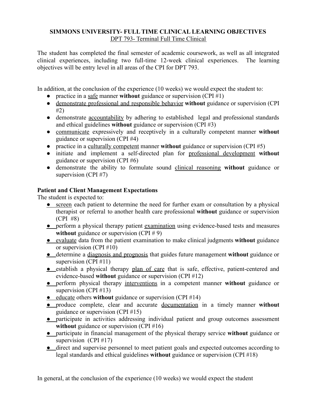### **SIMMONS UNIVERSITY- FULL TIME CLINICAL LEARNING OBJECTIVES** DPT 793- Terminal Full Time Clinical

The student has completed the final semester of academic coursework, as well as all integrated clinical experiences, including two full-time 12-week clinical experiences. The learning objectives will be entry level in all areas of the CPI for DPT 793.

In addition, at the conclusion of the experience (10 weeks) we would expect the student to:

- practice in a safe manner **without** guidance or supervision (CPI #1)
- demonstrate professional and responsible behavior **without** guidance or supervision (CPI #2)
- demonstrate accountability by adhering to established legal and professional standards and ethical guidelines **without** guidance or supervision (CPI #3)
- communicate expressively and receptively in a culturally competent manner **without** guidance or supervision (CPI #4)
- practice in a culturally competent manner **without** guidance or supervision (CPI #5)
- initiate and implement a self-directed plan for professional development **without** guidance or supervision (CPI #6)
- demonstrate the ability to formulate sound clinical reasoning **without** guidance or supervision (CPI #7)

# **Patient and Client Management Expectations**

The student is expected to:

- screen each patient to determine the need for further exam or consultation by a physical therapist or referral to another health care professional **without** guidance or supervision (CPI #8)
- perform a physical therapy patient examination using evidence-based tests and measures without guidance or supervision (CPI # 9)
- **●** evaluate data from the patient examination to make clinical judgments **without** guidance or supervision (CPI #10)
- **●** determine a diagnosis and prognosis that guides future management **without** guidance or supervision (CPI #11)
- **●** establish a physical therapy plan of care that is safe, effective, patient-centered and evidence-based **without** guidance or supervision (CPI #12)
- **●** perform physical therapy interventions in a competent manner **without** guidance or supervision (CPI #13)
- **●** educate others **without** guidance or supervision (CPI #14)
- **●** produce complete, clear and accurate documentation in a timely manner **without** guidance or supervision (CPI #15)
- **●** participate in activities addressing individual patient and group outcomes assessment without guidance or supervision (CPI #16)
- **●** participate in financial management of the physical therapy service **without** guidance or supervision (CPI #17)
- **●** direct and supervise personnel to meet patient goals and expected outcomes according to legal standards and ethical guidelines **without** guidance or supervision (CPI #18)

In general, at the conclusion of the experience (10 weeks) we would expect the student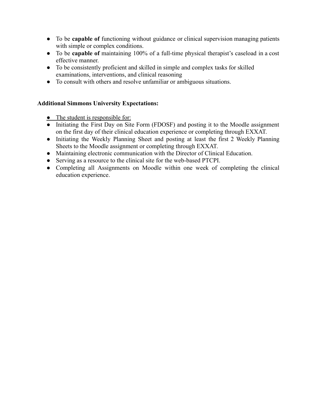- To be **capable of** functioning without guidance or clinical supervision managing patients with simple or complex conditions.
- To be **capable of** maintaining 100% of a full-time physical therapist's caseload in a cost effective manner.
- To be consistently proficient and skilled in simple and complex tasks for skilled examinations, interventions, and clinical reasoning
- To consult with others and resolve unfamiliar or ambiguous situations.

# **Additional Simmons University Expectations:**

- The student is responsible for:
- Initiating the First Day on Site Form (FDOSF) and posting it to the Moodle assignment on the first day of their clinical education experience or completing through EXXAT.
- Initiating the Weekly Planning Sheet and posting at least the first 2 Weekly Planning Sheets to the Moodle assignment or completing through EXXAT.
- Maintaining electronic communication with the Director of Clinical Education.
- Serving as a resource to the clinical site for the web-based PTCPI.
- Completing all Assignments on Moodle within one week of completing the clinical education experience.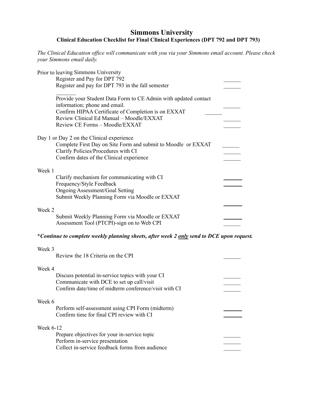# **Clinical Education Checklist for Final Clinical Experiences (DPT 792 and DPT 793) Simmons University**

 *The Clinical Education office will communicate with you via your Simmons email account. Please check your Simmons email daily.*

|           | Prior to leaving Simmons University<br>Register and Pay for DPT 792<br>Register and pay for DPT 793 in the fall semester                                                                                                              |  |
|-----------|---------------------------------------------------------------------------------------------------------------------------------------------------------------------------------------------------------------------------------------|--|
|           | Provide your Student Data Form to CE Admin with updated contact<br>information; phone and email.<br>Confirm HIPAA Certificate of Completion is on EXXAT<br>Review Clinical Ed Manual - Moodle/EXXAT<br>Review CE Forms - Moodle/EXXAT |  |
|           | Day 1 or Day 2 on the Clinical experience<br>Complete First Day on Site Form and submit to Moodle or EXXAT<br>Clarify Policies/Procedures with CI<br>Confirm dates of the Clinical experience                                         |  |
| Week 1    | Clarify mechanism for communicating with CI<br>Frequency/Style Feedback<br><b>Ongoing Assessment/Goal Setting</b><br>Submit Weekly Planning Form via Moodle or EXXAT                                                                  |  |
| Week 2    | Submit Weekly Planning Form via Moodle or EXXAT<br>Assessment Tool (PTCPI)-sign on to Web CPI                                                                                                                                         |  |
|           | *Continue to complete weekly planning sheets, after week 2 only send to DCE upon request.                                                                                                                                             |  |
| Week 3    | Review the 18 Criteria on the CPI                                                                                                                                                                                                     |  |
| Week 4    | Discuss potential in-service topics with your CI<br>Communicate with DCE to set up call/visit<br>Confirm date/time of midterm conference/visit with CI                                                                                |  |
| Week 6    | Perform self-assessment using CPI Form (midterm)<br>Confirm time for final CPI review with CI                                                                                                                                         |  |
| Week 6-12 | Prepare objectives for your in-service topic<br>Perform in-service presentation<br>Collect in-service feedback forms from audience                                                                                                    |  |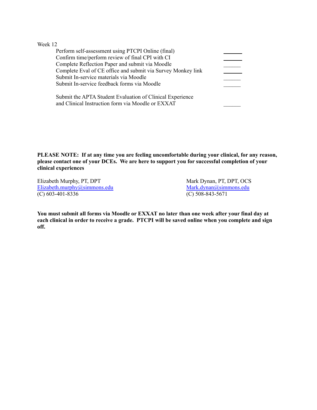Week 12

| Perform self-assessment using PTCPI Online (final)           |  |
|--------------------------------------------------------------|--|
| Confirm time/perform review of final CPI with CI             |  |
| Complete Reflection Paper and submit via Moodle              |  |
| Complete Eval of CE office and submit via Survey Monkey link |  |
| Submit In-service materials via Moodle                       |  |
| Submit In-service feedback forms via Moodle                  |  |
|                                                              |  |
| Submit the ADTA Student Evaluation of Clinical Experience    |  |

 Submit the APTA Student Evaluation of Clinical Experience and Clinical Instruction form via Moodle or EXXAT

 **PLEASE NOTE: If at any time you are feeling uncomfortable during your clinical, for any reason, please contact one of your DCEs. We are here to support you for successful completion of your clinical experiences**

Elizabeth Murphy, PT, DPT [Elizabeth.murphy@simmons.edu](mailto:Elizabeth.murphy@simmons.edu)<br>
(C) 603-401-8336 (C) 508-843-5671  $(C)$  603-401-8336

Mark Dynan, PT, DPT, OCS

You must submit all forms via Moodle or EXXAT no later than one week after your final day at each clinical in order to receive a grade. PTCPI will be saved online when you complete and sign **off.**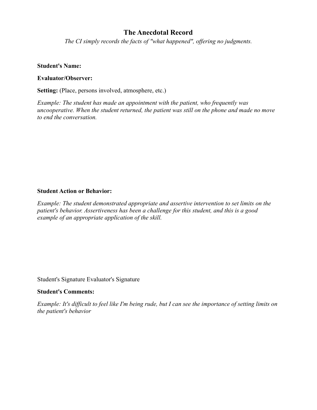# **The Anecdotal Record**

*The CI simply records the facts of "what happened", offering no judgments.*

### **Student's Name:**

### **Evaluator/Observer:**

**Setting:** (Place, persons involved, atmosphere, etc.)

*Example: The student has made an appointment with the patient, who frequently was uncooperative. When the student returned, the patient was still on the phone and made no move to end the conversation.*

### **Student Action or Behavior:**

*Example: The student demonstrated appropriate and assertive intervention to set limits on the patient's behavior. Assertiveness has been a challenge for this student, and this is a good example of an appropriate application of the skill.*

Student's Signature Evaluator's Signature

#### **Student's Comments:**

*Example: It's difficult to feel like I'm being rude, but I can see the importance of setting limits on the patient's behavior*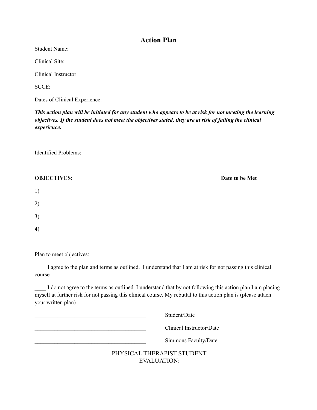# **Action Plan**

Student Name:

Clinical Site:

Clinical Instructor:

SCCE:

Dates of Clinical Experience:

This action plan will be initiated for any student who appears to be at risk for not meeting the learning objectives. If the student does not meet the objectives stated, they are at risk of failing the clinical *experience.*

Identified Problems:

| <b>OBJECTIVES:</b> | Date to be Met |
|--------------------|----------------|
| 1)                 |                |
| 2)                 |                |
| 3)                 |                |
| 4)                 |                |

Plan to meet objectives:

I agree to the plan and terms as outlined. I understand that I am at risk for not passing this clinical course.

I do not agree to the terms as outlined. I understand that by not following this action plan I am placing myself at further risk for not passing this clinical course. My rebuttal to this action plan is (please attach your written plan)

EVALUATION:

| Student/Date               |
|----------------------------|
| Clinical Instructor/Date   |
| Simmons Faculty/Date       |
| PHYSICAL THERAPIST STUDENT |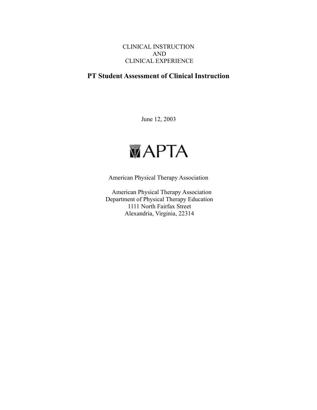# CLINICAL INSTRUCTION AND CLINICAL EXPERIENCE

# **PT Student Assessment of Clinical Instruction**

June 12, 2003



American Physical Therapy Association

American Physical Therapy Association Department of Physical Therapy Education 1111 North Fairfax Street Alexandria, Virginia, 22314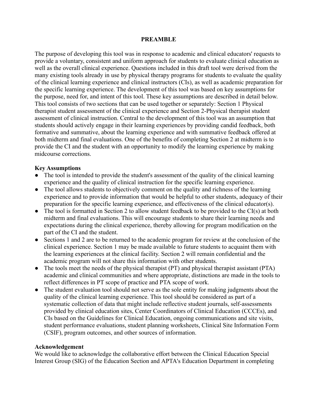### **PREAMBLE**

The purpose of developing this tool was in response to academic and clinical educators' requests to provide a voluntary, consistent and uniform approach for students to evaluate clinical education as well as the overall clinical experience. Questions included in this draft tool were derived from the many existing tools already in use by physical therapy programs for students to evaluate the quality of the clinical learning experience and clinical instructors (CIs), as well as academic preparation for the specific learning experience. The development of this tool was based on key assumptions for the purpose, need for, and intent of this tool. These key assumptions are described in detail below. This tool consists of two sections that can be used together or separately: Section 1 Physical therapist student assessment of the clinical experience and Section 2-Physical therapist student assessment of clinical instruction. Central to the development of this tool was an assumption that students should actively engage in their learning experiences by providing candid feedback, both formative and summative, about the learning experience and with summative feedback offered at both midterm and final evaluations. One of the benefits of completing Section 2 at midterm is to provide the CI and the student with an opportunity to modify the learning experience by making midcourse corrections.

### **Key Assumptions**

- The tool is intended to provide the student's assessment of the quality of the clinical learning experience and the quality of clinical instruction for the specific learning experience.
- The tool allows students to objectively comment on the quality and richness of the learning experience and to provide information that would be helpful to other students, adequacy of their preparation for the specific learning experience, and effectiveness of the clinical educator(s).
- $\bullet$  The tool is formatted in Section 2 to allow student feedback to be provided to the CI(s) at both midterm and final evaluations. This will encourage students to share their learning needs and expectations during the clinical experience, thereby allowing for program modification on the part of the CI and the student.
- Sections 1 and 2 are to be returned to the academic program for review at the conclusion of the clinical experience. Section 1 may be made available to future students to acquaint them with the learning experiences at the clinical facility. Section 2 will remain confidential and the academic program will not share this information with other students.
- The tools meet the needs of the physical therapist (PT) and physical therapist assistant (PTA) academic and clinical communities and where appropriate, distinctions are made in the tools to reflect differences in PT scope of practice and PTA scope of work.
- The student evaluation tool should not serve as the sole entity for making judgments about the quality of the clinical learning experience. This tool should be considered as part of a systematic collection of data that might include reflective student journals, self-assessments provided by clinical education sites, Center Coordinators of Clinical Education (CCCEs), and CIs based on the Guidelines for Clinical Education, ongoing communications and site visits, student performance evaluations, student planning worksheets, Clinical Site Information Form (CSIF), program outcomes, and other sources of information.

### **Acknowledgement**

We would like to acknowledge the collaborative effort between the Clinical Education Special Interest Group (SIG) of the Education Section and APTA's Education Department in completing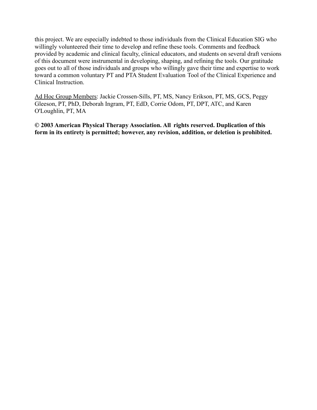this project. We are especially indebted to those individuals from the Clinical Education SIG who willingly volunteered their time to develop and refine these tools. Comments and feedback provided by academic and clinical faculty, clinical educators, and students on several draft versions of this document were instrumental in developing, shaping, and refining the tools. Our gratitude goes out to all of those individuals and groups who willingly gave their time and expertise to work toward a common voluntary PT and PTA Student Evaluation Tool of the Clinical Experience and Clinical Instruction.

Ad Hoc Group Members: Jackie Crossen-Sills, PT, MS, Nancy Erikson, PT, MS, GCS, Peggy Gleeson, PT, PhD, Deborah Ingram, PT, EdD, Corrie Odom, PT, DPT, ATC, and Karen O'Loughlin, PT, MA

**© 2003 American Physical Therapy Association. All rights reserved. Duplication of this form in its entirety is permitted; however, any revision, addition, or deletion is prohibited.**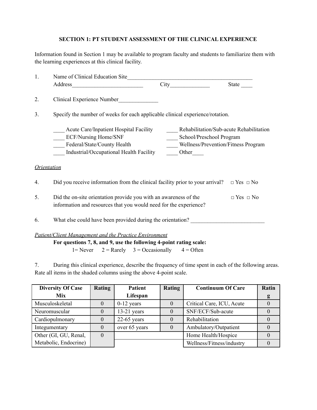### **SECTION 1: PT STUDENT ASSESSMENT OF THE CLINICAL EXPERIENCE**

 Information found in Section 1 may be available to program faculty and students to familiarize them with the learning experiences at this clinical facility.

| 1. |                                                                                                                                                                                                                                                                                                                                                               |                                                                                                            |                      |  |
|----|---------------------------------------------------------------------------------------------------------------------------------------------------------------------------------------------------------------------------------------------------------------------------------------------------------------------------------------------------------------|------------------------------------------------------------------------------------------------------------|----------------------|--|
|    |                                                                                                                                                                                                                                                                                                                                                               | City                                                                                                       | State                |  |
| 2. | Clinical Experience Number                                                                                                                                                                                                                                                                                                                                    |                                                                                                            |                      |  |
| 3. | Specify the number of weeks for each applicable clinical experience/rotation.                                                                                                                                                                                                                                                                                 |                                                                                                            |                      |  |
|    | <b>Acute Care/Inpatient Hospital Facility</b><br><b>ECF/Nursing Home/SNF</b><br>Federal/State/County Health<br>Industrial/Occupational Health Facility                                                                                                                                                                                                        | Rehabilitation/Sub-acute Rehabilitation<br>School/Preschool Program<br>Wellness/Prevention/Fitness Program |                      |  |
|    | <i><u><b>Orientation</b></u></i>                                                                                                                                                                                                                                                                                                                              |                                                                                                            |                      |  |
| 4. | Did you receive information from the clinical facility prior to your arrival?                                                                                                                                                                                                                                                                                 |                                                                                                            | $\Box$ Yes $\Box$ No |  |
| 5. | Did the on-site orientation provide you with an awareness of the<br>information and resources that you would need for the experience?                                                                                                                                                                                                                         |                                                                                                            | $\Box$ Yes $\Box$ No |  |
| 6. | What else could have been provided during the orientation?                                                                                                                                                                                                                                                                                                    |                                                                                                            |                      |  |
|    | <b>Patient/Client Management and the Practice Environment</b><br>$\mathbf{E}$ and the state of $\mathbf{E}$ and $\mathbf{E}$ and $\mathbf{E}$ and $\mathbf{E}$ and $\mathbf{E}$ and $\mathbf{E}$ and $\mathbf{E}$ and $\mathbf{E}$ and $\mathbf{E}$ and $\mathbf{E}$ and $\mathbf{E}$ and $\mathbf{E}$ and $\mathbf{E}$ and $\mathbf{E}$ and $\mathbf{E}$ and |                                                                                                            |                      |  |

 **For questions 7, 8, and 9, use the following 4-point rating scale:** 1= Never  $2 =$  Rarely  $3 =$  Occasionally  $4 =$  Often

 7. During this clinical experience, describe the frequency of time spent in each of the following areas. Rate all items in the shaded columns using the above 4-point scale.

| <b>Diversity Of Case</b> | Rating | <b>Patient</b> | <b>Rating</b> | <b>Continuum Of Care</b>  | Ratin |
|--------------------------|--------|----------------|---------------|---------------------------|-------|
| <b>Mix</b>               |        | Lifespan       |               |                           |       |
| Musculoskeletal          |        | $0-12$ years   | $\theta$      | Critical Care, ICU, Acute |       |
| Neuromuscular            |        | $13-21$ years  |               | SNF/ECF/Sub-acute         |       |
| Cardiopulmonary          |        | $22-65$ years  |               | Rehabilitation            |       |
| Integumentary            |        | over 65 years  |               | Ambulatory/Outpatient     |       |
| Other (GI, GU, Renal,    |        |                |               | Home Health/Hospice       |       |
| Metabolic, Endocrine)    |        |                |               | Wellness/Fitness/industry |       |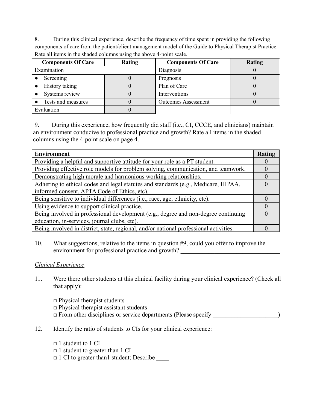8. During this clinical experience, describe the frequency of time spent in providing the following components of care from the patient/client management model of the Guide to Physical Therapist Practice. Rate all items in the shaded columns using the above 4-point scale.

| <b>Components Of Care</b> | Rating | <b>Components Of Care</b>  | Rating |
|---------------------------|--------|----------------------------|--------|
| Examination               |        | Diagnosis                  |        |
| Screening                 |        | Prognosis                  |        |
| History taking            |        | Plan of Care               |        |
| Systems review            |        | Interventions              |        |
| Tests and measures        |        | <b>Outcomes Assessment</b> |        |
| Evaluation                |        |                            |        |

9. During this experience, how frequently did staff (i.e., CI, CCCE, and clinicians) maintain an environment conducive to professional practice and growth? Rate all items in the shaded columns using the 4-point scale on page 4.

| <b>Environment</b>                                                                    | Rating |
|---------------------------------------------------------------------------------------|--------|
| Providing a helpful and supportive attitude for your role as a PT student.            |        |
| Providing effective role models for problem solving, communication, and teamwork.     |        |
| Demonstrating high morale and harmonious working relationships.                       |        |
| Adhering to ethical codes and legal statutes and standards (e.g., Medicare, HIPAA,    |        |
| informed consent, APTA Code of Ethics, etc).                                          |        |
| Being sensitive to individual differences (i.e., race, age, ethnicity, etc).          |        |
| Using evidence to support clinical practice.                                          |        |
| Being involved in professional development (e.g., degree and non-degree continuing    |        |
| education, in-services, journal clubs, etc).                                          |        |
| Being involved in district, state, regional, and/or national professional activities. |        |

10. What suggestions, relative to the items in question #9, could you offer to improve the environment for professional practice and growth?

### *Clinical Experience*

11. Were there other students at this clinical facility during your clinical experience? (Check all that apply):

 $\Box$  Physical therapist students

 $\Box$  Physical therapist assistant students

- $\Box$  From other disciplines or service departments (Please specify  $\Box$ )
- 12. Identify the ratio of students to CIs for your clinical experience:
	- $\Box$  1 student to 1 CI
	- $\Box$  1 student to greater than 1 CI
	- □ 1 CI to greater than1 student; Describe \_\_\_\_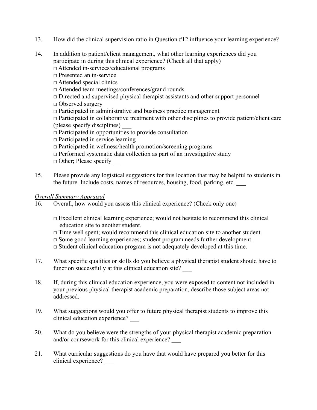- 13. How did the clinical supervision ratio in Question #12 influence your learning experience?
- 14. In addition to patient/client management, what other learning experiences did you participate in during this clinical experience? (Check all that apply)
	- □ Attended in-services/educational programs
	- □ Presented an in-service
	- □ Attended special clinics
	- □ Attended team meetings/conferences/grand rounds
	- $\Box$  Directed and supervised physical therapist assistants and other support personnel
	- □ Observed surgery
	- $\Box$  Participated in administrative and business practice management
	- $\Box$  Participated in collaborative treatment with other disciplines to provide patient/client care (please specify disciplines) \_\_\_
	- $\Box$  Participated in opportunities to provide consultation
	- $\Box$  Participated in service learning
	- $\Box$  Participated in wellness/health promotion/screening programs
	- $\Box$  Performed systematic data collection as part of an investigative study
	- $\Box$  Other; Please specify
- 15. Please provide any logistical suggestions for this location that may be helpful to students in the future. Include costs, names of resources, housing, food, parking, etc.

### *Overall Summary Appraisal*

- 16. Overall, how would you assess this clinical experience? (Check only one)
	- $\Box$  Excellent clinical learning experience; would not hesitate to recommend this clinical education site to another student.
	- $\Box$  Time well spent; would recommend this clinical education site to another student.
	- $\Box$  Some good learning experiences; student program needs further development.
	- $\Box$  Student clinical education program is not adequately developed at this time.
- 17. What specific qualities or skills do you believe a physical therapist student should have to function successfully at this clinical education site?
- 18. If, during this clinical education experience, you were exposed to content not included in your previous physical therapist academic preparation, describe those subject areas not addressed.
- 19. What suggestions would you offer to future physical therapist students to improve this clinical education experience? \_\_\_
- 20. What do you believe were the strengths of your physical therapist academic preparation and/or coursework for this clinical experience?
- 21. What curricular suggestions do you have that would have prepared you better for this clinical experience? \_\_\_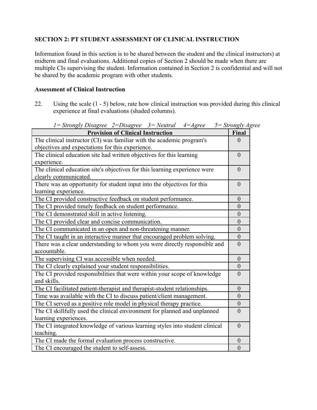# **SECTION 2: PT STUDENT ASSESSMENT OF CLINICAL INSTRUCTION**

Information found in this section is to be shared between the student and the clinical instructors) at midterm and final evaluations. Additional copies of Section 2 should be made when there are multiple CIs supervising the student. Information contained in Section 2 is confidential and will not be shared by the academic program with other students.

### **Assessment of Clinical Instruction**

22. Using the scale (1 - 5) below, rate how clinical instruction was provided during this clinical experience at final evaluations (shaded columns).

| $1 =$ Strongly Disagree $2 =$ Disagree $3 =$ Neutral<br>$4 = \text{Agree}$                                                | $5 =$ Strongly Agree |
|---------------------------------------------------------------------------------------------------------------------------|----------------------|
| <b>Provision of Clinical Instruction</b>                                                                                  | Final                |
| The clinical instructor (CI) was familiar with the academic program's<br>objectives and expectations for this experience. | $\theta$             |
| The clinical education site had written objectives for this learning<br>experience.                                       | $\theta$             |
| The clinical education site's objectives for this learning experience were<br>clearly communicated.                       | $\theta$             |
| There was an opportunity for student input into the objectives for this<br>learning experience.                           | $\theta$             |
| The CI provided constructive feedback on student performance.                                                             | $\overline{0}$       |
| The CI provided timely feedback on student performance.                                                                   | $\overline{0}$       |
| The CI demonstrated skill in active listening.                                                                            | $\boldsymbol{0}$     |
| The CI provided clear and concise communication.                                                                          | $\boldsymbol{0}$     |
| The CI communicated in an open and non-threatening manner.                                                                | $\overline{0}$       |
| The CI taught in an interactive manner that encouraged problem solving.                                                   | $\boldsymbol{0}$     |
| There was a clear understanding to whom you were directly responsible and<br>accountable.                                 | $\overline{0}$       |
| The supervising CI was accessible when needed.                                                                            | $\overline{0}$       |
| The CI clearly explained your student responsibilities.                                                                   | $\overline{0}$       |
| The CI provided responsibilities that were within your scope of knowledge<br>and skills.                                  | $\overline{0}$       |
| The CI facilitated patient-therapist and therapist-student relationships.                                                 | $\boldsymbol{0}$     |
| Time was available with the CI to discuss patient/client management.                                                      | $\theta$             |
| The CI served as a positive role model in physical therapy practice.                                                      | $\boldsymbol{0}$     |
| The CI skillfully used the clinical environment for planned and unplanned<br>learning experiences.                        | $\theta$             |
| The CI integrated knowledge of various learning styles into student clinical<br>teaching.                                 | $\theta$             |
| The CI made the formal evaluation process constructive.                                                                   | $\boldsymbol{0}$     |
| The CI encouraged the student to self-assess.                                                                             | $\boldsymbol{0}$     |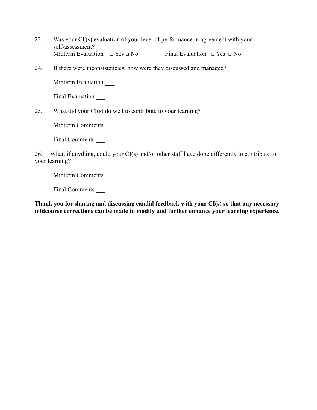- 23. Was your CI'(s) evaluation of your level of performance in agreement with your self-assessment? Midterm Evaluation  $\Box$  Yes  $\Box$  No Final Evaluation  $\Box$  Yes  $\Box$  No
- 24. If there were inconsistencies, how were they discussed and managed?

Midterm Evaluation \_\_\_

Final Evaluation

25. What did your CI(s) do well to contribute to your learning?

Midterm Comments \_\_\_

Final Comments \_\_\_

26. What, if anything, could your CI(s) and/or other staff have done differently to contribute to your learning?

Midterm Comments \_\_\_\_\_\_

Final Comments \_\_\_

**Thank you for sharing and discussing candid feedback with your CI(s) so that any necessary midcourse corrections can be made to modify and further enhance your learning experience.**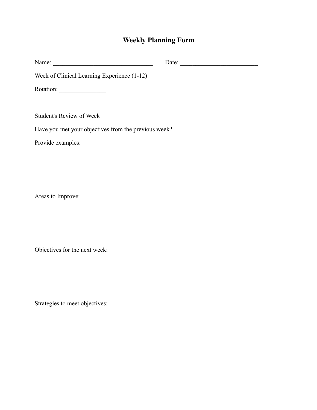# **Weekly Planning Form**

|                                                      | Date: |
|------------------------------------------------------|-------|
| Week of Clinical Learning Experience (1-12)          |       |
|                                                      |       |
|                                                      |       |
| <b>Student's Review of Week</b>                      |       |
| Have you met your objectives from the previous week? |       |
| Provide examples:                                    |       |
|                                                      |       |
|                                                      |       |
|                                                      |       |

Areas to Improve:

Objectives for the next week:

Strategies to meet objectives: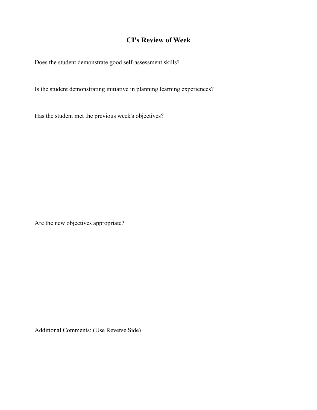# **CI's Review of Week**

Does the student demonstrate good self-assessment skills?

Is the student demonstrating initiative in planning learning experiences?

Has the student met the previous week's objectives?

Are the new objectives appropriate?

Additional Comments: (Use Reverse Side)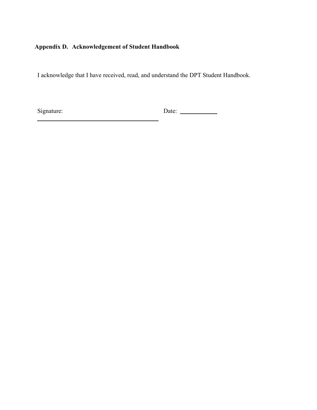# **Appendix D. Acknowledgement of Student Handbook**

I acknowledge that I have received, read, and understand the DPT Student Handbook.

Signature: Date: <u>Date:</u>